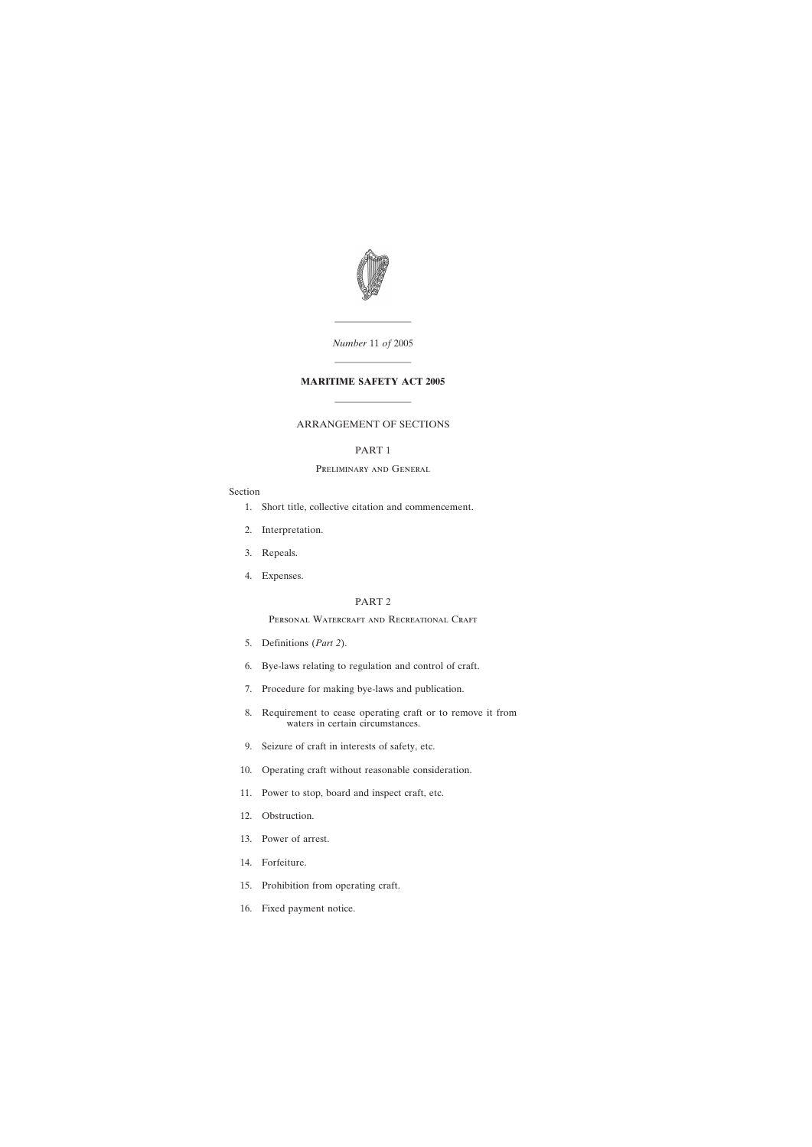

*Number* 11 *of* 2005

————————

# ———————— **MARITIME SAFETY ACT 2005**

————————

# ARRANGEMENT OF SECTIONS

# PART 1

## Preliminary and General

# Section

- [1. Short title, collective citation and commencement.](#page-4-0)
- [2. Interpretation.](#page-5-0)
- [3. Repeals.](#page-5-0)
- [4. Expenses.](#page-6-0)

# PART 2

# PERSONAL WATERCRAFT AND RECREATIONAL CRAFT

- [5. Definitions \(](#page-6-0)*Part 2*).
- [6. Bye-laws relating to regulation and control of craft.](#page-7-0)
- [7. Procedure for making bye-laws and publication.](#page-9-0)
- [8. Requirement to cease operating craft or to remove it from](#page-10-0) waters in certain circumstances.
- [9. Seizure of craft in interests of safety, etc.](#page-11-0)
- [10. Operating craft without reasonable consideration.](#page-11-0)
- [11. Power to stop, board and inspect craft, etc.](#page-11-0)
- [12. Obstruction.](#page-12-0)
- [13. Power of arrest.](#page-12-0)
- [14. Forfeiture.](#page-13-0)
- [15. Prohibition from operating craft.](#page-13-0)
- [16. Fixed payment notice.](#page-14-0)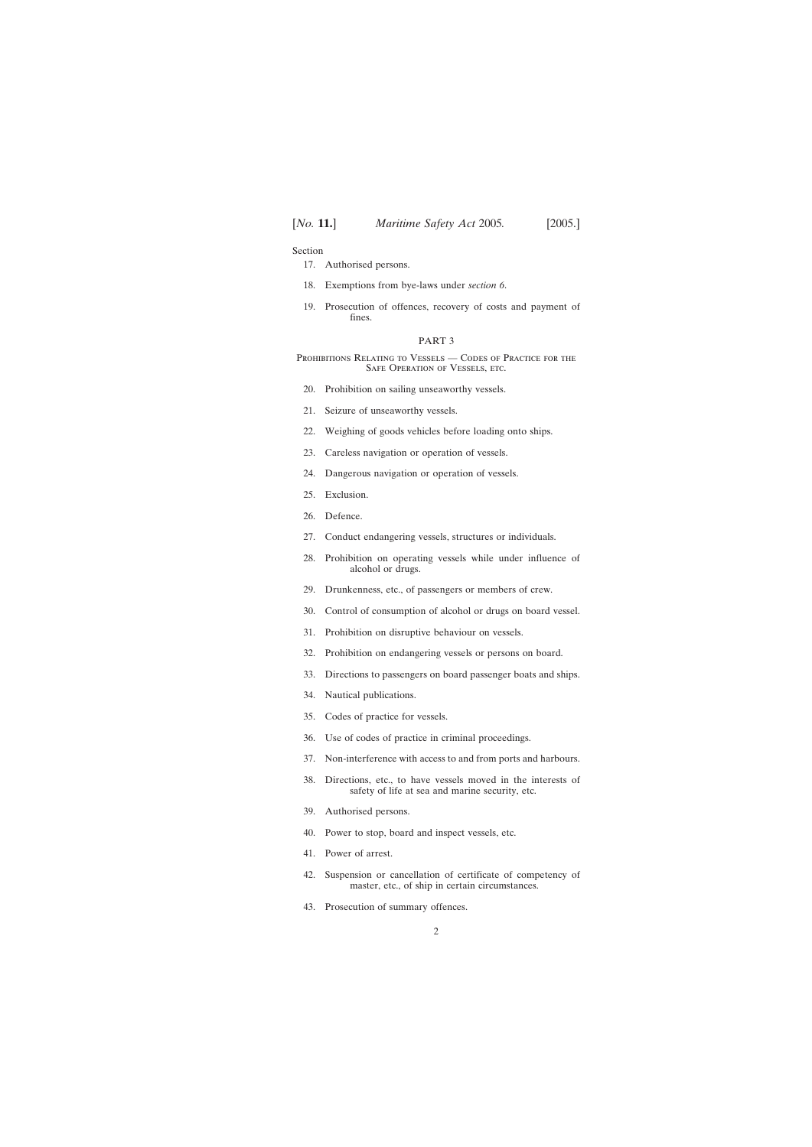Section

- [17. Authorised persons.](#page-15-0)
- [18. Exemptions from bye-laws under](#page-16-0) *section 6*.
- [19. Prosecution of offences, recovery of costs and payment of](#page-16-0) fines.

#### PART 3

PROHIBITIONS RELATING TO VESSELS - CODES OF PRACTICE FOR THE SAFE OPERATION OF VESSELS, ETC.

- [20. Prohibition on sailing unseaworthy vessels.](#page-16-0)
- [21. Seizure of unseaworthy vessels.](#page-17-0)
- [22. Weighing of goods vehicles before loading onto ships.](#page-18-0)
- [23. Careless navigation or operation of vessels.](#page-20-0)
- [24. Dangerous navigation or operation of vessels.](#page-20-0)
- [25. Exclusion.](#page-20-0)
- [26. Defence.](#page-20-0)
- [27. Conduct endangering vessels, structures or individuals.](#page-21-0)
- [28. Prohibition on operating vessels while under influence of](#page-22-0) alcohol or drugs.
- [29. Drunkenness, etc., of passengers or members of crew.](#page-22-0)
- [30. Control of consumption of alcohol or drugs on board vessel.](#page-23-0)
- [31. Prohibition on disruptive behaviour on vessels.](#page-23-0)
- [32. Prohibition on endangering vessels or persons on board.](#page-24-0)
- [33. Directions to passengers on board passenger boats and ships.](#page-24-0)
- [34. Nautical publications.](#page-24-0)
- [35. Codes of practice for vessels.](#page-25-0)
- [36. Use of codes of practice in criminal proceedings.](#page-26-0)
- [37. Non-interference with access to and from ports and harbours.](#page-26-0)
- [38. Directions, etc., to have vessels moved in the interests of](#page-27-0) safety of life at sea and marine security, etc.
- [39. Authorised persons.](#page-28-0)
- [40. Power to stop, board and inspect vessels, etc.](#page-29-0)
- [41. Power of arrest.](#page-29-0)
- [42. Suspension or cancellation of certificate of competency of](#page-30-0) master, etc., of ship in certain circumstances.
- [43. Prosecution of summary offences.](#page-30-0)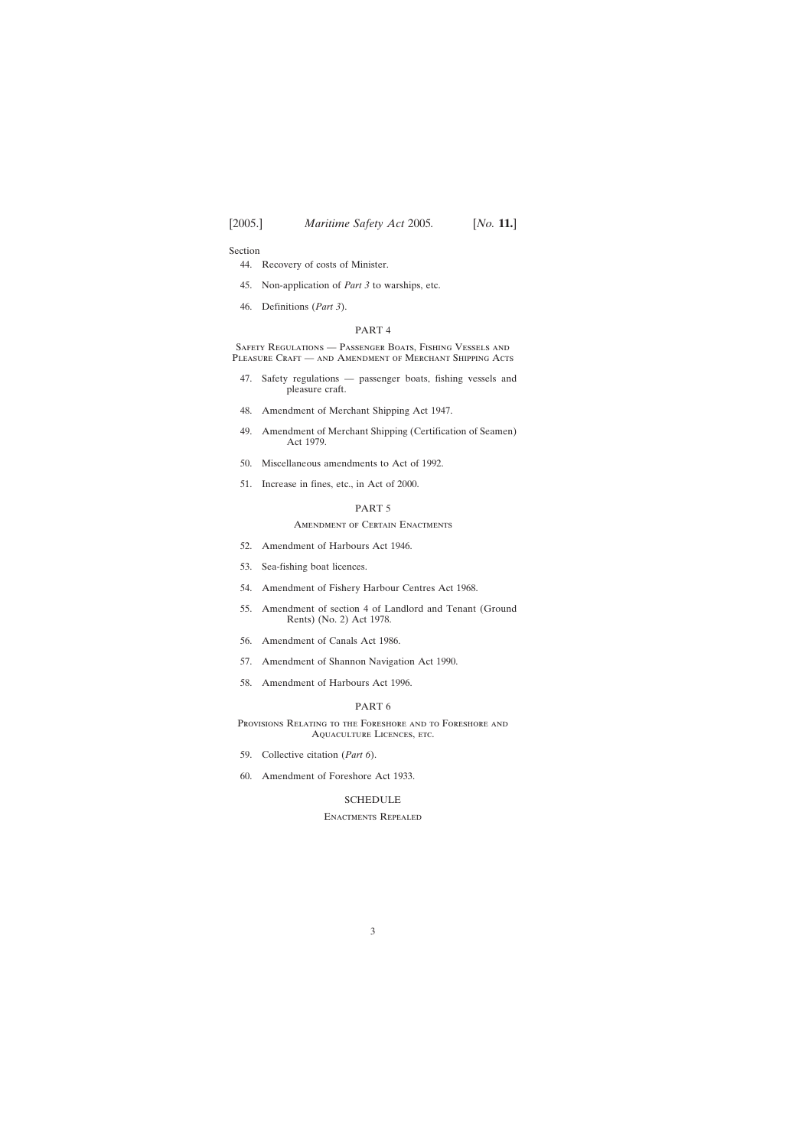Section

- [44. Recovery of costs of Minister.](#page-30-0)
- [45. Non-application of](#page-30-0) *Part 3* to warships, etc.
- [46. Definitions \(](#page-30-0)*Part 3*).

#### PART 4

Safety Regulations — Passenger Boats, Fishing Vessels and PLEASURE CRAFT — AND AMENDMENT OF MERCHANT SHIPPING ACTS

- [47. Safety regulations passenger boats, fishing vessels and](#page-32-0) pleasure craft.
- [48. Amendment of Merchant Shipping Act 1947.](#page-39-0)
- [49. Amendment of Merchant Shipping \(Certification of Seamen\)](#page-39-0) Act 1979.
- [50. Miscellaneous amendments to Act of 1992.](#page-39-0)
- [51. Increase in fines, etc., in Act of 2000.](#page-41-0)

# PART 5

#### Amendment of Certain Enactments

- [52. Amendment of Harbours Act 1946.](#page-42-0)
- [53. Sea-fishing boat licences.](#page-43-0)
- [54. Amendment of Fishery Harbour Centres Act 1968.](#page-45-0)
- [55. Amendment of section 4 of Landlord and Tenant \(Ground](#page-46-0) Rents) (No. 2) Act 1978.
- [56. Amendment of Canals Act 1986.](#page-46-0)
- [57. Amendment of Shannon Navigation Act 1990.](#page-48-0)
- [58. Amendment of Harbours Act 1996.](#page-51-0)

#### PART 6

Provisions Relating to the Foreshore and to Foreshore and Aquaculture Licences, etc.

- [59. Collective citation \(](#page-53-0)*Part 6*).
- [60. Amendment of Foreshore Act 1933.](#page-53-0)

## **[SCHEDULE](#page-57-0)**

## Enactments Repealed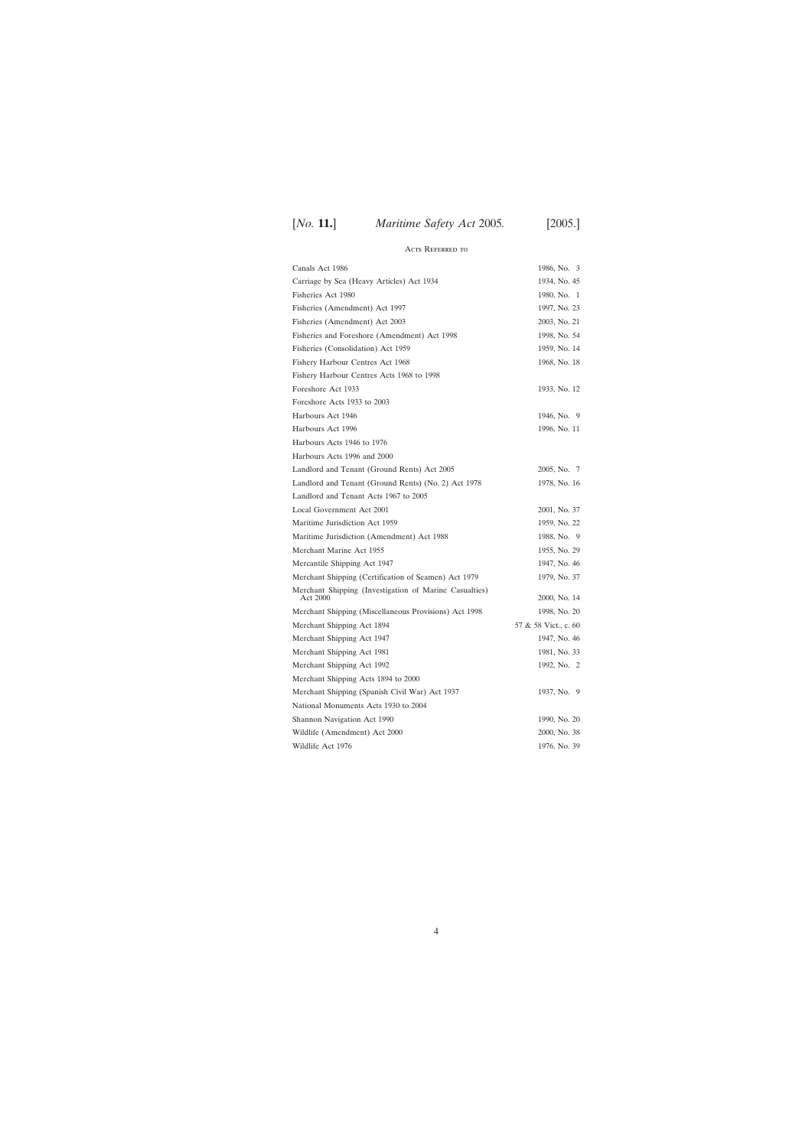# Acts Referred to

| Canals Act 1986                                                    | 1986, No. 3          |
|--------------------------------------------------------------------|----------------------|
| Carriage by Sea (Heavy Articles) Act 1934                          | 1934, No. 45         |
| Fisheries Act 1980                                                 | 1980, No. 1          |
| Fisheries (Amendment) Act 1997                                     | 1997, No. 23         |
| Fisheries (Amendment) Act 2003                                     | 2003, No. 21         |
| Fisheries and Foreshore (Amendment) Act 1998                       | 1998, No. 54         |
| Fisheries (Consolidation) Act 1959                                 | 1959, No. 14         |
| Fishery Harbour Centres Act 1968                                   | 1968, No. 18         |
| Fishery Harbour Centres Acts 1968 to 1998                          |                      |
| Foreshore Act 1933                                                 | 1933, No. 12         |
| Foreshore Acts 1933 to 2003                                        |                      |
| Harbours Act 1946                                                  | 1946, No. 9          |
| Harbours Act 1996                                                  | 1996, No. 11         |
| Harbours Acts 1946 to 1976                                         |                      |
| Harbours Acts 1996 and 2000                                        |                      |
| Landlord and Tenant (Ground Rents) Act 2005                        | 2005, No. 7          |
| Landlord and Tenant (Ground Rents) (No. 2) Act 1978                | 1978, No. 16         |
| Landlord and Tenant Acts 1967 to 2005                              |                      |
| Local Government Act 2001                                          | 2001, No. 37         |
| Maritime Jurisdiction Act 1959                                     | 1959, No. 22         |
| Maritime Jurisdiction (Amendment) Act 1988                         | 1988, No. 9          |
| Merchant Marine Act 1955                                           | 1955, No. 29         |
| Mercantile Shipping Act 1947                                       | 1947, No. 46         |
| Merchant Shipping (Certification of Seamen) Act 1979               | 1979, No. 37         |
| Merchant Shipping (Investigation of Marine Casualties)<br>Act 2000 | 2000, No. 14         |
| Merchant Shipping (Miscellaneous Provisions) Act 1998              | 1998, No. 20         |
| Merchant Shipping Act 1894                                         | 57 & 58 Vict., c. 60 |
| Merchant Shipping Act 1947                                         | 1947, No. 46         |
| Merchant Shipping Act 1981                                         | 1981, No. 33         |
| Merchant Shipping Act 1992                                         | 1992, No. 2          |
| Merchant Shipping Acts 1894 to 2000                                |                      |
| Merchant Shipping (Spanish Civil War) Act 1937                     | 1937, No. 9          |
| National Monuments Acts 1930 to 2004                               |                      |
| Shannon Navigation Act 1990                                        | 1990, No. 20         |
| Wildlife (Amendment) Act 2000                                      | 2000, No. 38         |
| Wildlife Act 1976                                                  | 1976, No. 39         |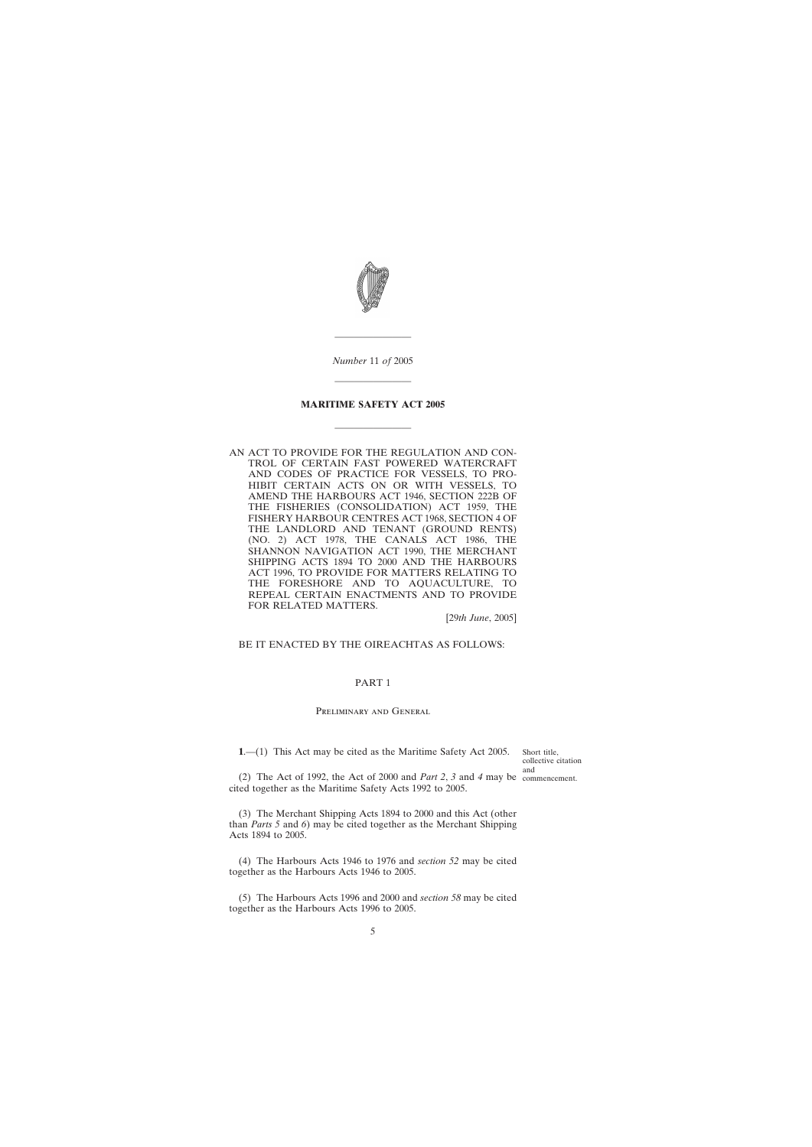<span id="page-4-0"></span>

*Number* 11 *of* 2005

————————

————————

# **MARITIME SAFETY ACT 2005**

————————

AN ACT TO PROVIDE FOR THE REGULATION AND CON-TROL OF CERTAIN FAST POWERED WATERCRAFT AND CODES OF PRACTICE FOR VESSELS, TO PRO-HIBIT CERTAIN ACTS ON OR WITH VESSELS, TO AMEND THE HARBOURS ACT 1946, SECTION 222B OF THE FISHERIES (CONSOLIDATION) ACT 1959, THE FISHERY HARBOUR CENTRES ACT 1968, SECTION 4 OF THE LANDLORD AND TENANT (GROUND RENTS) (NO. 2) ACT 1978, THE CANALS ACT 1986, THE SHANNON NAVIGATION ACT 1990, THE MERCHANT SHIPPING ACTS 1894 TO 2000 AND THE HARBOURS ACT 1996, TO PROVIDE FOR MATTERS RELATING TO THE FORESHORE AND TO AQUACULTURE, TO REPEAL CERTAIN ENACTMENTS AND TO PROVIDE FOR RELATED MATTERS.

[29*th June*, 2005]

## BE IT ENACTED BY THE OIREACHTAS AS FOLLOWS:

## PART 1

## Preliminary and General

**1**.—(1) This Act may be cited as the Maritime Safety Act 2005.

Short title, collective citation and

(2) The Act of 1992, the Act of 2000 and *Part 2*, *3* and *4* may be commencement.cited together as the Maritime Safety Acts 1992 to 2005.

(3) The Merchant Shipping Acts 1894 to 2000 and this Act (other than *Parts 5* and *6*) may be cited together as the Merchant Shipping Acts 1894 to 2005.

(4) The Harbours Acts 1946 to 1976 and *section 52* may be cited together as the Harbours Acts 1946 to 2005.

(5) The Harbours Acts 1996 and 2000 and *section 58* may be cited together as the Harbours Acts 1996 to 2005.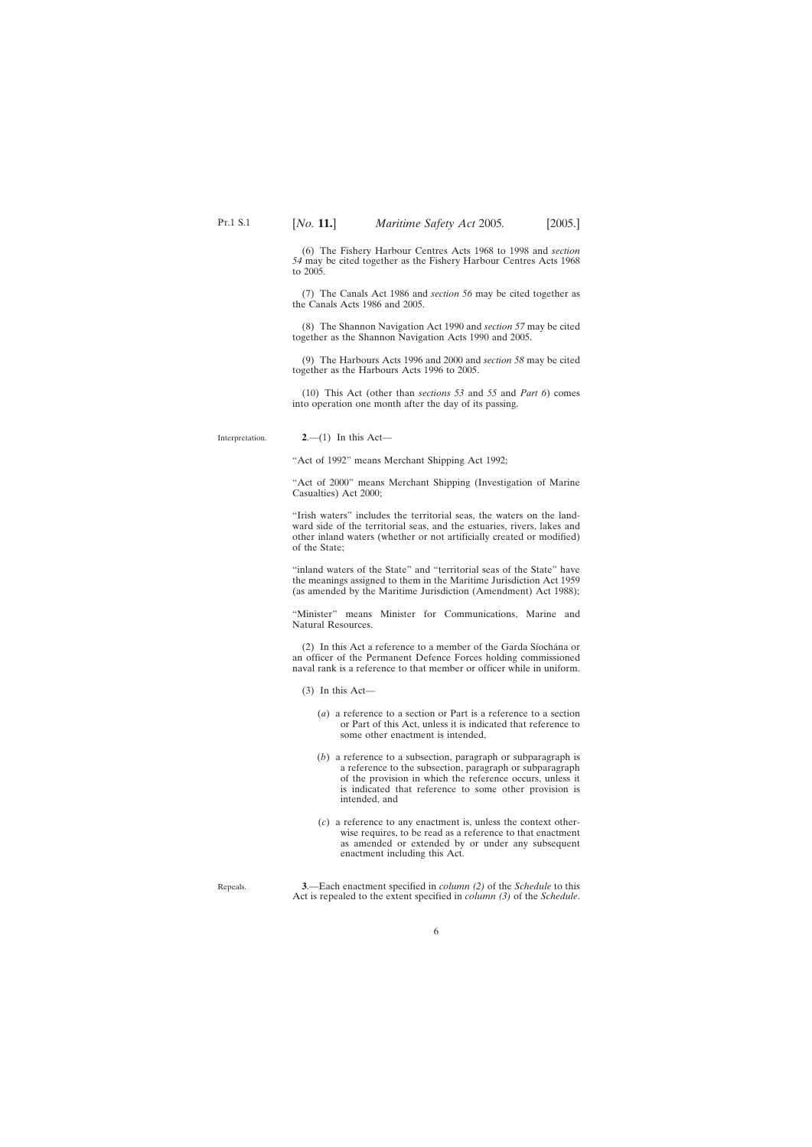<span id="page-5-0"></span>(6) The Fishery Harbour Centres Acts 1968 to 1998 and *section 54* may be cited together as the Fishery Harbour Centres Acts 1968 to 2005.

(7) The Canals Act 1986 and *section 56* may be cited together as the Canals Acts 1986 and 2005.

(8) The Shannon Navigation Act 1990 and *section 57* may be cited together as the Shannon Navigation Acts 1990 and 2005.

(9) The Harbours Acts 1996 and 2000 and *section 58* may be cited together as the Harbours Acts 1996 to 2005.

(10) This Act (other than *sections 53* and *55* and *Part 6*) comes into operation one month after the day of its passing.

Interpretation.

**2**.—(1) In this Act—

"Act of 1992" means Merchant Shipping Act 1992;

"Act of 2000" means Merchant Shipping (Investigation of Marine Casualties) Act 2000;

"Irish waters" includes the territorial seas, the waters on the landward side of the territorial seas, and the estuaries, rivers, lakes and other inland waters (whether or not artificially created or modified) of the State;

"inland waters of the State" and "territorial seas of the State" have the meanings assigned to them in the Maritime Jurisdiction Act 1959 (as amended by the Maritime Jurisdiction (Amendment) Act 1988);

"Minister" means Minister for Communications, Marine and Natural Resources.

(2) In this Act a reference to a member of the Garda Síochána or an officer of the Permanent Defence Forces holding commissioned naval rank is a reference to that member or officer while in uniform.

(3) In this Act—

- (*a*) a reference to a section or Part is a reference to a section or Part of this Act, unless it is indicated that reference to some other enactment is intended,
- (*b*) a reference to a subsection, paragraph or subparagraph is a reference to the subsection, paragraph or subparagraph of the provision in which the reference occurs, unless it is indicated that reference to some other provision is intended, and
- (*c*) a reference to any enactment is, unless the context otherwise requires, to be read as a reference to that enactment as amended or extended by or under any subsequent enactment including this Act.

Repeals.

**3**.—Each enactment specified in *column (2)* of the *Schedule* to this Act is repealed to the extent specified in *column (3)* of the *Schedule*.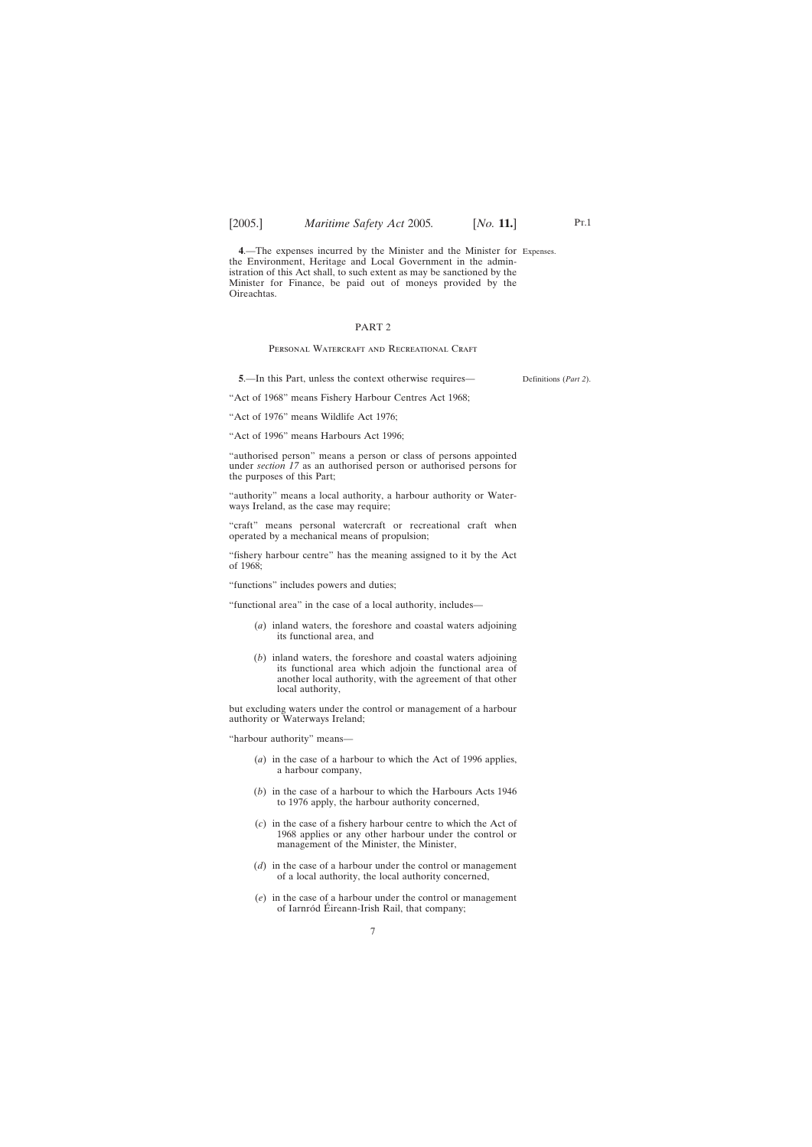<span id="page-6-0"></span>**4**.—The expenses incurred by the Minister and the Minister for Expenses. the Environment, Heritage and Local Government in the administration of this Act shall, to such extent as may be sanctioned by the Minister for Finance, be paid out of moneys provided by the Oireachtas.

# PART 2

#### PERSONAL WATERCRAFT AND RECREATIONAL CRAFT

**5**.—In this Part, unless the context otherwise requires—

Definitions (*Part 2*).

"Act of 1968" means Fishery Harbour Centres Act 1968;

"Act of 1976" means Wildlife Act 1976;

"Act of 1996" means Harbours Act 1996;

"authorised person" means a person or class of persons appointed under *section 17* as an authorised person or authorised persons for the purposes of this Part;

"authority" means a local authority, a harbour authority or Waterways Ireland, as the case may require;

"craft" means personal watercraft or recreational craft when operated by a mechanical means of propulsion;

"fishery harbour centre" has the meaning assigned to it by the Act of 1968;

"functions" includes powers and duties;

"functional area" in the case of a local authority, includes—

- (*a*) inland waters, the foreshore and coastal waters adjoining its functional area, and
- (*b*) inland waters, the foreshore and coastal waters adjoining its functional area which adjoin the functional area of another local authority, with the agreement of that other local authority,

but excluding waters under the control or management of a harbour authority or Waterways Ireland;

"harbour authority" means—

- (*a*) in the case of a harbour to which the Act of 1996 applies, a harbour company,
- (*b*) in the case of a harbour to which the Harbours Acts 1946 to 1976 apply, the harbour authority concerned,
- (*c*) in the case of a fishery harbour centre to which the Act of 1968 applies or any other harbour under the control or management of the Minister, the Minister,
- (*d*) in the case of a harbour under the control or management of a local authority, the local authority concerned,
- (*e*) in the case of a harbour under the control or management of Iarnród Éireann-Irish Rail, that company;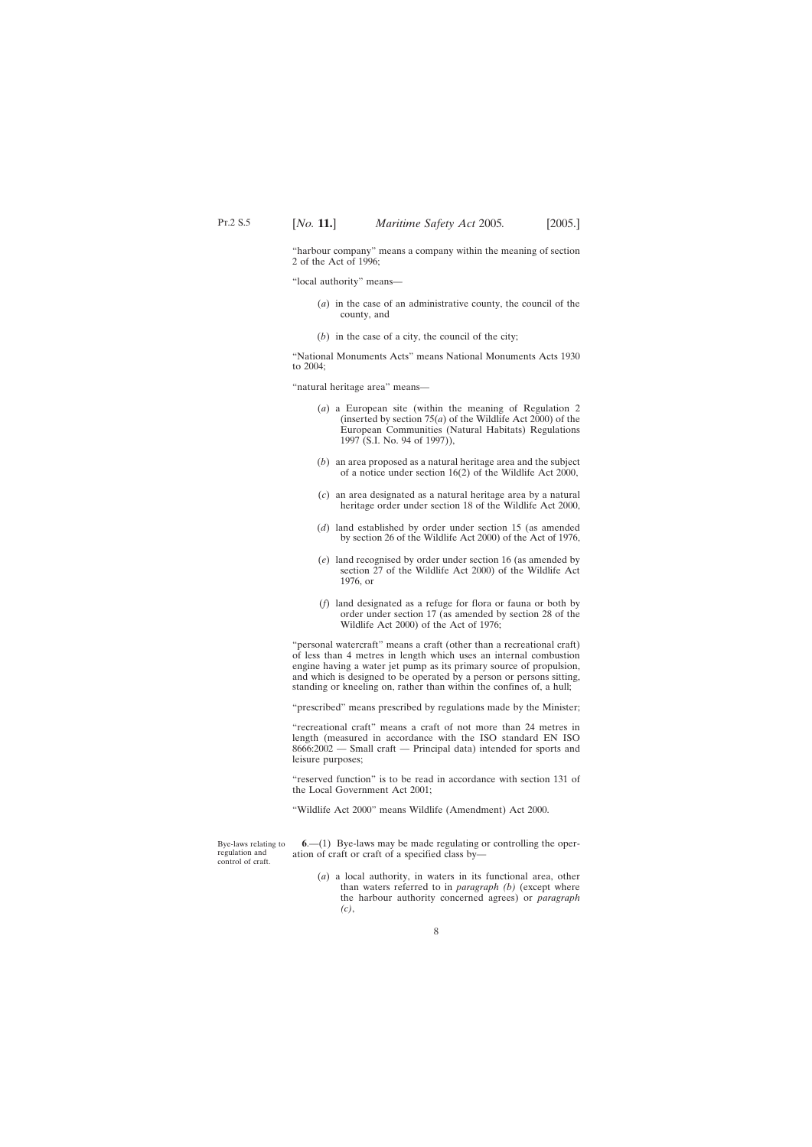<span id="page-7-0"></span>"harbour company" means a company within the meaning of section 2 of the Act of 1996;

"local authority" means—

- (*a*) in the case of an administrative county, the council of the county, and
- (*b*) in the case of a city, the council of the city;

"National Monuments Acts" means National Monuments Acts 1930 to 2004;

"natural heritage area" means—

- (*a*) a European site (within the meaning of Regulation 2 (inserted by section 75(*a*) of the Wildlife Act 2000) of the European Communities (Natural Habitats) Regulations 1997 (S.I. No. 94 of 1997)),
- (*b*) an area proposed as a natural heritage area and the subject of a notice under section 16(2) of the Wildlife Act 2000,
- (*c*) an area designated as a natural heritage area by a natural heritage order under section 18 of the Wildlife Act 2000,
- (*d*) land established by order under section 15 (as amended by section 26 of the Wildlife Act 2000) of the Act of 1976,
- (*e*) land recognised by order under section 16 (as amended by section 27 of the Wildlife Act 2000) of the Wildlife Act 1976, or
- (*f*) land designated as a refuge for flora or fauna or both by order under section 17 (as amended by section 28 of the Wildlife Act 2000) of the Act of 1976;

"personal watercraft" means a craft (other than a recreational craft) of less than 4 metres in length which uses an internal combustion engine having a water jet pump as its primary source of propulsion, and which is designed to be operated by a person or persons sitting, standing or kneeling on, rather than within the confines of, a hull;

"prescribed" means prescribed by regulations made by the Minister;

"recreational craft" means a craft of not more than 24 metres in length (measured in accordance with the ISO standard EN ISO 8666:2002 — Small craft — Principal data) intended for sports and leisure purposes;

"reserved function" is to be read in accordance with section 131 of the Local Government Act 2001;

"Wildlife Act 2000" means Wildlife (Amendment) Act 2000.

Bye-laws relating to regulation and control of craft.

**6**.—(1) Bye-laws may be made regulating or controlling the operation of craft or craft of a specified class by—

(*a*) a local authority, in waters in its functional area, other than waters referred to in *paragraph (b)* (except where the harbour authority concerned agrees) or *paragraph (c)*,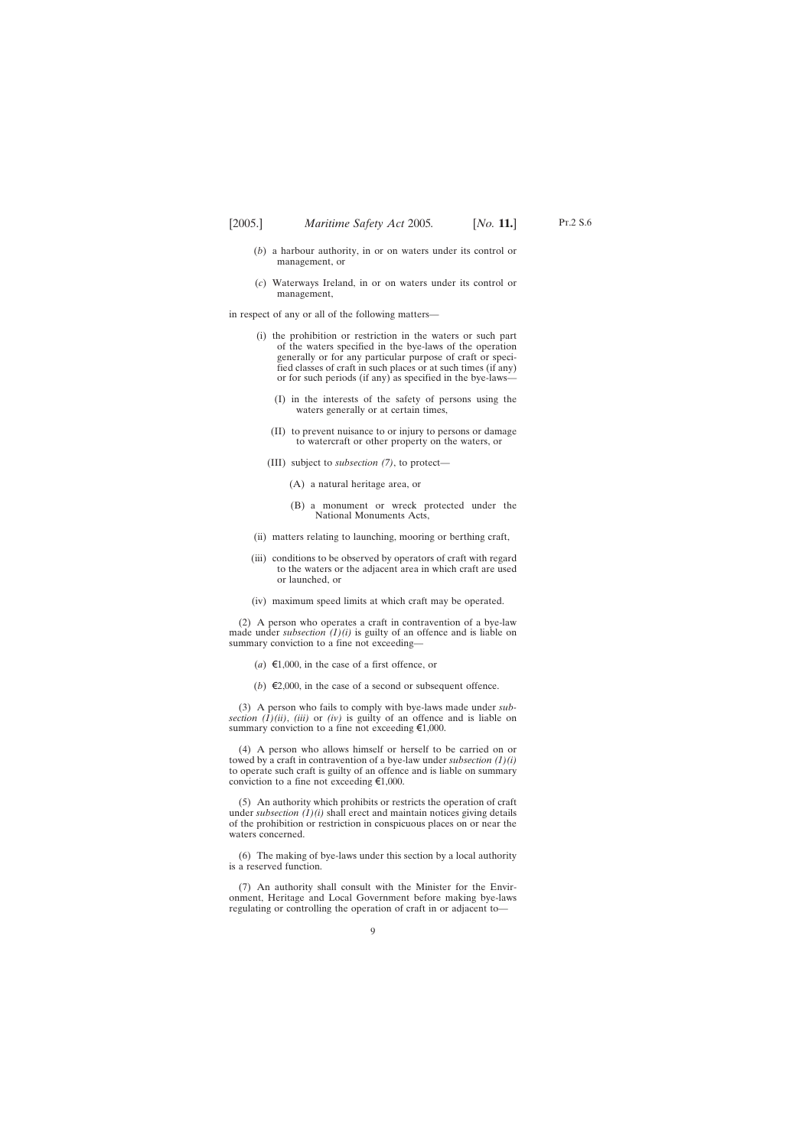- (*b*) a harbour authority, in or on waters under its control or management, or
- (*c*) Waterways Ireland, in or on waters under its control or management,

in respect of any or all of the following matters—

- (i) the prohibition or restriction in the waters or such part of the waters specified in the bye-laws of the operation generally or for any particular purpose of craft or specified classes of craft in such places or at such times (if any) or for such periods (if any) as specified in the bye-laws—
	- (I) in the interests of the safety of persons using the waters generally or at certain times,
	- (II) to prevent nuisance to or injury to persons or damage to watercraft or other property on the waters, or
	- (III) subject to *subsection (7)*, to protect—
		- (A) a natural heritage area, or
		- (B) a monument or wreck protected under the National Monuments Acts,
- (ii) matters relating to launching, mooring or berthing craft,
- (iii) conditions to be observed by operators of craft with regard to the waters or the adjacent area in which craft are used or launched, or
- (iv) maximum speed limits at which craft may be operated.

(2) A person who operates a craft in contravention of a bye-law made under *subsection*  $(1)(i)$  is guilty of an offence and is liable on summary conviction to a fine not exceeding—

- $(a) \in 1,000$ , in the case of a first offence, or
- (*b*)  $\in$ 2,000, in the case of a second or subsequent offence.

(3) A person who fails to comply with bye-laws made under *subsection*  $(\hat{1})(ii)$ ,  $(iii)$  or  $(iv)$  is guilty of an offence and is liable on summary conviction to a fine not exceeding  $\epsilon 1,000$ .

(4) A person who allows himself or herself to be carried on or towed by a craft in contravention of a bye-law under *subsection (1)(i)* to operate such craft is guilty of an offence and is liable on summary conviction to a fine not exceeding  $\epsilon 1,000$ .

(5) An authority which prohibits or restricts the operation of craft under *subsection (1)(i)* shall erect and maintain notices giving details of the prohibition or restriction in conspicuous places on or near the waters concerned.

(6) The making of bye-laws under this section by a local authority is a reserved function.

(7) An authority shall consult with the Minister for the Environment, Heritage and Local Government before making bye-laws regulating or controlling the operation of craft in or adjacent to—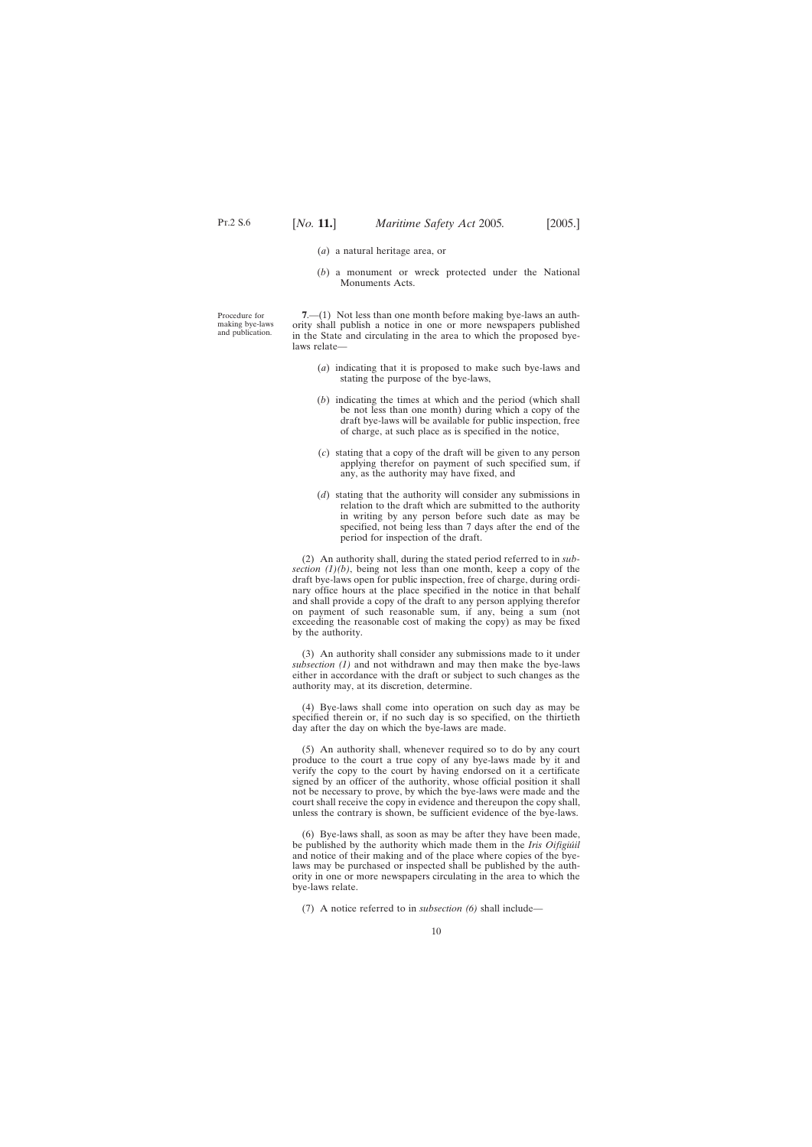- (*a*) a natural heritage area, or
- (*b*) a monument or wreck protected under the National Monuments Acts.

<span id="page-9-0"></span>Procedure for making bye-laws and publication.

**7.**—(1) Not less than one month before making bye-laws an authority shall publish a notice in one or more newspapers published in the State and circulating in the area to which the proposed byelaws relate—

- (*a*) indicating that it is proposed to make such bye-laws and stating the purpose of the bye-laws,
- (*b*) indicating the times at which and the period (which shall be not less than one month) during which a copy of the draft bye-laws will be available for public inspection, free of charge, at such place as is specified in the notice,
- (*c*) stating that a copy of the draft will be given to any person applying therefor on payment of such specified sum, if any, as the authority may have fixed, and
- (*d*) stating that the authority will consider any submissions in relation to the draft which are submitted to the authority in writing by any person before such date as may be specified, not being less than 7 days after the end of the period for inspection of the draft.

(2) An authority shall, during the stated period referred to in *subsection*  $(1)(b)$ , being not less than one month, keep a copy of the draft bye-laws open for public inspection, free of charge, during ordinary office hours at the place specified in the notice in that behalf and shall provide a copy of the draft to any person applying therefor on payment of such reasonable sum, if any, being a sum (not exceeding the reasonable cost of making the copy) as may be fixed by the authority.

(3) An authority shall consider any submissions made to it under *subsection (1)* and not withdrawn and may then make the bye-laws either in accordance with the draft or subject to such changes as the authority may, at its discretion, determine.

(4) Bye-laws shall come into operation on such day as may be specified therein or, if no such day is so specified, on the thirtieth day after the day on which the bye-laws are made.

(5) An authority shall, whenever required so to do by any court produce to the court a true copy of any bye-laws made by it and verify the copy to the court by having endorsed on it a certificate signed by an officer of the authority, whose official position it shall not be necessary to prove, by which the bye-laws were made and the court shall receive the copy in evidence and thereupon the copy shall, unless the contrary is shown, be sufficient evidence of the bye-laws.

(6) Bye-laws shall, as soon as may be after they have been made, be published by the authority which made them in the *Iris Oifigiu´il* and notice of their making and of the place where copies of the byelaws may be purchased or inspected shall be published by the authority in one or more newspapers circulating in the area to which the bye-laws relate.

(7) A notice referred to in *subsection (6)* shall include—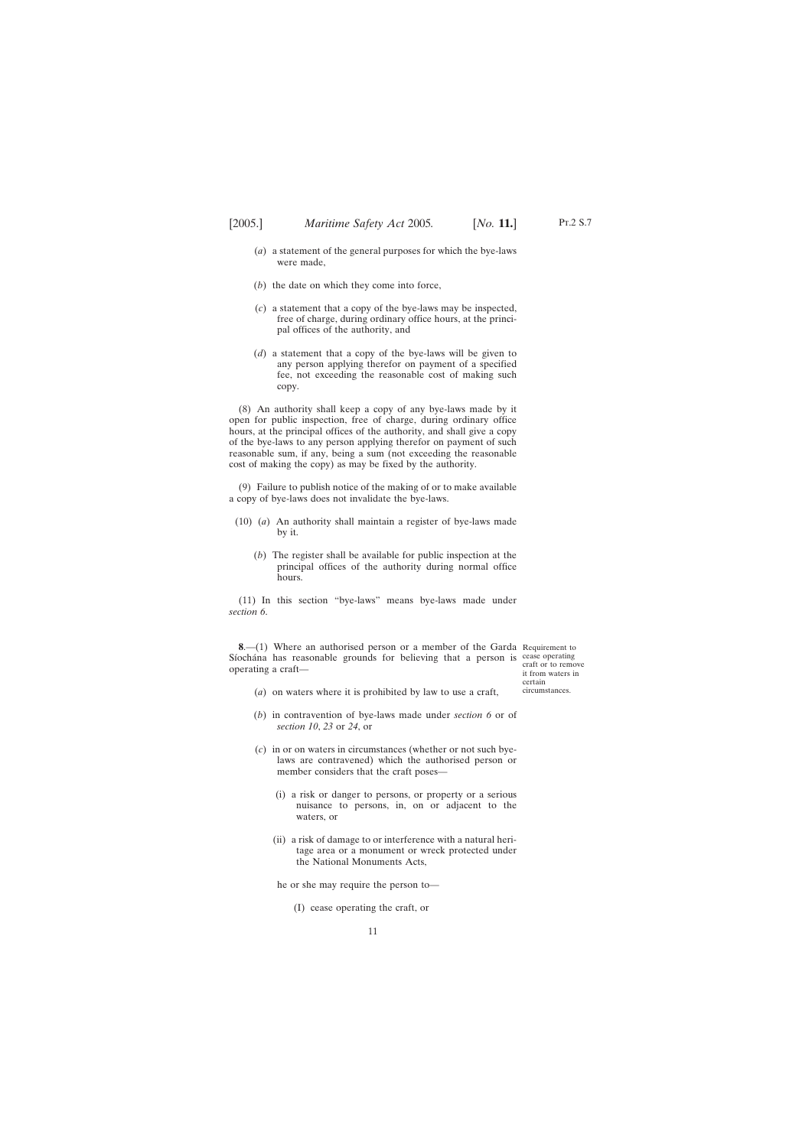- <span id="page-10-0"></span>(*a*) a statement of the general purposes for which the bye-laws were made,
- (*b*) the date on which they come into force,
- (*c*) a statement that a copy of the bye-laws may be inspected, free of charge, during ordinary office hours, at the principal offices of the authority, and
- (*d*) a statement that a copy of the bye-laws will be given to any person applying therefor on payment of a specified fee, not exceeding the reasonable cost of making such copy.

(8) An authority shall keep a copy of any bye-laws made by it open for public inspection, free of charge, during ordinary office hours, at the principal offices of the authority, and shall give a copy of the bye-laws to any person applying therefor on payment of such reasonable sum, if any, being a sum (not exceeding the reasonable cost of making the copy) as may be fixed by the authority.

(9) Failure to publish notice of the making of or to make available a copy of bye-laws does not invalidate the bye-laws.

- (10) (*a*) An authority shall maintain a register of bye-laws made by it.
	- (*b*) The register shall be available for public inspection at the principal offices of the authority during normal office hours.

(11) In this section "bye-laws" means bye-laws made under *section 6*.

**8.**—(1) Where an authorised person or a member of the Garda Requirement to Síochána has reasonable grounds for believing that a person is cease operating operating a craft—

craft or to remove it from waters in certain circumstances.

- (*a*) on waters where it is prohibited by law to use a craft,
- (*b*) in contravention of bye-laws made under *section 6* or of *section 10*, *23* or *24*, or
- (*c*) in or on waters in circumstances (whether or not such byelaws are contravened) which the authorised person or member considers that the craft poses—
	- (i) a risk or danger to persons, or property or a serious nuisance to persons, in, on or adjacent to the waters, or
	- (ii) a risk of damage to or interference with a natural heritage area or a monument or wreck protected under the National Monuments Acts,

he or she may require the person to—

(I) cease operating the craft, or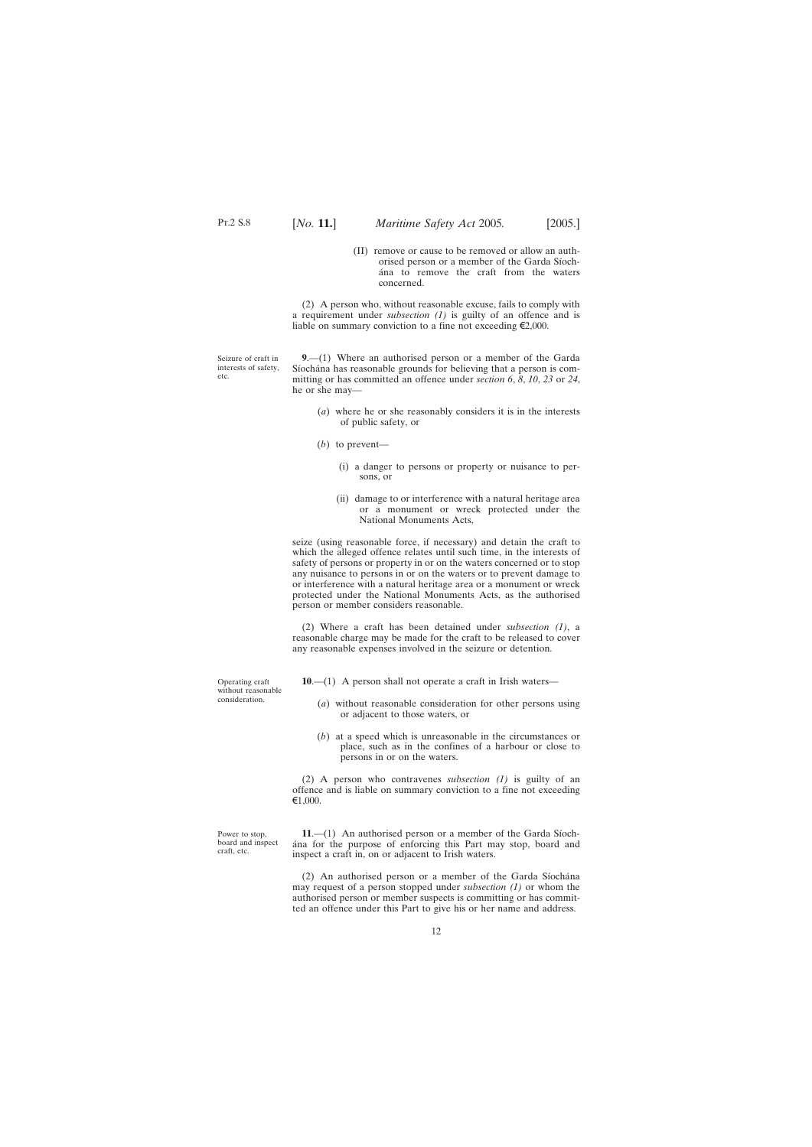(II) remove or cause to be removed or allow an authorised person or a member of the Garda Síocha´na to remove the craft from the waters concerned.

(2) A person who, without reasonable excuse, fails to comply with a requirement under *subsection (1)* is guilty of an offence and is liable on summary conviction to a fine not exceeding  $\epsilon$ 2,000.

<span id="page-11-0"></span>Seizure of craft in interests of safety, etc.

**9**.—(1) Where an authorised person or a member of the Garda Síochána has reasonable grounds for believing that a person is committing or has committed an offence under *section 6*, *8*, *10*, *23* or *24*, he or she may—

- (*a*) where he or she reasonably considers it is in the interests of public safety, or
- (*b*) to prevent—
	- (i) a danger to persons or property or nuisance to persons, or
	- (ii) damage to or interference with a natural heritage area or a monument or wreck protected under the National Monuments Acts,

seize (using reasonable force, if necessary) and detain the craft to which the alleged offence relates until such time, in the interests of safety of persons or property in or on the waters concerned or to stop any nuisance to persons in or on the waters or to prevent damage to or interference with a natural heritage area or a monument or wreck protected under the National Monuments Acts, as the authorised person or member considers reasonable.

(2) Where a craft has been detained under *subsection (1)*, a reasonable charge may be made for the craft to be released to cover any reasonable expenses involved in the seizure or detention.

**10**.—(1) A person shall not operate a craft in Irish waters—

- (*a*) without reasonable consideration for other persons using or adjacent to those waters, or
- (*b*) at a speed which is unreasonable in the circumstances or place, such as in the confines of a harbour or close to persons in or on the waters.

(2) A person who contravenes *subsection (1)* is guilty of an offence and is liable on summary conviction to a fine not exceeding  $€1,000.$ 

Power to stop, board and inspect craft, etc.

 $11.$ — $(1)$  An authorised person or a member of the Garda Siocha´na for the purpose of enforcing this Part may stop, board and inspect a craft in, on or adjacent to Irish waters.

 $(2)$  An authorised person or a member of the Garda Siochana may request of a person stopped under *subsection (1)* or whom the authorised person or member suspects is committing or has committed an offence under this Part to give his or her name and address.

Operating craft without reasonable consideration.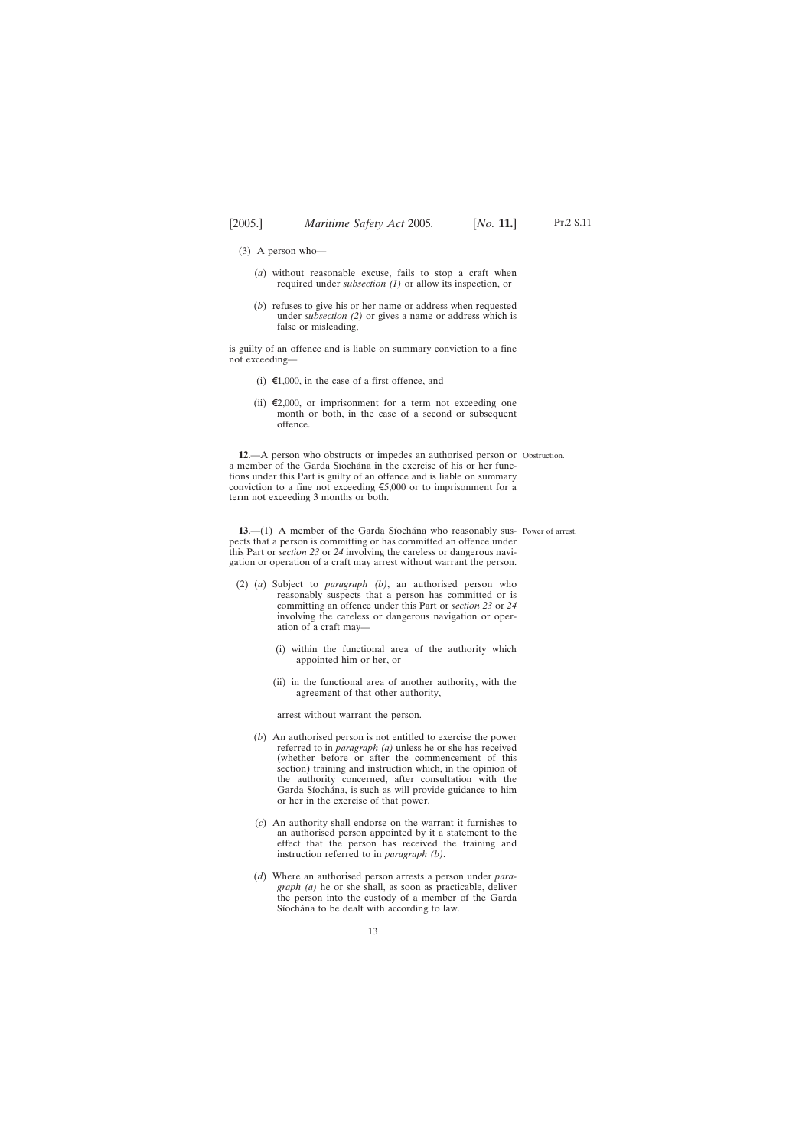- <span id="page-12-0"></span>(3) A person who—
	- (*a*) without reasonable excuse, fails to stop a craft when required under *subsection (1)* or allow its inspection, or
	- (*b*) refuses to give his or her name or address when requested under *subsection (2)* or gives a name or address which is false or misleading,

is guilty of an offence and is liable on summary conviction to a fine not exceeding—

- (i)  $\epsilon$ 1,000, in the case of a first offence, and
- (ii)  $\epsilon$ 2,000, or imprisonment for a term not exceeding one month or both, in the case of a second or subsequent offence.

**12**.—A person who obstructs or impedes an authorised person or Obstruction. a member of the Garda Síochána in the exercise of his or her functions under this Part is guilty of an offence and is liable on summary conviction to a fine not exceeding  $\epsilon$ 5,000 or to imprisonment for a term not exceeding 3 months or both.

**13.** (1) A member of the Garda Síochána who reasonably sus- Power of arrest. pects that a person is committing or has committed an offence under this Part or *section 23* or *24* involving the careless or dangerous navigation or operation of a craft may arrest without warrant the person.

- (2) (*a*) Subject to *paragraph (b)*, an authorised person who reasonably suspects that a person has committed or is committing an offence under this Part or *section 23* or *24* involving the careless or dangerous navigation or operation of a craft may—
	- (i) within the functional area of the authority which appointed him or her, or
	- (ii) in the functional area of another authority, with the agreement of that other authority,

arrest without warrant the person.

- (*b*) An authorised person is not entitled to exercise the power referred to in *paragraph (a)* unless he or she has received (whether before or after the commencement of this section) training and instruction which, in the opinion of the authority concerned, after consultation with the Garda Síochána, is such as will provide guidance to him or her in the exercise of that power.
- (*c*) An authority shall endorse on the warrant it furnishes to an authorised person appointed by it a statement to the effect that the person has received the training and instruction referred to in *paragraph (b)*.
- (*d*) Where an authorised person arrests a person under *paragraph (a)* he or she shall, as soon as practicable, deliver the person into the custody of a member of the Garda Síochána to be dealt with according to law.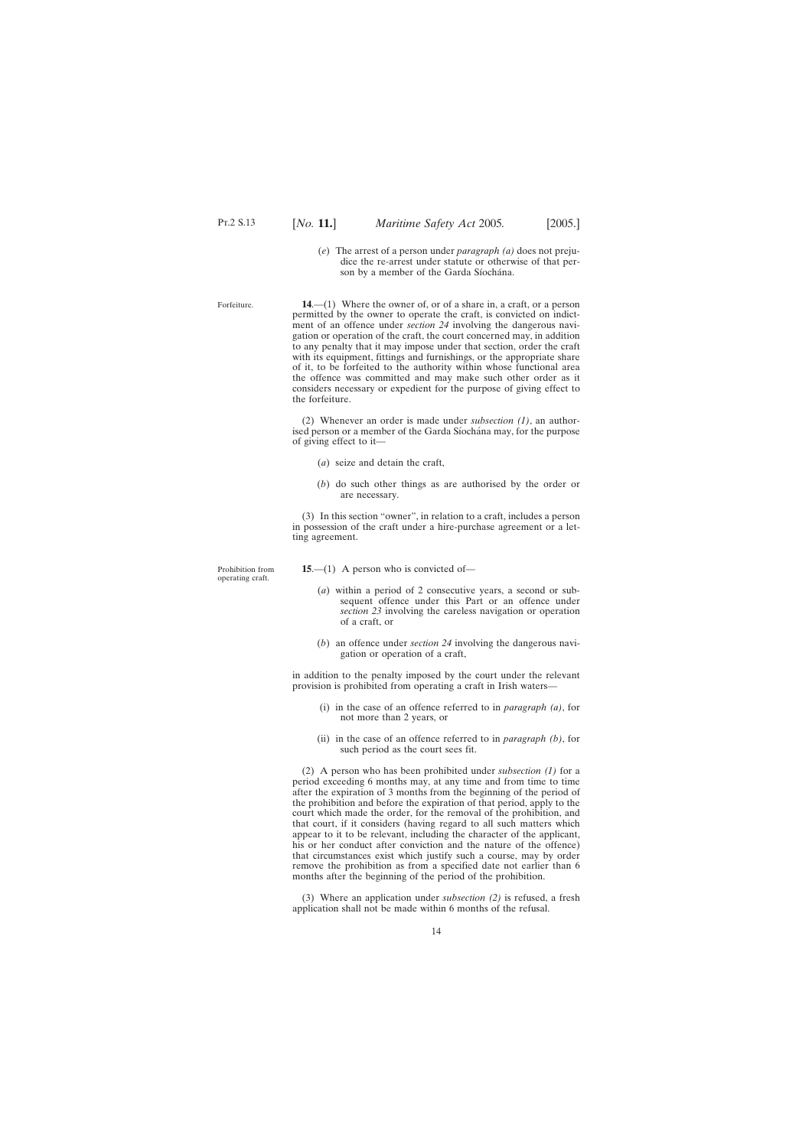<span id="page-13-0"></span>Forfeiture.

(*e*) The arrest of a person under *paragraph (a)* does not prejudice the re-arrest under statute or otherwise of that person by a member of the Garda Síochána.

**14**.—(1) Where the owner of, or of a share in, a craft, or a person permitted by the owner to operate the craft, is convicted on indictment of an offence under *section 24* involving the dangerous navigation or operation of the craft, the court concerned may, in addition to any penalty that it may impose under that section, order the craft with its equipment, fittings and furnishings, or the appropriate share of it, to be forfeited to the authority within whose functional area the offence was committed and may make such other order as it considers necessary or expedient for the purpose of giving effect to the forfeiture.

(2) Whenever an order is made under *subsection (1)*, an authorised person or a member of the Garda Síochána may, for the purpose of giving effect to it—

- (*a*) seize and detain the craft,
- (*b*) do such other things as are authorised by the order or are necessary.

(3) In this section "owner", in relation to a craft, includes a person in possession of the craft under a hire-purchase agreement or a letting agreement.

**15**.—(1) A person who is convicted of—

- (*a*) within a period of 2 consecutive years, a second or subsequent offence under this Part or an offence under *section 23* involving the careless navigation or operation of a craft, or
- (*b*) an offence under *section 24* involving the dangerous navigation or operation of a craft,

in addition to the penalty imposed by the court under the relevant provision is prohibited from operating a craft in Irish waters—

- (i) in the case of an offence referred to in *paragraph (a)*, for not more than 2 years, or
- (ii) in the case of an offence referred to in *paragraph (b)*, for such period as the court sees fit.

(2) A person who has been prohibited under *subsection (1)* for a period exceeding 6 months may, at any time and from time to time after the expiration of 3 months from the beginning of the period of the prohibition and before the expiration of that period, apply to the court which made the order, for the removal of the prohibition, and that court, if it considers (having regard to all such matters which appear to it to be relevant, including the character of the applicant, his or her conduct after conviction and the nature of the offence) that circumstances exist which justify such a course, may by order remove the prohibition as from a specified date not earlier than 6 months after the beginning of the period of the prohibition.

(3) Where an application under *subsection (2)* is refused, a fresh application shall not be made within 6 months of the refusal.

Prohibition from operating craft.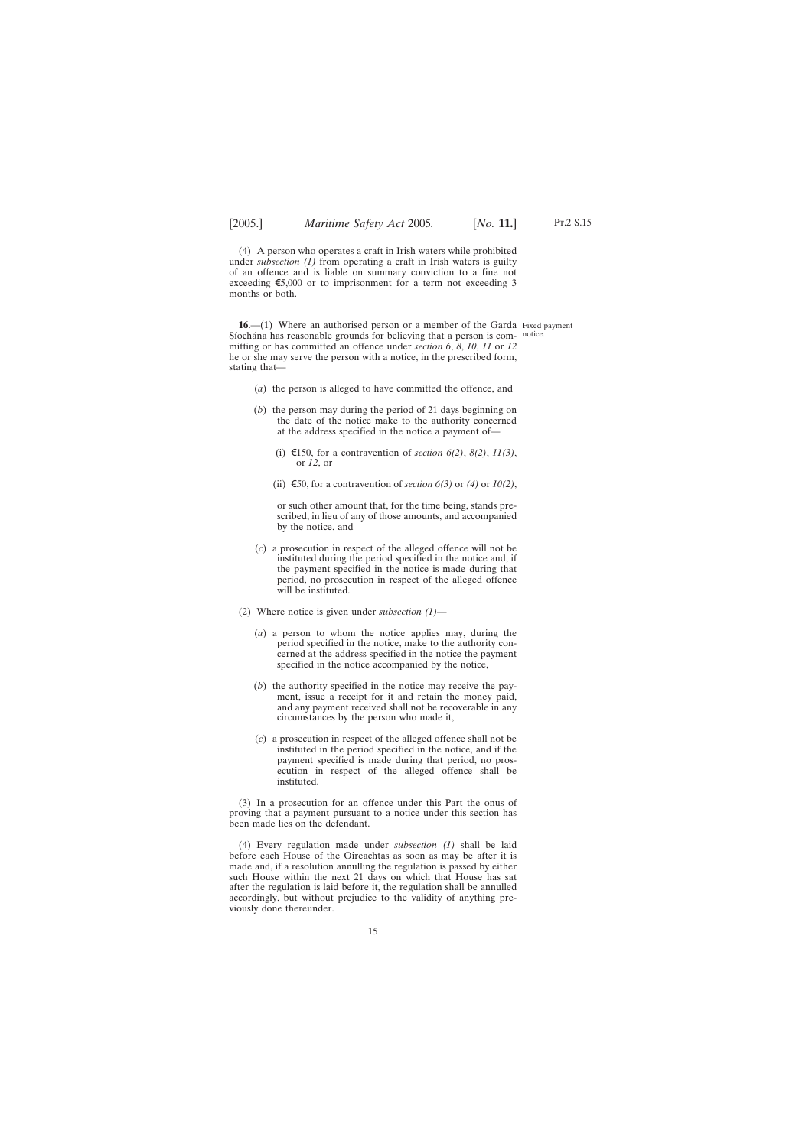<span id="page-14-0"></span>(4) A person who operates a craft in Irish waters while prohibited under *subsection (1)* from operating a craft in Irish waters is guilty of an offence and is liable on summary conviction to a fine not exceeding  $\epsilon$ 5,000 or to imprisonment for a term not exceeding 3 months or both.

**16.**—(1) Where an authorised person or a member of the Garda Fixed payment Síochána has reasonable grounds for believing that a person is com- notice. mitting or has committed an offence under *section 6*, *8*, *10*, *11* or *12* he or she may serve the person with a notice, in the prescribed form, stating that—

- (*a*) the person is alleged to have committed the offence, and
- (*b*) the person may during the period of 21 days beginning on the date of the notice make to the authority concerned at the address specified in the notice a payment of—
	- (i) €150, for a contravention of *section 6(2)*, *8(2)*, *11(3)*, or *12*, or
	- (ii)  $\epsilon$ 50, for a contravention of *section 6(3)* or *(4)* or *10(2)*,

or such other amount that, for the time being, stands prescribed, in lieu of any of those amounts, and accompanied by the notice, and

- (*c*) a prosecution in respect of the alleged offence will not be instituted during the period specified in the notice and, if the payment specified in the notice is made during that period, no prosecution in respect of the alleged offence will be instituted.
- (2) Where notice is given under *subsection (1)*
	- (*a*) a person to whom the notice applies may, during the period specified in the notice, make to the authority concerned at the address specified in the notice the payment specified in the notice accompanied by the notice,
	- (*b*) the authority specified in the notice may receive the payment, issue a receipt for it and retain the money paid, and any payment received shall not be recoverable in any circumstances by the person who made it,
	- (*c*) a prosecution in respect of the alleged offence shall not be instituted in the period specified in the notice, and if the payment specified is made during that period, no prosecution in respect of the alleged offence shall be instituted.

(3) In a prosecution for an offence under this Part the onus of proving that a payment pursuant to a notice under this section has been made lies on the defendant.

(4) Every regulation made under *subsection (1)* shall be laid before each House of the Oireachtas as soon as may be after it is made and, if a resolution annulling the regulation is passed by either such House within the next 21 days on which that House has sat after the regulation is laid before it, the regulation shall be annulled accordingly, but without prejudice to the validity of anything previously done thereunder.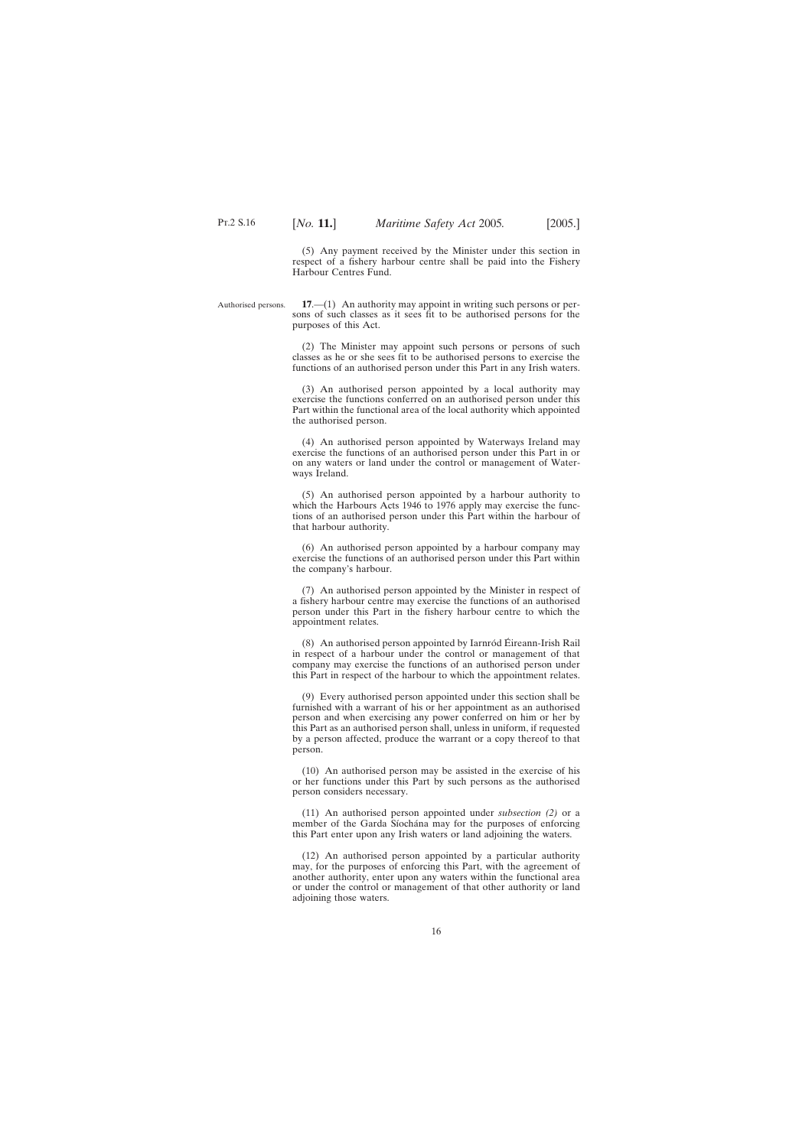(5) Any payment received by the Minister under this section in respect of a fishery harbour centre shall be paid into the Fishery Harbour Centres Fund.

<span id="page-15-0"></span>Authorised persons. **17**.—(1) An authority may appoint in writing such persons or persons of such classes as it sees fit to be authorised persons for the purposes of this Act.

> (2) The Minister may appoint such persons or persons of such classes as he or she sees fit to be authorised persons to exercise the functions of an authorised person under this Part in any Irish waters.

> (3) An authorised person appointed by a local authority may exercise the functions conferred on an authorised person under this Part within the functional area of the local authority which appointed the authorised person.

> (4) An authorised person appointed by Waterways Ireland may exercise the functions of an authorised person under this Part in or on any waters or land under the control or management of Waterways Ireland.

> (5) An authorised person appointed by a harbour authority to which the Harbours Acts 1946 to 1976 apply may exercise the functions of an authorised person under this Part within the harbour of that harbour authority.

> (6) An authorised person appointed by a harbour company may exercise the functions of an authorised person under this Part within the company's harbour.

> (7) An authorised person appointed by the Minister in respect of a fishery harbour centre may exercise the functions of an authorised person under this Part in the fishery harbour centre to which the appointment relates.

> $(8)$  An authorised person appointed by Iarnród Éireann-Irish Rail in respect of a harbour under the control or management of that company may exercise the functions of an authorised person under this Part in respect of the harbour to which the appointment relates.

> (9) Every authorised person appointed under this section shall be furnished with a warrant of his or her appointment as an authorised person and when exercising any power conferred on him or her by this Part as an authorised person shall, unless in uniform, if requested by a person affected, produce the warrant or a copy thereof to that person.

> (10) An authorised person may be assisted in the exercise of his or her functions under this Part by such persons as the authorised person considers necessary.

> (11) An authorised person appointed under *subsection (2)* or a member of the Garda Síochána may for the purposes of enforcing this Part enter upon any Irish waters or land adjoining the waters.

> (12) An authorised person appointed by a particular authority may, for the purposes of enforcing this Part, with the agreement of another authority, enter upon any waters within the functional area or under the control or management of that other authority or land adjoining those waters.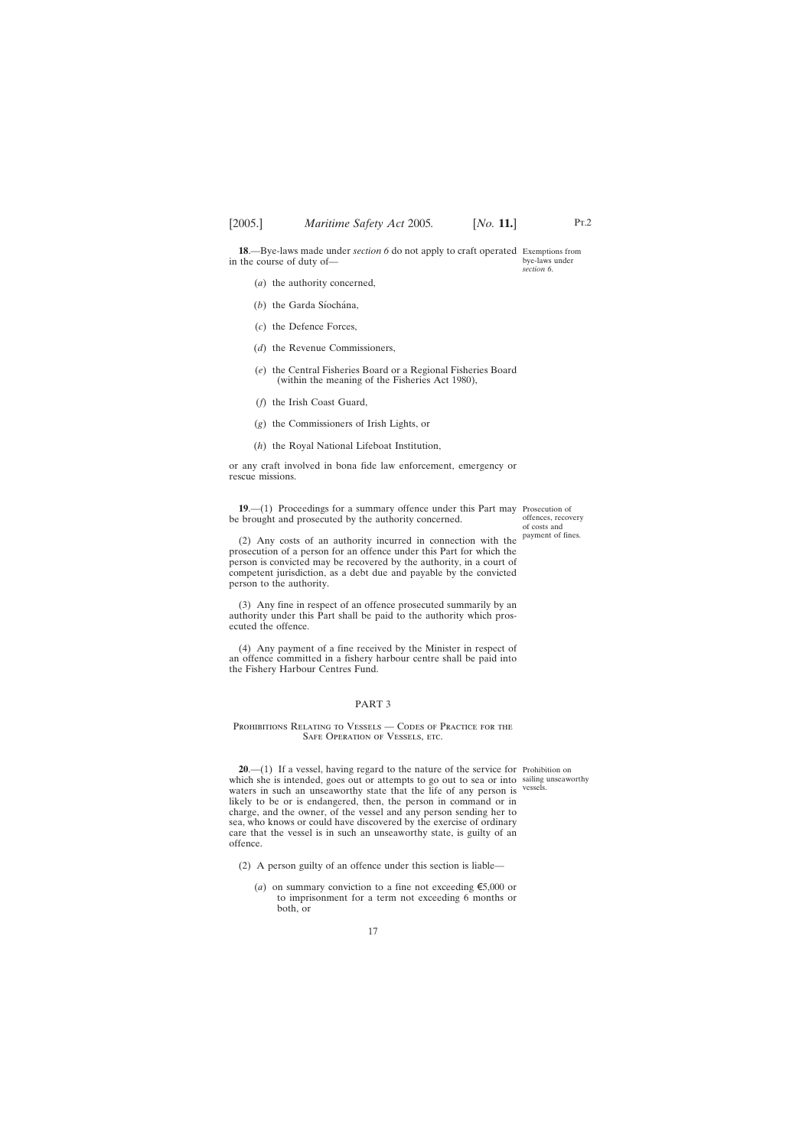<span id="page-16-0"></span>**18**.—Bye-laws made under *section 6* do not apply to craft operated Exemptions from in the course of duty of bye-laws under *section 6*.

- (*a*) the authority concerned,
- (b) the Garda Síochána,
- (*c*) the Defence Forces,
- (*d*) the Revenue Commissioners,
- (*e*) the Central Fisheries Board or a Regional Fisheries Board (within the meaning of the Fisheries Act 1980),
- (*f*) the Irish Coast Guard,
- (*g*) the Commissioners of Irish Lights, or
- (*h*) the Royal National Lifeboat Institution,

or any craft involved in bona fide law enforcement, emergency or rescue missions.

**19.**—(1) Proceedings for a summary offence under this Part may Prosecution of be brought and prosecuted by the authority concerned.

offences, recovery of costs and payment of fines.

(2) Any costs of an authority incurred in connection with the prosecution of a person for an offence under this Part for which the person is convicted may be recovered by the authority, in a court of competent jurisdiction, as a debt due and payable by the convicted person to the authority.

(3) Any fine in respect of an offence prosecuted summarily by an authority under this Part shall be paid to the authority which prosecuted the offence.

(4) Any payment of a fine received by the Minister in respect of an offence committed in a fishery harbour centre shall be paid into the Fishery Harbour Centres Fund.

## PART 3

## PROHIBITIONS RELATING TO VESSELS — CODES OF PRACTICE FOR THE SAFE OPERATION OF VESSELS, ETC.

vessels.

**20.**—(1) If a vessel, having regard to the nature of the service for Prohibition on which she is intended, goes out or attempts to go out to sea or into sailing unseaworthy waters in such an unseaworthy state that the life of any person is likely to be or is endangered, then, the person in command or in charge, and the owner, of the vessel and any person sending her to sea, who knows or could have discovered by the exercise of ordinary care that the vessel is in such an unseaworthy state, is guilty of an offence.

- (2) A person guilty of an offence under this section is liable—
	- (*a*) on summary conviction to a fine not exceeding  $\epsilon$ 5,000 or to imprisonment for a term not exceeding 6 months or both, or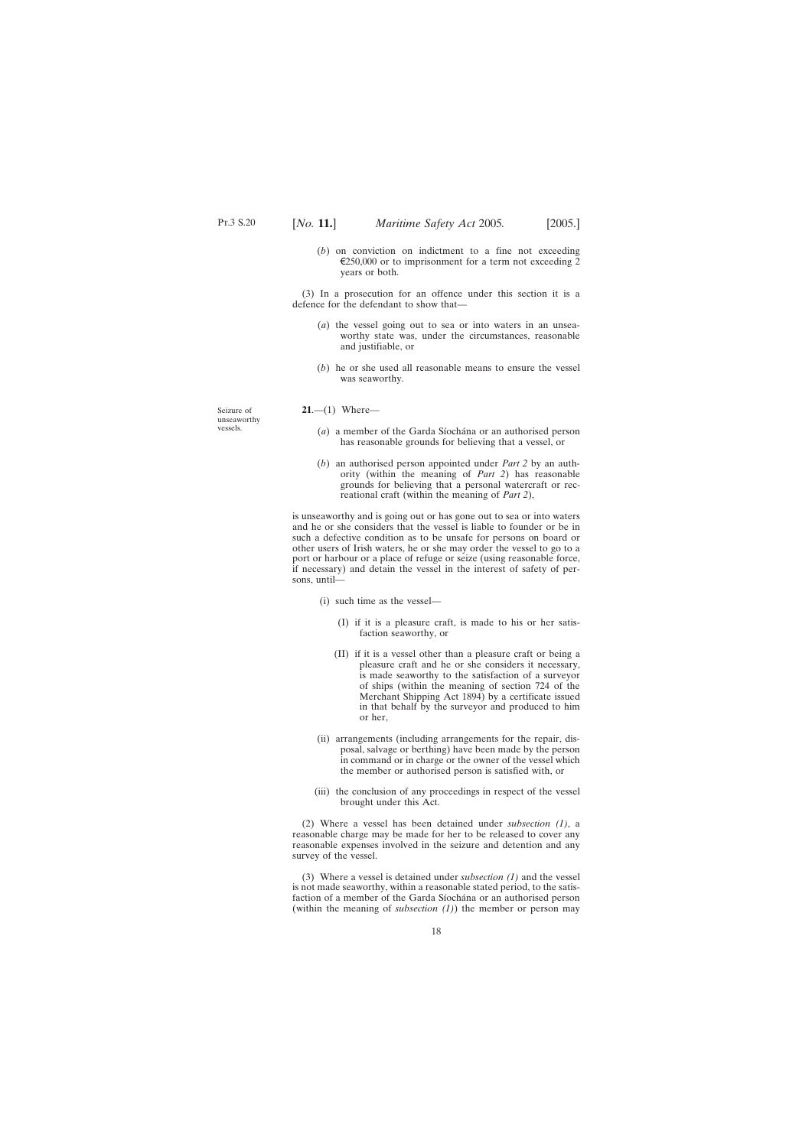(*b*) on conviction on indictment to a fine not exceeding  $\epsilon$ 250,000 or to imprisonment for a term not exceeding 2 years or both.

<span id="page-17-0"></span>(3) In a prosecution for an offence under this section it is a defence for the defendant to show that—

- (*a*) the vessel going out to sea or into waters in an unseaworthy state was, under the circumstances, reasonable and justifiable, or
- (*b*) he or she used all reasonable means to ensure the vessel was seaworthy.

**21**.—(1) Where—

- (*a*) a member of the Garda Síochána or an authorised person has reasonable grounds for believing that a vessel, or
- (*b*) an authorised person appointed under *Part 2* by an authority (within the meaning of *Part 2*) has reasonable grounds for believing that a personal watercraft or recreational craft (within the meaning of *Part 2*),

is unseaworthy and is going out or has gone out to sea or into waters and he or she considers that the vessel is liable to founder or be in such a defective condition as to be unsafe for persons on board or other users of Irish waters, he or she may order the vessel to go to a port or harbour or a place of refuge or seize (using reasonable force, if necessary) and detain the vessel in the interest of safety of persons, until—

- (i) such time as the vessel—
	- (I) if it is a pleasure craft, is made to his or her satisfaction seaworthy, or
	- (II) if it is a vessel other than a pleasure craft or being a pleasure craft and he or she considers it necessary, is made seaworthy to the satisfaction of a surveyor of ships (within the meaning of section 724 of the Merchant Shipping Act 1894) by a certificate issued in that behalf by the surveyor and produced to him or her,
- (ii) arrangements (including arrangements for the repair, disposal, salvage or berthing) have been made by the person in command or in charge or the owner of the vessel which the member or authorised person is satisfied with, or
- (iii) the conclusion of any proceedings in respect of the vessel brought under this Act.

(2) Where a vessel has been detained under *subsection (1)*, a reasonable charge may be made for her to be released to cover any reasonable expenses involved in the seizure and detention and any survey of the vessel.

(3) Where a vessel is detained under *subsection (1)* and the vessel is not made seaworthy, within a reasonable stated period, to the satisfaction of a member of the Garda Síochána or an authorised person (within the meaning of *subsection (1)*) the member or person may

Seizure of unseaworthy vessels.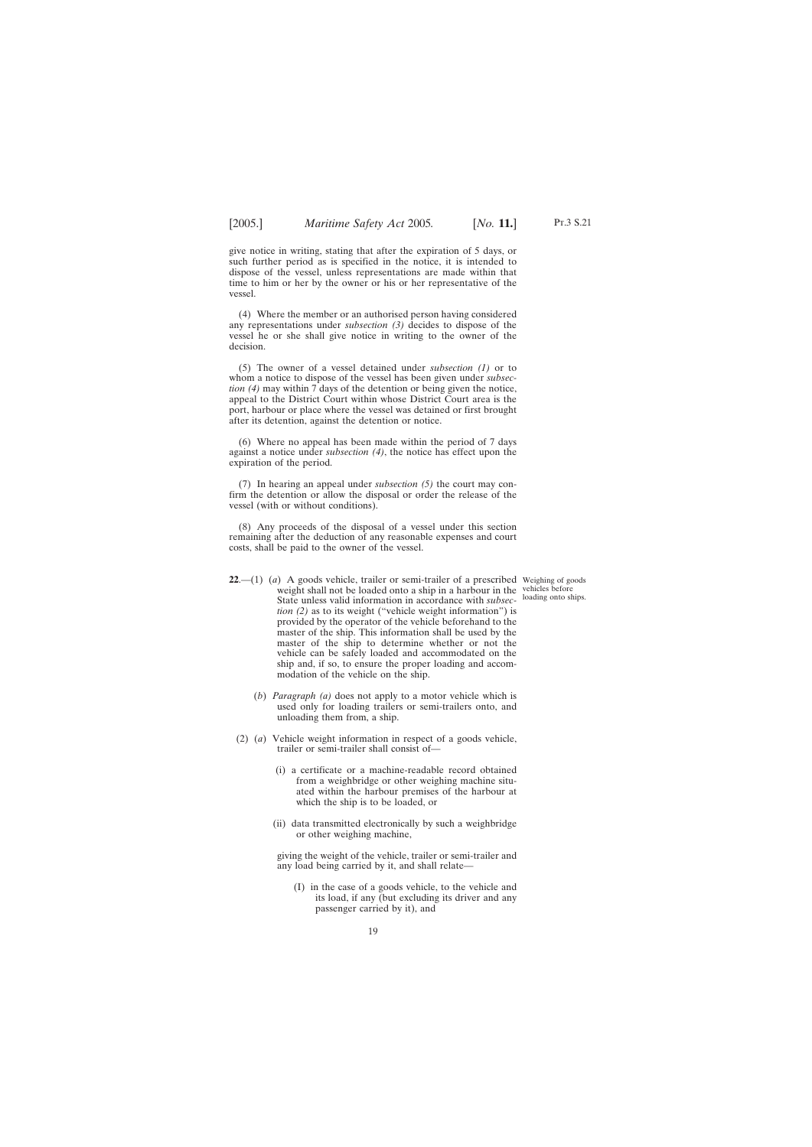<span id="page-18-0"></span>give notice in writing, stating that after the expiration of 5 days, or such further period as is specified in the notice, it is intended to dispose of the vessel, unless representations are made within that time to him or her by the owner or his or her representative of the vessel.

(4) Where the member or an authorised person having considered any representations under *subsection (3)* decides to dispose of the vessel he or she shall give notice in writing to the owner of the decision.

(5) The owner of a vessel detained under *subsection (1)* or to whom a notice to dispose of the vessel has been given under *subsection (4)* may within 7 days of the detention or being given the notice, appeal to the District Court within whose District Court area is the port, harbour or place where the vessel was detained or first brought after its detention, against the detention or notice.

(6) Where no appeal has been made within the period of 7 days against a notice under *subsection (4)*, the notice has effect upon the expiration of the period.

(7) In hearing an appeal under *subsection (5)* the court may confirm the detention or allow the disposal or order the release of the vessel (with or without conditions).

(8) Any proceeds of the disposal of a vessel under this section remaining after the deduction of any reasonable expenses and court costs, shall be paid to the owner of the vessel.

loading onto ships.

- **22**.—(1) (*a*) A goods vehicle, trailer or semi-trailer of a prescribed Weighing of goods weight shall not be loaded onto a ship in a harbour in the vehicles before State unless valid information in accordance with *subsection (2)* as to its weight ("vehicle weight information") is provided by the operator of the vehicle beforehand to the master of the ship. This information shall be used by the master of the ship to determine whether or not the vehicle can be safely loaded and accommodated on the ship and, if so, to ensure the proper loading and accommodation of the vehicle on the ship.
	- (*b*) *Paragraph (a)* does not apply to a motor vehicle which is used only for loading trailers or semi-trailers onto, and unloading them from, a ship.
	- (2) (*a*) Vehicle weight information in respect of a goods vehicle, trailer or semi-trailer shall consist of—
		- (i) a certificate or a machine-readable record obtained from a weighbridge or other weighing machine situated within the harbour premises of the harbour at which the ship is to be loaded, or
		- (ii) data transmitted electronically by such a weighbridge or other weighing machine,

giving the weight of the vehicle, trailer or semi-trailer and any load being carried by it, and shall relate—

(I) in the case of a goods vehicle, to the vehicle and its load, if any (but excluding its driver and any passenger carried by it), and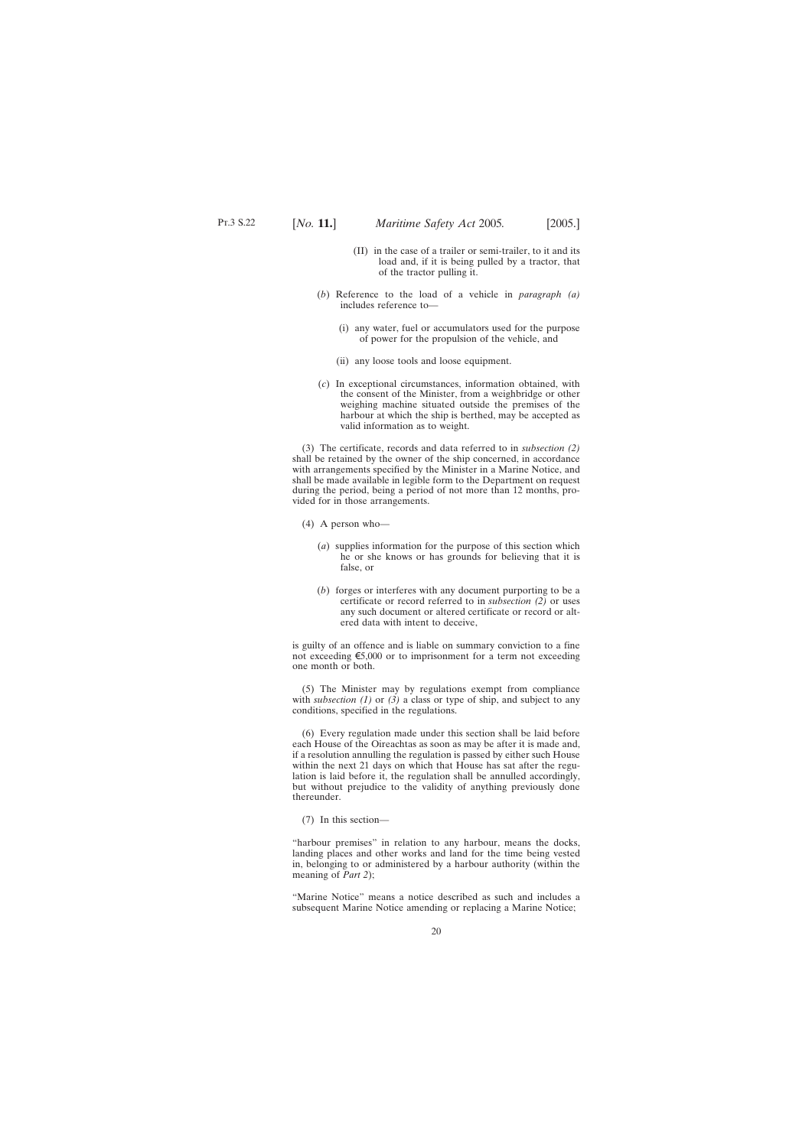- (II) in the case of a trailer or semi-trailer, to it and its load and, if it is being pulled by a tractor, that of the tractor pulling it.
- (*b*) Reference to the load of a vehicle in *paragraph (a)* includes reference to—
	- (i) any water, fuel or accumulators used for the purpose of power for the propulsion of the vehicle, and
	- (ii) any loose tools and loose equipment.
- (*c*) In exceptional circumstances, information obtained, with the consent of the Minister, from a weighbridge or other weighing machine situated outside the premises of the harbour at which the ship is berthed, may be accepted as valid information as to weight.

(3) The certificate, records and data referred to in *subsection (2)* shall be retained by the owner of the ship concerned, in accordance with arrangements specified by the Minister in a Marine Notice, and shall be made available in legible form to the Department on request during the period, being a period of not more than 12 months, provided for in those arrangements.

- (4) A person who—
	- (*a*) supplies information for the purpose of this section which he or she knows or has grounds for believing that it is false, or
	- (*b*) forges or interferes with any document purporting to be a certificate or record referred to in *subsection (2)* or uses any such document or altered certificate or record or altered data with intent to deceive,

is guilty of an offence and is liable on summary conviction to a fine not exceeding  $\epsilon$ 5,000 or to imprisonment for a term not exceeding one month or both.

(5) The Minister may by regulations exempt from compliance with *subsection* (1) or (3) a class or type of ship, and subject to any conditions, specified in the regulations.

(6) Every regulation made under this section shall be laid before each House of the Oireachtas as soon as may be after it is made and, if a resolution annulling the regulation is passed by either such House within the next 21 days on which that House has sat after the regulation is laid before it, the regulation shall be annulled accordingly, but without prejudice to the validity of anything previously done thereunder.

(7) In this section—

"harbour premises" in relation to any harbour, means the docks, landing places and other works and land for the time being vested in, belonging to or administered by a harbour authority (within the meaning of *Part 2*);

"Marine Notice" means a notice described as such and includes a subsequent Marine Notice amending or replacing a Marine Notice;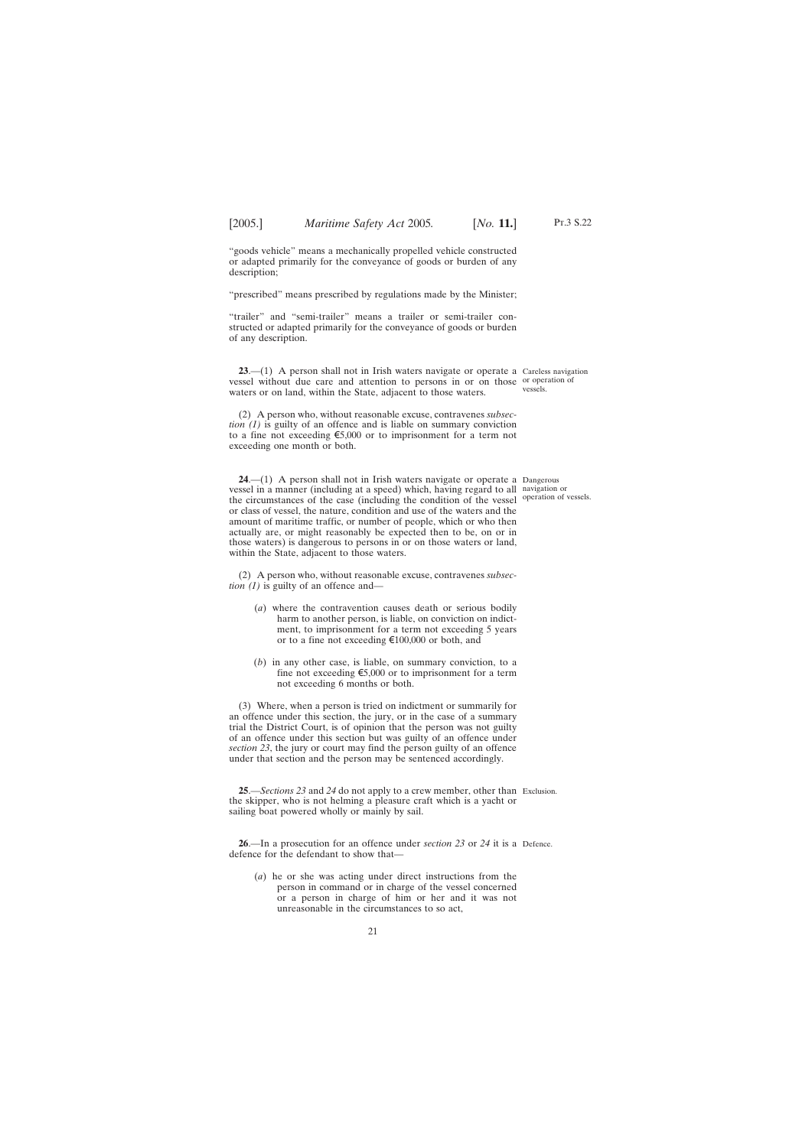<span id="page-20-0"></span>"goods vehicle" means a mechanically propelled vehicle constructed or adapted primarily for the conveyance of goods or burden of any description;

"prescribed" means prescribed by regulations made by the Minister;

"trailer" and "semi-trailer" means a trailer or semi-trailer constructed or adapted primarily for the conveyance of goods or burden of any description.

**23**.—(1) A person shall not in Irish waters navigate or operate a Careless navigation vessel without due care and attention to persons in or on those or operation of waters or on land, within the State, adjacent to those waters.

(2) A person who, without reasonable excuse, contravenes *subsection (1)* is guilty of an offence and is liable on summary conviction to a fine not exceeding  $\epsilon$ 5,000 or to imprisonment for a term not exceeding one month or both.

**24**.—(1) A person shall not in Irish waters navigate or operate a Dangerous vessel in a manner (including at a speed) which, having regard to all navigation or the circumstances of the case (including the condition of the vessel operation of vessels. or class of vessel, the nature, condition and use of the waters and the amount of maritime traffic, or number of people, which or who then actually are, or might reasonably be expected then to be, on or in those waters) is dangerous to persons in or on those waters or land, within the State, adjacent to those waters.

(2) A person who, without reasonable excuse, contravenes *subsection (1)* is guilty of an offence and—

- (*a*) where the contravention causes death or serious bodily harm to another person, is liable, on conviction on indictment, to imprisonment for a term not exceeding 5 years or to a fine not exceeding  $\text{\textsterling}100,000$  or both, and
- (*b*) in any other case, is liable, on summary conviction, to a fine not exceeding  $\epsilon$ 5,000 or to imprisonment for a term not exceeding 6 months or both.

(3) Where, when a person is tried on indictment or summarily for an offence under this section, the jury, or in the case of a summary trial the District Court, is of opinion that the person was not guilty of an offence under this section but was guilty of an offence under *section 23*, the jury or court may find the person guilty of an offence under that section and the person may be sentenced accordingly.

**25**.—*Sections 23* and *24* do not apply to a crew member, other than Exclusion. the skipper, who is not helming a pleasure craft which is a yacht or sailing boat powered wholly or mainly by sail.

**26**.—In a prosecution for an offence under *section 23* or *24* it is a Defence.defence for the defendant to show that—

(*a*) he or she was acting under direct instructions from the person in command or in charge of the vessel concerned or a person in charge of him or her and it was not unreasonable in the circumstances to so act,

vessels.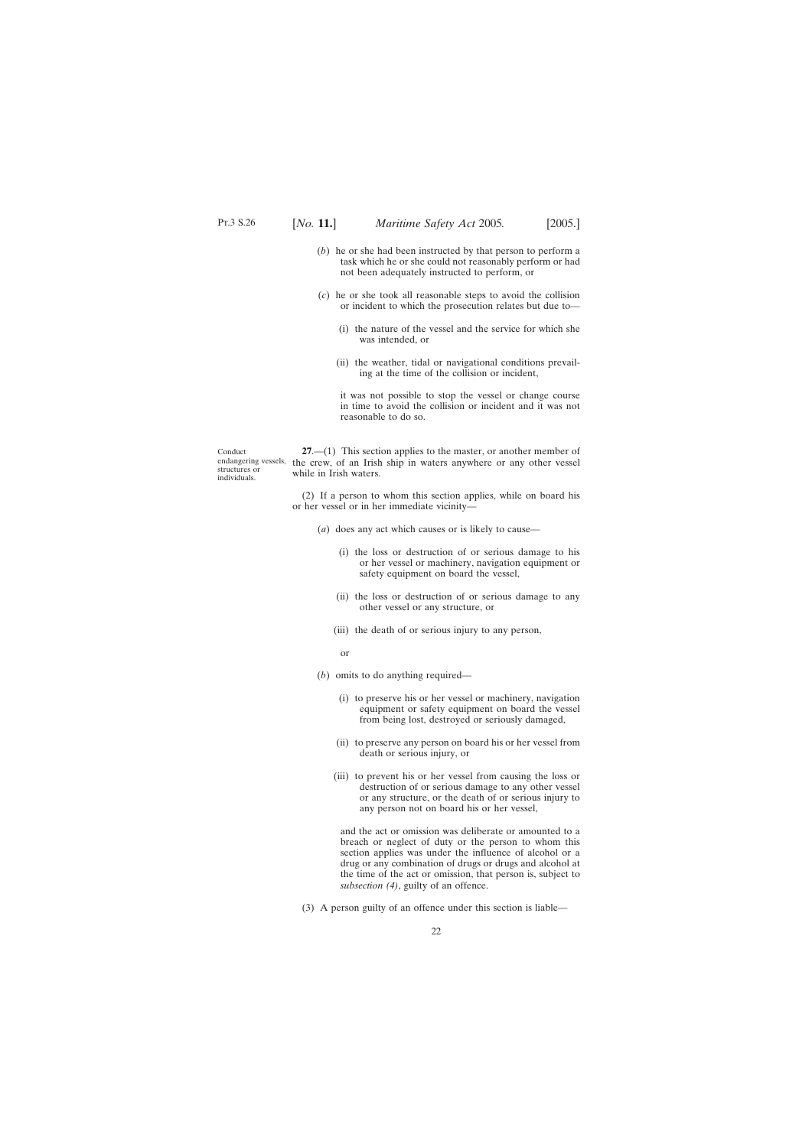- <span id="page-21-0"></span>(*b*) he or she had been instructed by that person to perform a task which he or she could not reasonably perform or had not been adequately instructed to perform, or
- (*c*) he or she took all reasonable steps to avoid the collision or incident to which the prosecution relates but due to—
	- (i) the nature of the vessel and the service for which she was intended, or
	- (ii) the weather, tidal or navigational conditions prevailing at the time of the collision or incident,

it was not possible to stop the vessel or change course in time to avoid the collision or incident and it was not reasonable to do so.

Conduct endangering vessels, the crew, of an Irish ship in waters anywhere or any other vessel structures or individuals. **27**.—(1) This section applies to the master, or another member of while in Irish waters.

> (2) If a person to whom this section applies, while on board his or her vessel or in her immediate vicinity—

- (*a*) does any act which causes or is likely to cause—
	- (i) the loss or destruction of or serious damage to his or her vessel or machinery, navigation equipment or safety equipment on board the vessel,
	- (ii) the loss or destruction of or serious damage to any other vessel or any structure, or
	- (iii) the death of or serious injury to any person,
		- or

(*b*) omits to do anything required—

- (i) to preserve his or her vessel or machinery, navigation equipment or safety equipment on board the vessel from being lost, destroyed or seriously damaged,
- (ii) to preserve any person on board his or her vessel from death or serious injury, or
- (iii) to prevent his or her vessel from causing the loss or destruction of or serious damage to any other vessel or any structure, or the death of or serious injury to any person not on board his or her vessel,

and the act or omission was deliberate or amounted to a breach or neglect of duty or the person to whom this section applies was under the influence of alcohol or a drug or any combination of drugs or drugs and alcohol at the time of the act or omission, that person is, subject to *subsection (4)*, guilty of an offence.

(3) A person guilty of an offence under this section is liable—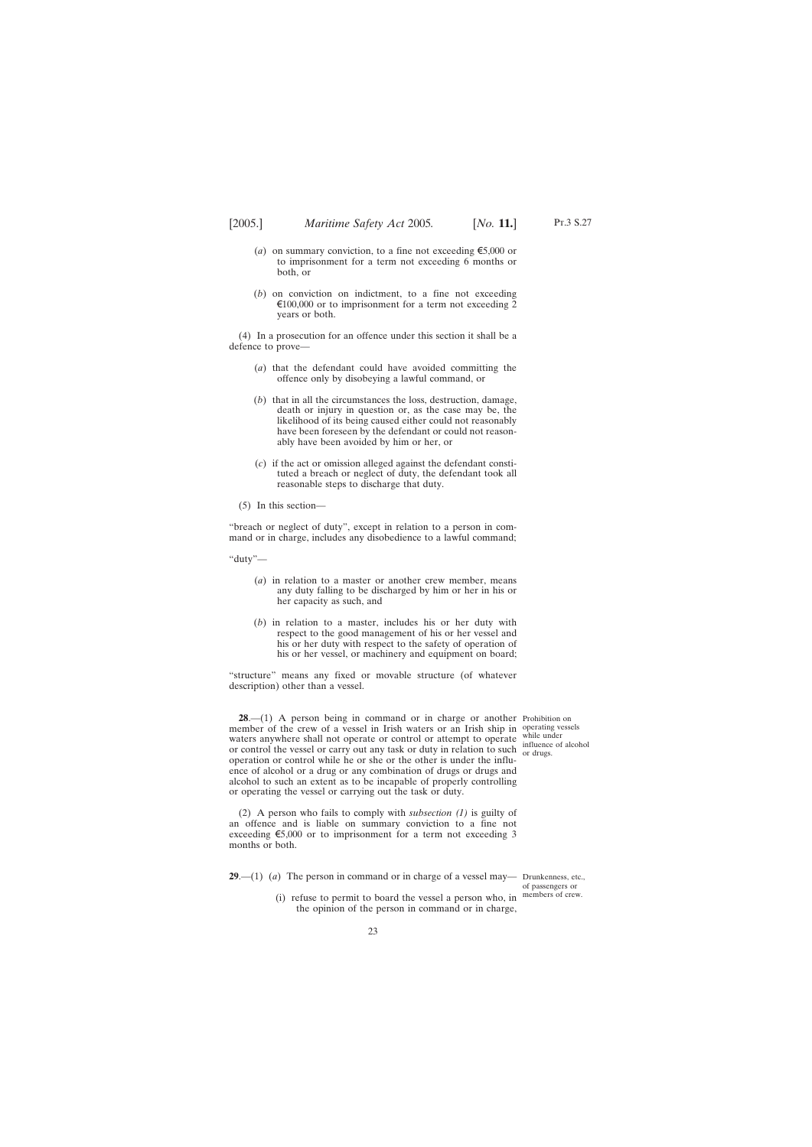- <span id="page-22-0"></span>(*a*) on summary conviction, to a fine not exceeding  $\epsilon$ 5,000 or to imprisonment for a term not exceeding 6 months or both, or
- (*b*) on conviction on indictment, to a fine not exceeding  $\epsilon$ 100,000 or to imprisonment for a term not exceeding 2 years or both.

(4) In a prosecution for an offence under this section it shall be a defence to prove—

- (*a*) that the defendant could have avoided committing the offence only by disobeying a lawful command, or
- (*b*) that in all the circumstances the loss, destruction, damage, death or injury in question or, as the case may be, the likelihood of its being caused either could not reasonably have been foreseen by the defendant or could not reasonably have been avoided by him or her, or
- (*c*) if the act or omission alleged against the defendant constituted a breach or neglect of duty, the defendant took all reasonable steps to discharge that duty.

(5) In this section—

"breach or neglect of duty", except in relation to a person in command or in charge, includes any disobedience to a lawful command;

"duty"—

- (*a*) in relation to a master or another crew member, means any duty falling to be discharged by him or her in his or her capacity as such, and
- (*b*) in relation to a master, includes his or her duty with respect to the good management of his or her vessel and his or her duty with respect to the safety of operation of his or her vessel, or machinery and equipment on board;

"structure" means any fixed or movable structure (of whatever description) other than a vessel.

**28.**—(1) A person being in command or in charge or another Prohibition on member of the crew of a vessel in Irish waters or an Irish ship in operating vessels waters anywhere shall not operate or control or attempt to operate while under or control the vessel or carry out any task or duty in relation to such or drugs. operation or control while he or she or the other is under the influence of alcohol or a drug or any combination of drugs or drugs and alcohol to such an extent as to be incapable of properly controlling or operating the vessel or carrying out the task or duty.

influence of alcohol

(2) A person who fails to comply with *subsection (1)* is guilty of an offence and is liable on summary conviction to a fine not exceeding  $\epsilon$ 5,000 or to imprisonment for a term not exceeding 3 months or both.

**29**.—(1) (*a*) The person in command or in charge of a vessel may— Drunkenness, etc.,

(i) refuse to permit to board the vessel a person who, in the opinion of the person in command or in charge,

of passengers or members of crew.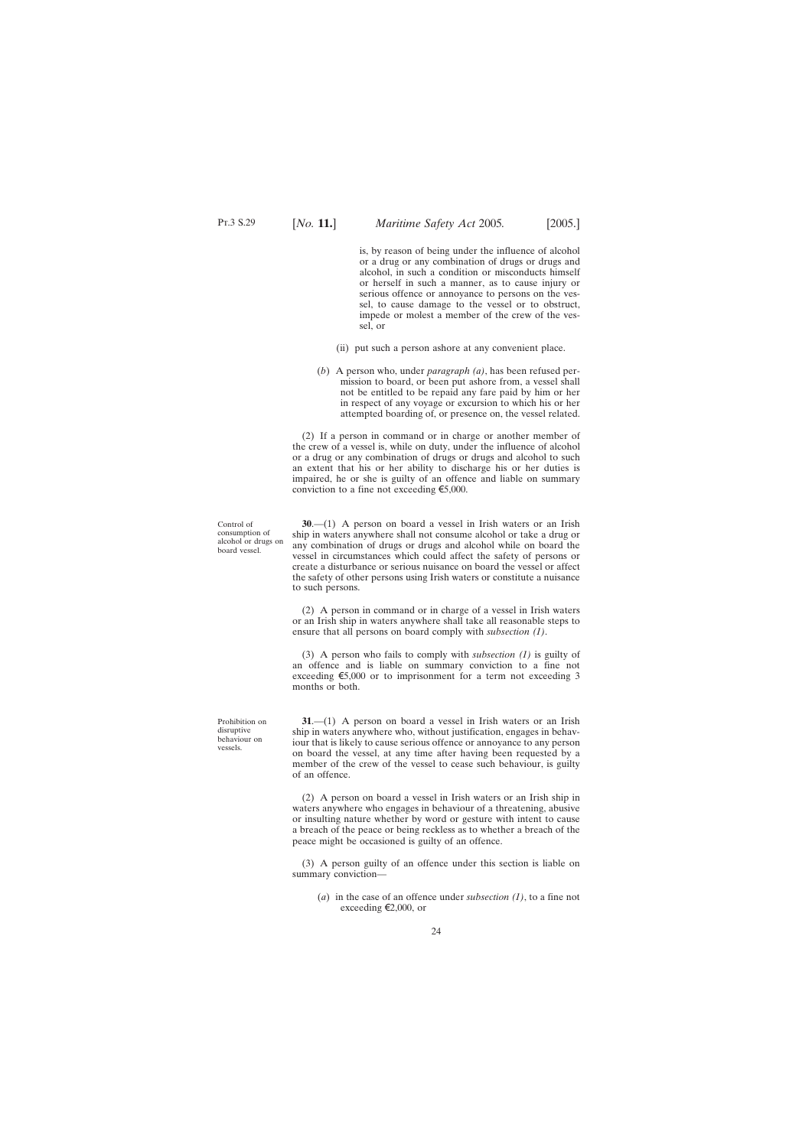<span id="page-23-0"></span>is, by reason of being under the influence of alcohol or a drug or any combination of drugs or drugs and alcohol, in such a condition or misconducts himself or herself in such a manner, as to cause injury or serious offence or annoyance to persons on the vessel, to cause damage to the vessel or to obstruct, impede or molest a member of the crew of the vessel, or

- (ii) put such a person ashore at any convenient place.
- (*b*) A person who, under *paragraph (a)*, has been refused permission to board, or been put ashore from, a vessel shall not be entitled to be repaid any fare paid by him or her in respect of any voyage or excursion to which his or her attempted boarding of, or presence on, the vessel related.

(2) If a person in command or in charge or another member of the crew of a vessel is, while on duty, under the influence of alcohol or a drug or any combination of drugs or drugs and alcohol to such an extent that his or her ability to discharge his or her duties is impaired, he or she is guilty of an offence and liable on summary conviction to a fine not exceeding  $\epsilon$ 5,000.

**30**.—(1) A person on board a vessel in Irish waters or an Irish ship in waters anywhere shall not consume alcohol or take a drug or any combination of drugs or drugs and alcohol while on board the vessel in circumstances which could affect the safety of persons or create a disturbance or serious nuisance on board the vessel or affect the safety of other persons using Irish waters or constitute a nuisance to such persons.

(2) A person in command or in charge of a vessel in Irish waters or an Irish ship in waters anywhere shall take all reasonable steps to ensure that all persons on board comply with *subsection (1)*.

(3) A person who fails to comply with *subsection (1)* is guilty of an offence and is liable on summary conviction to a fine not exceeding  $\epsilon$ 5,000 or to imprisonment for a term not exceeding 3 months or both.

**31**.—(1) A person on board a vessel in Irish waters or an Irish ship in waters anywhere who, without justification, engages in behaviour that is likely to cause serious offence or annoyance to any person on board the vessel, at any time after having been requested by a member of the crew of the vessel to cease such behaviour, is guilty of an offence.

(2) A person on board a vessel in Irish waters or an Irish ship in waters anywhere who engages in behaviour of a threatening, abusive or insulting nature whether by word or gesture with intent to cause a breach of the peace or being reckless as to whether a breach of the peace might be occasioned is guilty of an offence.

(3) A person guilty of an offence under this section is liable on summary conviction—

(*a*) in the case of an offence under *subsection (1)*, to a fine not exceeding  $\epsilon$ 2,000, or

Control of consumption of alcohol or drugs on board vessel.

Prohibition on disruptive behaviour on vessels.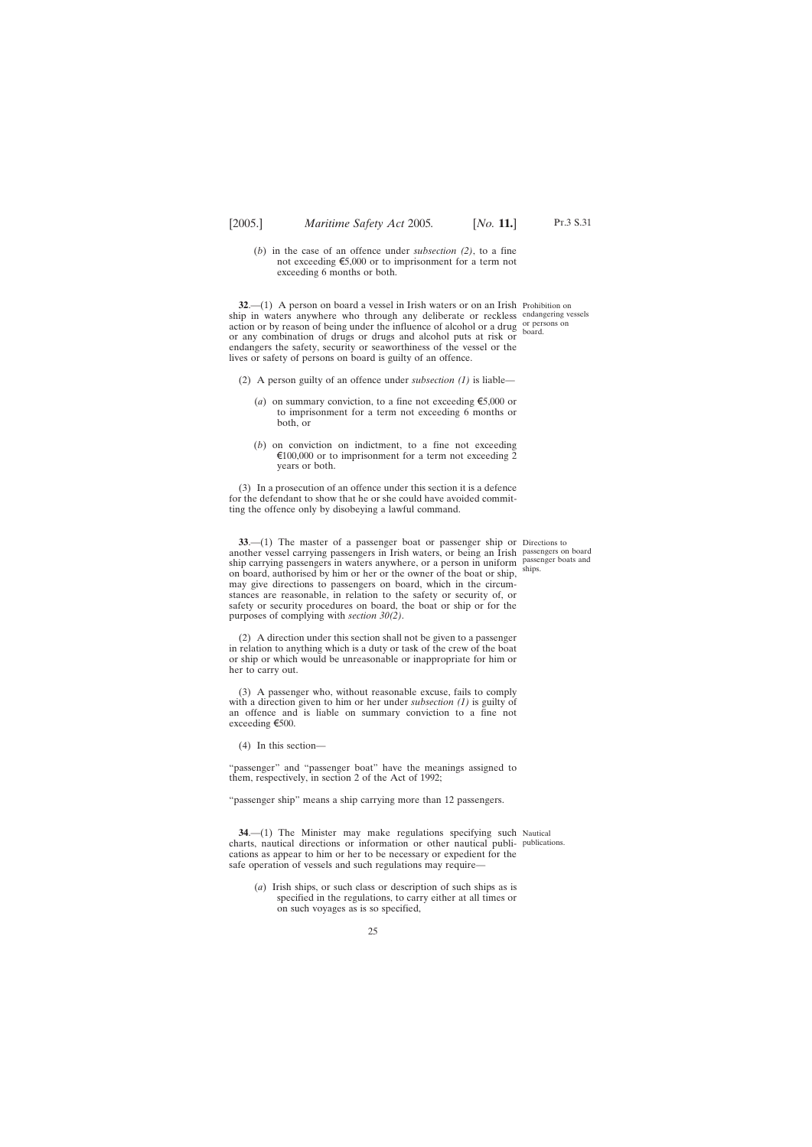<span id="page-24-0"></span>(*b*) in the case of an offence under *subsection (2)*, to a fine not exceeding  $\epsilon$ 5,000 or to imprisonment for a term not exceeding 6 months or both.

**32.**—(1) A person on board a vessel in Irish waters or on an Irish Prohibition on ship in waters anywhere who through any deliberate or reckless endangering vessels  $\alpha$  action or by reason of being under the influence of alcohol or a drug  $\alpha$  persons on or any combination of drugs or drugs and alcohol puts at risk or endangers the safety, security or seaworthiness of the vessel or the lives or safety of persons on board is guilty of an offence.

- (2) A person guilty of an offence under *subsection (1)* is liable—
	- (*a*) on summary conviction, to a fine not exceeding  $\epsilon$ 5,000 or to imprisonment for a term not exceeding 6 months or both, or
	- (*b*) on conviction on indictment, to a fine not exceeding  $\epsilon$ 100,000 or to imprisonment for a term not exceeding 2 years or both.

(3) In a prosecution of an offence under this section it is a defence for the defendant to show that he or she could have avoided committing the offence only by disobeying a lawful command.

**33**.—(1) The master of a passenger boat or passenger ship or Directions to another vessel carrying passengers in Irish waters, or being an Irish passengers on board ship carrying passengers in waters anywhere, or a person in uniform passenger boats and on board, authorised by him or her or the owner of the boat or ship, may give directions to passengers on board, which in the circumstances are reasonable, in relation to the safety or security of, or safety or security procedures on board, the boat or ship or for the purposes of complying with *section 30(2)*.

(2) A direction under this section shall not be given to a passenger in relation to anything which is a duty or task of the crew of the boat or ship or which would be unreasonable or inappropriate for him or her to carry out.

(3) A passenger who, without reasonable excuse, fails to comply with a direction given to him or her under *subsection (1)* is guilty of an offence and is liable on summary conviction to a fine not exceeding  $\epsilon$ 500.

(4) In this section—

"passenger" and "passenger boat" have the meanings assigned to them, respectively, in section 2 of the Act of 1992;

"passenger ship" means a ship carrying more than 12 passengers.

**34.**—(1) The Minister may make regulations specifying such Nautical charts, nautical directions or information or other nautical publi-publications.cations as appear to him or her to be necessary or expedient for the safe operation of vessels and such regulations may require—

(*a*) Irish ships, or such class or description of such ships as is specified in the regulations, to carry either at all times or on such voyages as is so specified,

board.

ships.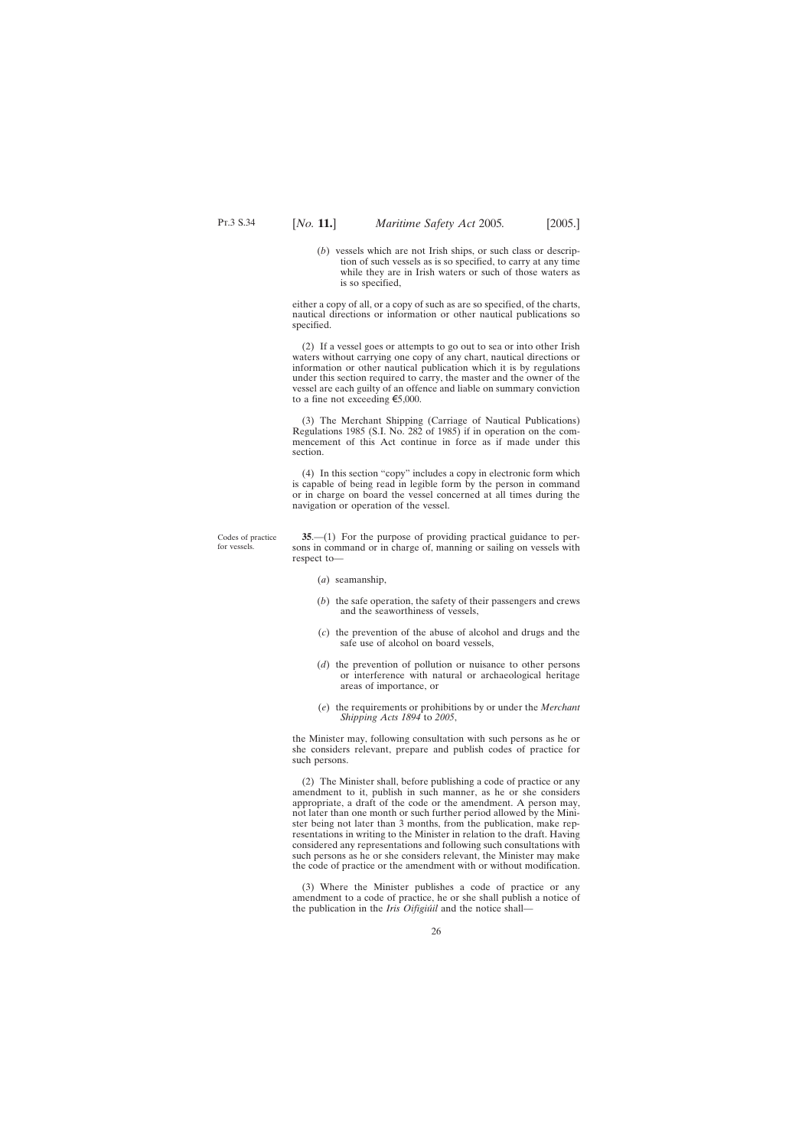Codes of practice for vessels.

<span id="page-25-0"></span>(*b*) vessels which are not Irish ships, or such class or description of such vessels as is so specified, to carry at any time while they are in Irish waters or such of those waters as is so specified,

either a copy of all, or a copy of such as are so specified, of the charts, nautical directions or information or other nautical publications so specified.

(2) If a vessel goes or attempts to go out to sea or into other Irish waters without carrying one copy of any chart, nautical directions or information or other nautical publication which it is by regulations under this section required to carry, the master and the owner of the vessel are each guilty of an offence and liable on summary conviction to a fine not exceeding  $\epsilon$ 5,000.

(3) The Merchant Shipping (Carriage of Nautical Publications) Regulations 1985 (S.I. No. 282 of 1985) if in operation on the commencement of this Act continue in force as if made under this section.

(4) In this section "copy" includes a copy in electronic form which is capable of being read in legible form by the person in command or in charge on board the vessel concerned at all times during the navigation or operation of the vessel.

**35**.—(1) For the purpose of providing practical guidance to persons in command or in charge of, manning or sailing on vessels with respect to—

- (*a*) seamanship,
- (*b*) the safe operation, the safety of their passengers and crews and the seaworthiness of vessels,
- (*c*) the prevention of the abuse of alcohol and drugs and the safe use of alcohol on board vessels,
- (*d*) the prevention of pollution or nuisance to other persons or interference with natural or archaeological heritage areas of importance, or
- (*e*) the requirements or prohibitions by or under the *Merchant Shipping Acts 1894* to *2005*,

the Minister may, following consultation with such persons as he or she considers relevant, prepare and publish codes of practice for such persons.

(2) The Minister shall, before publishing a code of practice or any amendment to it, publish in such manner, as he or she considers appropriate, a draft of the code or the amendment. A person may, not later than one month or such further period allowed by the Minister being not later than 3 months, from the publication, make representations in writing to the Minister in relation to the draft. Having considered any representations and following such consultations with such persons as he or she considers relevant, the Minister may make the code of practice or the amendment with or without modification.

(3) Where the Minister publishes a code of practice or any amendment to a code of practice, he or she shall publish a notice of the publication in the *Iris Oifigiúil* and the notice shall-

26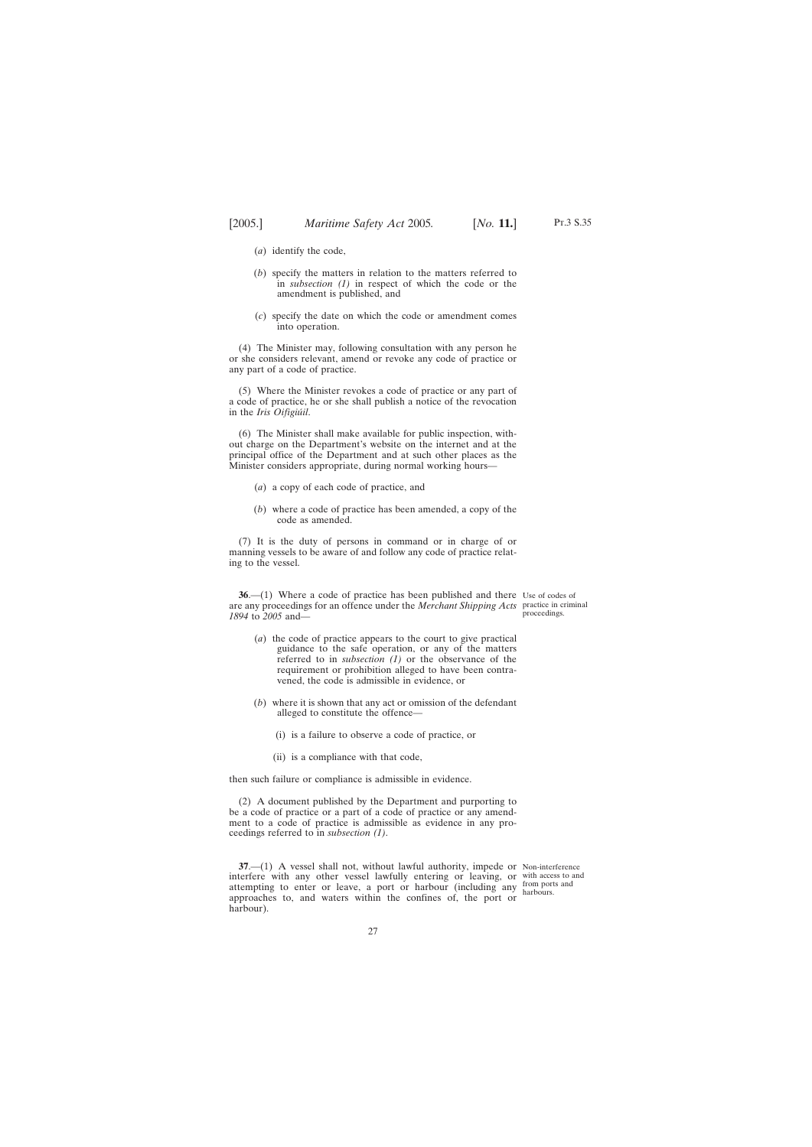Pt.3 S.35

- <span id="page-26-0"></span>(*a*) identify the code,
- (*b*) specify the matters in relation to the matters referred to in *subsection (1)* in respect of which the code or the amendment is published, and
- (*c*) specify the date on which the code or amendment comes into operation.

(4) The Minister may, following consultation with any person he or she considers relevant, amend or revoke any code of practice or any part of a code of practice.

(5) Where the Minister revokes a code of practice or any part of a code of practice, he or she shall publish a notice of the revocation in the *Iris Oifigiúil*.

(6) The Minister shall make available for public inspection, without charge on the Department's website on the internet and at the principal office of the Department and at such other places as the Minister considers appropriate, during normal working hours—

- (*a*) a copy of each code of practice, and
- (*b*) where a code of practice has been amended, a copy of the code as amended.

(7) It is the duty of persons in command or in charge of or manning vessels to be aware of and follow any code of practice relating to the vessel.

**36.**—(1) Where a code of practice has been published and there Use of codes of are any proceedings for an offence under the *Merchant Shipping Acts* practice in criminal *1894* to *2005* and—

- (*a*) the code of practice appears to the court to give practical guidance to the safe operation, or any of the matters referred to in *subsection (1)* or the observance of the requirement or prohibition alleged to have been contravened, the code is admissible in evidence, or
- (*b*) where it is shown that any act or omission of the defendant alleged to constitute the offence—
	- (i) is a failure to observe a code of practice, or
	- (ii) is a compliance with that code,

then such failure or compliance is admissible in evidence.

(2) A document published by the Department and purporting to be a code of practice or a part of a code of practice or any amendment to a code of practice is admissible as evidence in any proceedings referred to in *subsection (1)*.

**37.**—(1) A vessel shall not, without lawful authority, impede or Non-interference interfere with any other vessel lawfully entering or leaving, or with access to and attempting to enter or leave, a port or harbour (including any approaches to, and waters within the confines of, the port or harbour).

from ports and harbours.

proceedings.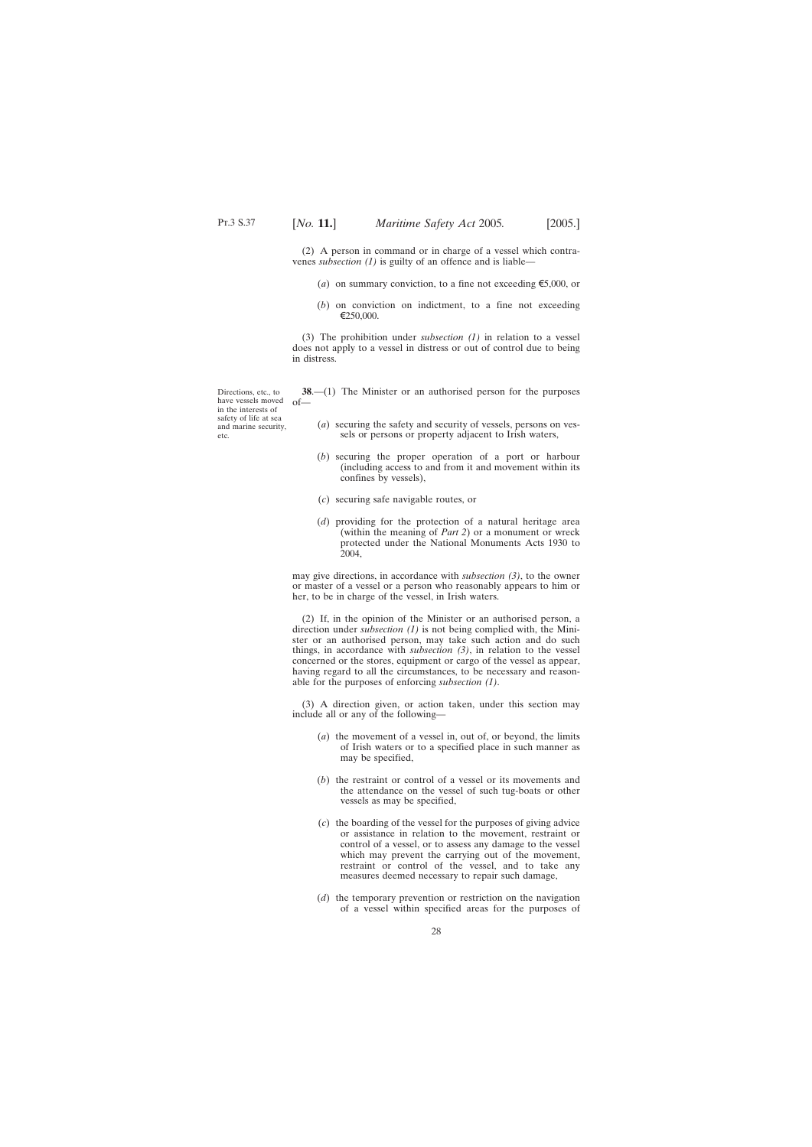<span id="page-27-0"></span>(2) A person in command or in charge of a vessel which contravenes *subsection (1)* is guilty of an offence and is liable—

- (*a*) on summary conviction, to a fine not exceeding  $\epsilon$ 5,000, or
- (*b*) on conviction on indictment, to a fine not exceeding  $€250,000.$

(3) The prohibition under *subsection (1)* in relation to a vessel does not apply to a vessel in distress or out of control due to being in distress.

**38**.—(1) The Minister or an authorised person for the purposes

- (*a*) securing the safety and security of vessels, persons on vessels or persons or property adjacent to Irish waters,
- (*b*) securing the proper operation of a port or harbour (including access to and from it and movement within its confines by vessels),
- (*c*) securing safe navigable routes, or
- (*d*) providing for the protection of a natural heritage area (within the meaning of *Part 2*) or a monument or wreck protected under the National Monuments Acts 1930 to 2004,

may give directions, in accordance with *subsection (3)*, to the owner or master of a vessel or a person who reasonably appears to him or her, to be in charge of the vessel, in Irish waters.

(2) If, in the opinion of the Minister or an authorised person, a direction under *subsection (1)* is not being complied with, the Minister or an authorised person, may take such action and do such things, in accordance with *subsection (3)*, in relation to the vessel concerned or the stores, equipment or cargo of the vessel as appear, having regard to all the circumstances, to be necessary and reasonable for the purposes of enforcing *subsection (1)*.

(3) A direction given, or action taken, under this section may include all or any of the following—

- (*a*) the movement of a vessel in, out of, or beyond, the limits of Irish waters or to a specified place in such manner as may be specified,
- (*b*) the restraint or control of a vessel or its movements and the attendance on the vessel of such tug-boats or other vessels as may be specified,
- (*c*) the boarding of the vessel for the purposes of giving advice or assistance in relation to the movement, restraint or control of a vessel, or to assess any damage to the vessel which may prevent the carrying out of the movement, restraint or control of the vessel, and to take any measures deemed necessary to repair such damage,
- (*d*) the temporary prevention or restriction on the navigation of a vessel within specified areas for the purposes of

Directions, etc., to have vessels moved of in the interests of safety of life at sea and marine security, etc.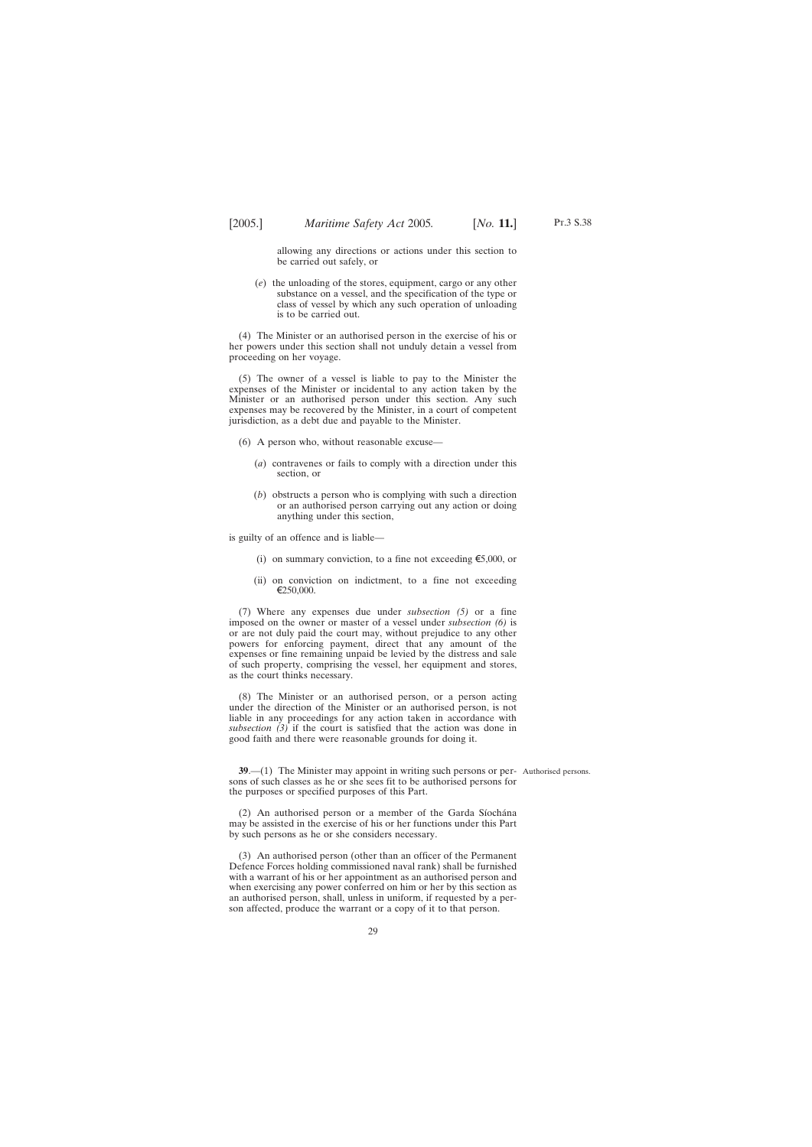<span id="page-28-0"></span>allowing any directions or actions under this section to be carried out safely, or

(*e*) the unloading of the stores, equipment, cargo or any other substance on a vessel, and the specification of the type or class of vessel by which any such operation of unloading is to be carried out.

(4) The Minister or an authorised person in the exercise of his or her powers under this section shall not unduly detain a vessel from proceeding on her voyage.

(5) The owner of a vessel is liable to pay to the Minister the expenses of the Minister or incidental to any action taken by the Minister or an authorised person under this section. Any such expenses may be recovered by the Minister, in a court of competent jurisdiction, as a debt due and payable to the Minister.

- (6) A person who, without reasonable excuse—
	- (*a*) contravenes or fails to comply with a direction under this section, or
	- (*b*) obstructs a person who is complying with such a direction or an authorised person carrying out any action or doing anything under this section,

is guilty of an offence and is liable—

- (i) on summary conviction, to a fine not exceeding  $\epsilon$ 5,000, or
- (ii) on conviction on indictment, to a fine not exceeding \250,000.

(7) Where any expenses due under *subsection (5)* or a fine imposed on the owner or master of a vessel under *subsection (6)* is or are not duly paid the court may, without prejudice to any other powers for enforcing payment, direct that any amount of the expenses or fine remaining unpaid be levied by the distress and sale of such property, comprising the vessel, her equipment and stores, as the court thinks necessary.

(8) The Minister or an authorised person, or a person acting under the direction of the Minister or an authorised person, is not liable in any proceedings for any action taken in accordance with *subsection (3)* if the court is satisfied that the action was done in good faith and there were reasonable grounds for doing it.

**39.**—(1) The Minister may appoint in writing such persons or per- Authorised persons. sons of such classes as he or she sees fit to be authorised persons for the purposes or specified purposes of this Part.

 $(2)$  An authorised person or a member of the Garda Síochána may be assisted in the exercise of his or her functions under this Part by such persons as he or she considers necessary.

(3) An authorised person (other than an officer of the Permanent Defence Forces holding commissioned naval rank) shall be furnished with a warrant of his or her appointment as an authorised person and when exercising any power conferred on him or her by this section as an authorised person, shall, unless in uniform, if requested by a person affected, produce the warrant or a copy of it to that person.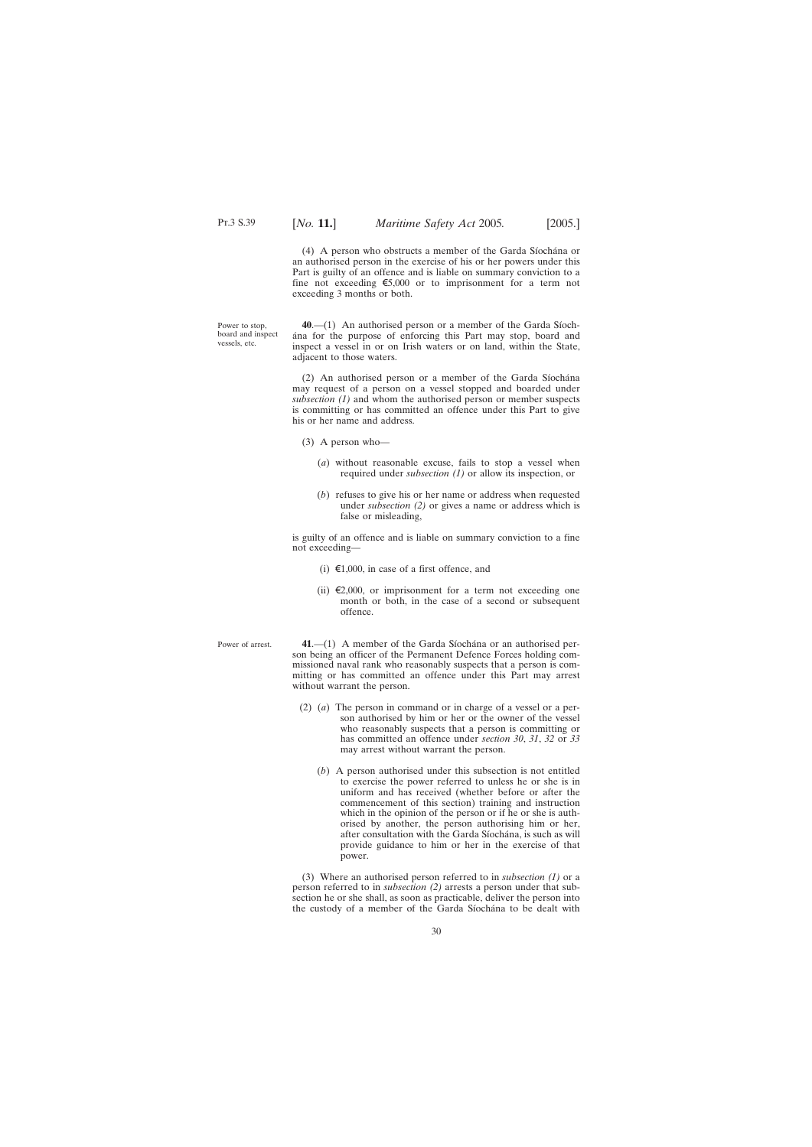(4) A person who obstructs a member of the Garda Siochana or an authorised person in the exercise of his or her powers under this Part is guilty of an offence and is liable on summary conviction to a fine not exceeding  $\epsilon$ 5,000 or to imprisonment for a term not exceeding 3 months or both.

<span id="page-29-0"></span>Power to stop, board and inspect vessels, etc.

**40.**—(1) An authorised person or a member of the Garda Siocha´na for the purpose of enforcing this Part may stop, board and inspect a vessel in or on Irish waters or on land, within the State, adjacent to those waters.

 $(2)$  An authorised person or a member of the Garda Siochana may request of a person on a vessel stopped and boarded under *subsection (1)* and whom the authorised person or member suspects is committing or has committed an offence under this Part to give his or her name and address.

- (3) A person who—
	- (*a*) without reasonable excuse, fails to stop a vessel when required under *subsection (1)* or allow its inspection, or
	- (*b*) refuses to give his or her name or address when requested under *subsection (2)* or gives a name or address which is false or misleading,

is guilty of an offence and is liable on summary conviction to a fine not exceeding—

- (i)  $\epsilon$ 1,000, in case of a first offence, and
- (ii)  $\epsilon$ 2,000, or imprisonment for a term not exceeding one month or both, in the case of a second or subsequent offence.
- Power of arrest. **41.**—(1) A member of the Garda Síochána or an authorised person being an officer of the Permanent Defence Forces holding commissioned naval rank who reasonably suspects that a person is committing or has committed an offence under this Part may arrest without warrant the person.
	- (2) (*a*) The person in command or in charge of a vessel or a person authorised by him or her or the owner of the vessel who reasonably suspects that a person is committing or has committed an offence under *section 30*, *31*, *32* or *33* may arrest without warrant the person.
		- (*b*) A person authorised under this subsection is not entitled to exercise the power referred to unless he or she is in uniform and has received (whether before or after the commencement of this section) training and instruction which in the opinion of the person or if he or she is authorised by another, the person authorising him or her, after consultation with the Garda Síochána, is such as will provide guidance to him or her in the exercise of that power.

(3) Where an authorised person referred to in *subsection (1)* or a person referred to in *subsection (2)* arrests a person under that subsection he or she shall, as soon as practicable, deliver the person into the custody of a member of the Garda Síochána to be dealt with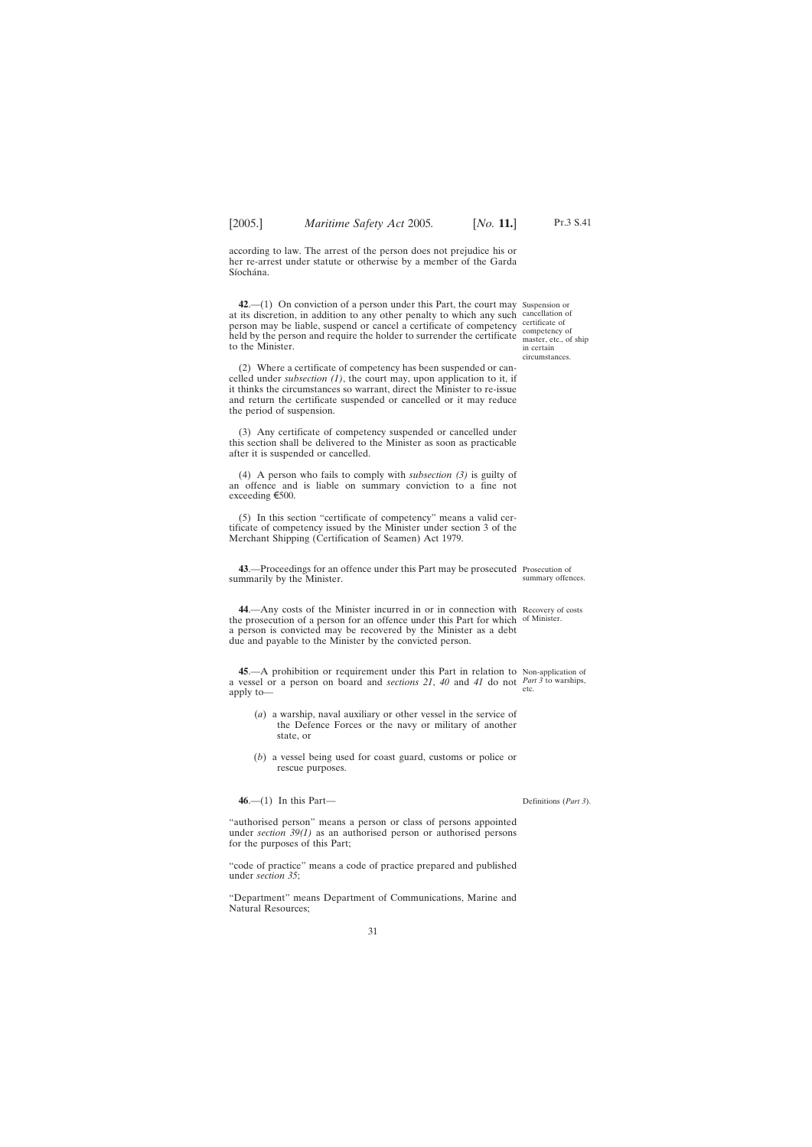<span id="page-30-0"></span>according to law. The arrest of the person does not prejudice his or her re-arrest under statute or otherwise by a member of the Garda Síochána.

**42**.—(1) On conviction of a person under this Part, the court may Suspension or at its discretion, in addition to any other penalty to which any such cancellation of person may be liable, suspend or cancel a certificate of competency held by the person and require the holder to surrender the certificate to the Minister.

(2) Where a certificate of competency has been suspended or cancelled under *subsection (1)*, the court may, upon application to it, if it thinks the circumstances so warrant, direct the Minister to re-issue and return the certificate suspended or cancelled or it may reduce the period of suspension.

(3) Any certificate of competency suspended or cancelled under this section shall be delivered to the Minister as soon as practicable after it is suspended or cancelled.

(4) A person who fails to comply with *subsection (3)* is guilty of an offence and is liable on summary conviction to a fine not exceeding  $\epsilon$ 500.

(5) In this section "certificate of competency" means a valid certificate of competency issued by the Minister under section 3 of the Merchant Shipping (Certification of Seamen) Act 1979.

**43**.—Proceedings for an offence under this Part may be prosecuted Prosecution of summarily by the Minister.

**44**.—Any costs of the Minister incurred in or in connection with Recovery of costs the prosecution of a person for an offence under this Part for which of Minister. a person is convicted may be recovered by the Minister as a debt due and payable to the Minister by the convicted person.

**45**.—A prohibition or requirement under this Part in relation to Non-application of a vessel or a person on board and *sections 21*, *40* and *41* do not *Part 3* to warships, apply to etc.

- (*a*) a warship, naval auxiliary or other vessel in the service of the Defence Forces or the navy or military of another state, or
- (*b*) a vessel being used for coast guard, customs or police or rescue purposes.

**46**.—(1) In this Part—

"authorised person" means a person or class of persons appointed under *section 39(1)* as an authorised person or authorised persons for the purposes of this Part;

"code of practice" means a code of practice prepared and published under *section 35*;

"Department" means Department of Communications, Marine and Natural Resources;

certificate of competency of master, etc., of ship in certain circumstances.

summary offences.

Definitions (*Part 3*).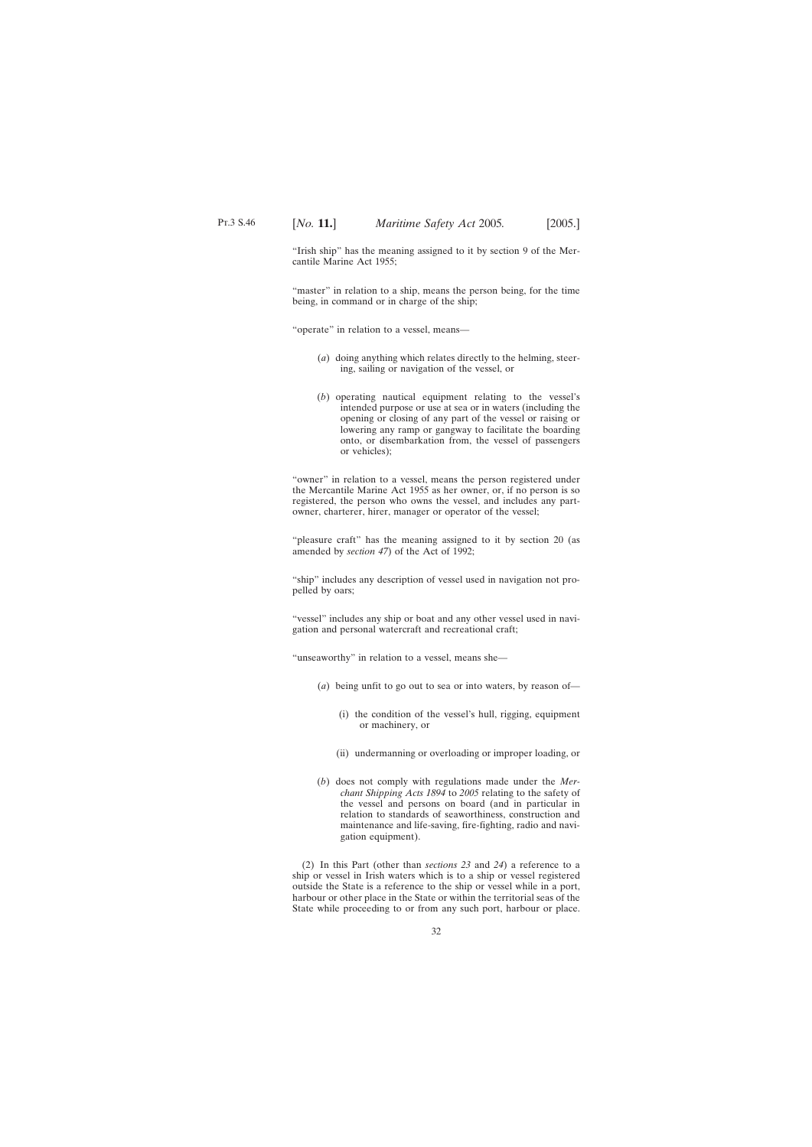"Irish ship" has the meaning assigned to it by section 9 of the Mercantile Marine Act 1955;

"master" in relation to a ship, means the person being, for the time being, in command or in charge of the ship;

"operate" in relation to a vessel, means—

- (*a*) doing anything which relates directly to the helming, steering, sailing or navigation of the vessel, or
- (*b*) operating nautical equipment relating to the vessel's intended purpose or use at sea or in waters (including the opening or closing of any part of the vessel or raising or lowering any ramp or gangway to facilitate the boarding onto, or disembarkation from, the vessel of passengers or vehicles);

"owner" in relation to a vessel, means the person registered under the Mercantile Marine Act 1955 as her owner, or, if no person is so registered, the person who owns the vessel, and includes any partowner, charterer, hirer, manager or operator of the vessel;

"pleasure craft" has the meaning assigned to it by section 20 (as amended by *section 47*) of the Act of 1992;

"ship" includes any description of vessel used in navigation not propelled by oars;

"vessel" includes any ship or boat and any other vessel used in navigation and personal watercraft and recreational craft;

"unseaworthy" in relation to a vessel, means she—

- (*a*) being unfit to go out to sea or into waters, by reason of—
	- (i) the condition of the vessel's hull, rigging, equipment or machinery, or
	- (ii) undermanning or overloading or improper loading, or
- (*b*) does not comply with regulations made under the *Merchant Shipping Acts 1894* to *2005* relating to the safety of the vessel and persons on board (and in particular in relation to standards of seaworthiness, construction and maintenance and life-saving, fire-fighting, radio and navigation equipment).

(2) In this Part (other than *sections 23* and *24*) a reference to a ship or vessel in Irish waters which is to a ship or vessel registered outside the State is a reference to the ship or vessel while in a port, harbour or other place in the State or within the territorial seas of the State while proceeding to or from any such port, harbour or place.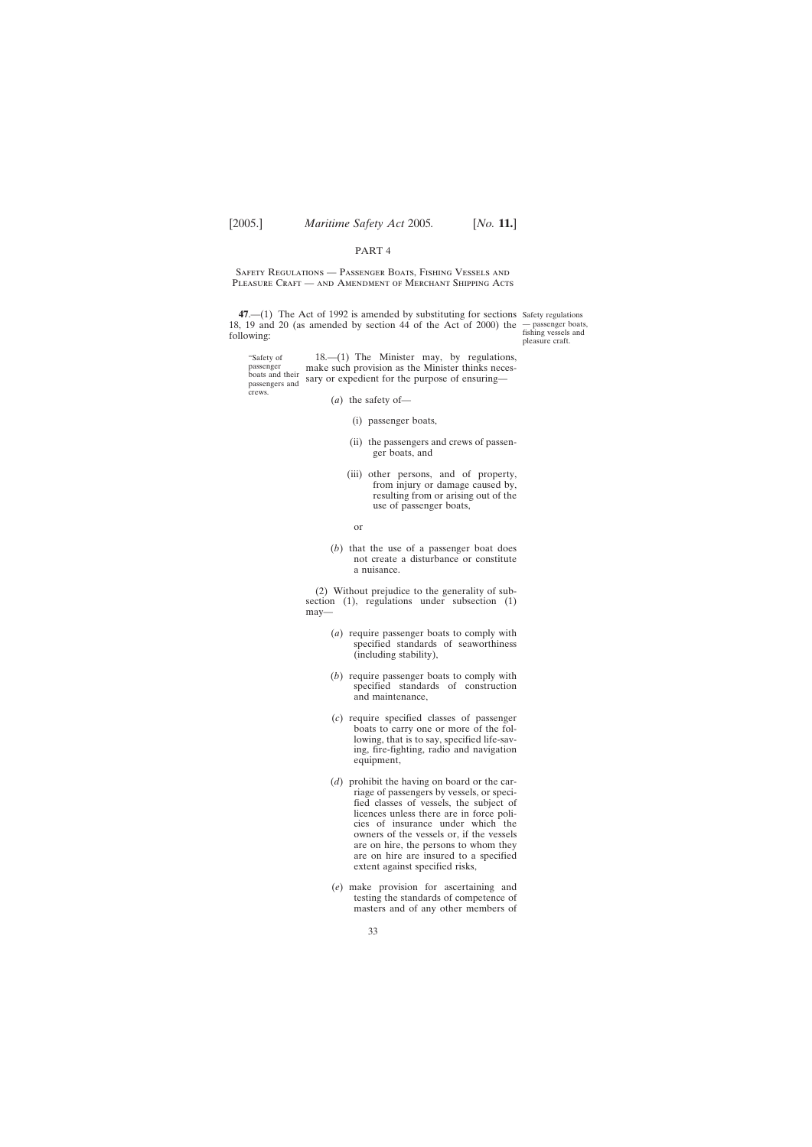## PART 4

<span id="page-32-0"></span>Safety Regulations — Passenger Boats, Fishing Vessels and PLEASURE CRAFT — AND AMENDMENT OF MERCHANT SHIPPING ACTS

**47**.—(1) The Act of 1992 is amended by substituting for sections Safety regulations 18, 19 and 20 (as amended by section 44 of the Act of 2000) the — passenger boats, following:

fishing vessels and pleasure craft.

"Safety of passenger boats and their passengers and crews. 18.—(1) The Minister may, by regulations, make such provision as the Minister thinks necessary or expedient for the purpose of ensuring—

- (*a*) the safety of—
	- (i) passenger boats,
	- (ii) the passengers and crews of passenger boats, and
	- (iii) other persons, and of property, from injury or damage caused by, resulting from or arising out of the use of passenger boats,
		- or
- (*b*) that the use of a passenger boat does not create a disturbance or constitute a nuisance.

(2) Without prejudice to the generality of subsection (1), regulations under subsection (1) may—

- (*a*) require passenger boats to comply with specified standards of seaworthiness (including stability),
- (*b*) require passenger boats to comply with specified standards of construction and maintenance,
- (*c*) require specified classes of passenger boats to carry one or more of the following, that is to say, specified life-saving, fire-fighting, radio and navigation equipment,
- (*d*) prohibit the having on board or the carriage of passengers by vessels, or specified classes of vessels, the subject of licences unless there are in force policies of insurance under which the owners of the vessels or, if the vessels are on hire, the persons to whom they are on hire are insured to a specified extent against specified risks,
- (*e*) make provision for ascertaining and testing the standards of competence of masters and of any other members of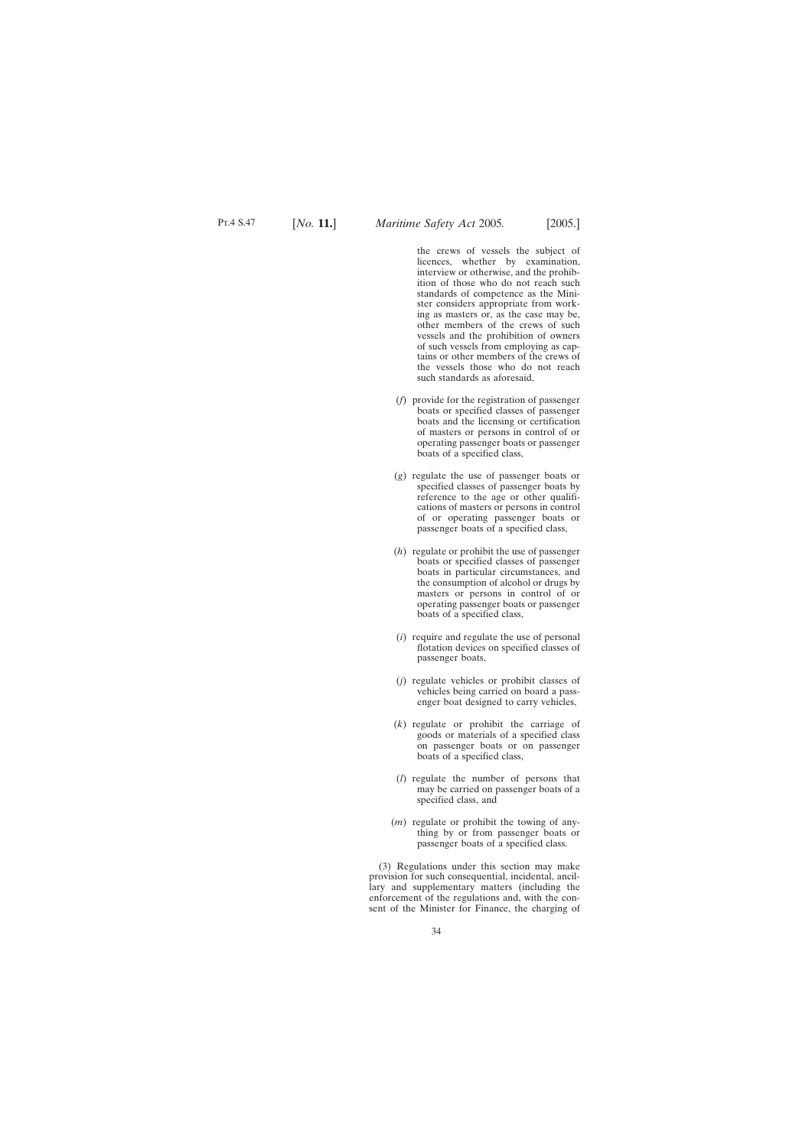the crews of vessels the subject of licences, whether by examination, interview or otherwise, and the prohibition of those who do not reach such standards of competence as the Minister considers appropriate from working as masters or, as the case may be, other members of the crews of such vessels and the prohibition of owners of such vessels from employing as captains or other members of the crews of the vessels those who do not reach such standards as aforesaid,

- (*f*) provide for the registration of passenger boats or specified classes of passenger boats and the licensing or certification of masters or persons in control of or operating passenger boats or passenger boats of a specified class,
- (*g*) regulate the use of passenger boats or specified classes of passenger boats by reference to the age or other qualifications of masters or persons in control of or operating passenger boats or passenger boats of a specified class,
- (*h*) regulate or prohibit the use of passenger boats or specified classes of passenger boats in particular circumstances, and the consumption of alcohol or drugs by masters or persons in control of or operating passenger boats or passenger boats of a specified class,
- (*i*) require and regulate the use of personal flotation devices on specified classes of passenger boats,
- (*j*) regulate vehicles or prohibit classes of vehicles being carried on board a passenger boat designed to carry vehicles,
- (*k*) regulate or prohibit the carriage of goods or materials of a specified class on passenger boats or on passenger boats of a specified class,
- (*l*) regulate the number of persons that may be carried on passenger boats of a specified class, and
- (*m*) regulate or prohibit the towing of anything by or from passenger boats or passenger boats of a specified class.

(3) Regulations under this section may make provision for such consequential, incidental, ancillary and supplementary matters (including the enforcement of the regulations and, with the consent of the Minister for Finance, the charging of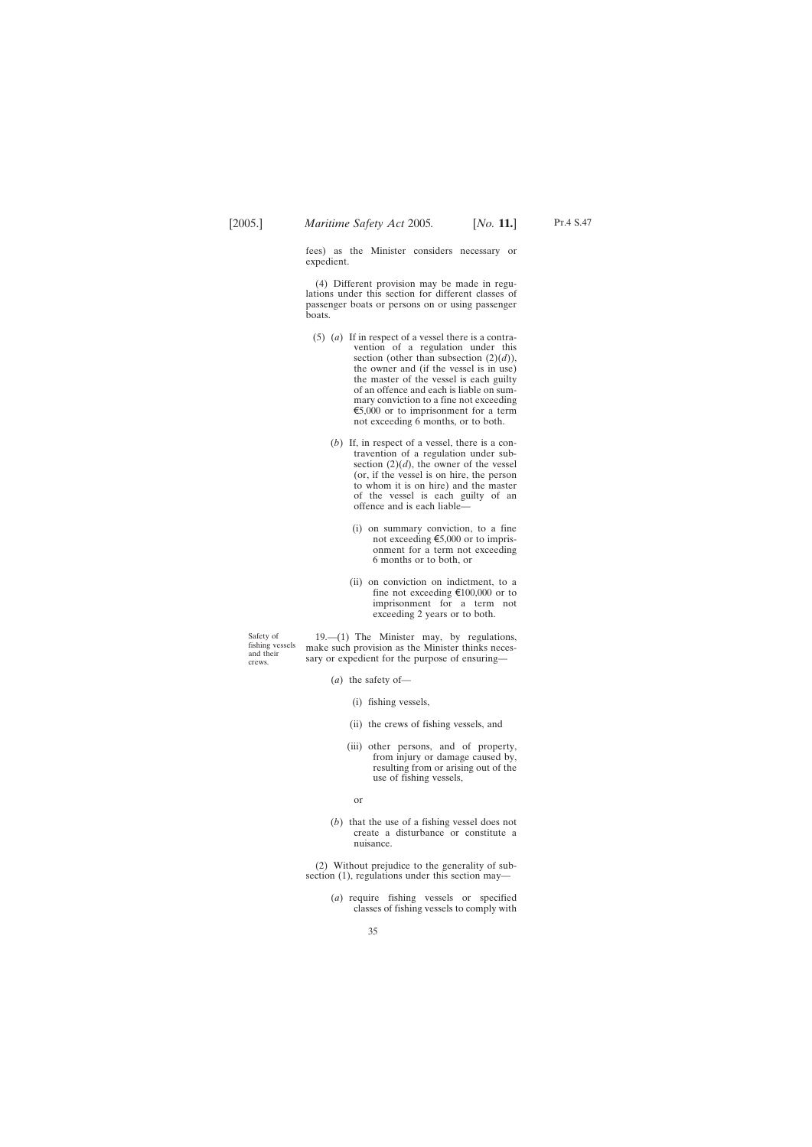Pt.4 S.47

fees) as the Minister considers necessary or expedient.

(4) Different provision may be made in regulations under this section for different classes of passenger boats or persons on or using passenger boats.

- (5) (*a*) If in respect of a vessel there is a contravention of a regulation under this section (other than subsection  $(2)(d)$ ), the owner and (if the vessel is in use) the master of the vessel is each guilty of an offence and each is liable on summary conviction to a fine not exceeding  $\epsilon$ 5,000 or to imprisonment for a term not exceeding 6 months, or to both.
	- (*b*) If, in respect of a vessel, there is a contravention of a regulation under subsection  $(2)(d)$ , the owner of the vessel (or, if the vessel is on hire, the person to whom it is on hire) and the master of the vessel is each guilty of an offence and is each liable—
		- (i) on summary conviction, to a fine not exceeding  $\epsilon$ 5,000 or to imprisonment for a term not exceeding 6 months or to both, or
		- (ii) on conviction on indictment, to a fine not exceeding  $\text{\textsterling}100,000$  or to imprisonment for a term not exceeding 2 years or to both.

Safety of fishing vessels and their crews.

19.—(1) The Minister may, by regulations, make such provision as the Minister thinks necessary or expedient for the purpose of ensuring—

- (*a*) the safety of—
	- (i) fishing vessels,
	- (ii) the crews of fishing vessels, and
	- (iii) other persons, and of property, from injury or damage caused by, resulting from or arising out of the use of fishing vessels,
		- or
- (*b*) that the use of a fishing vessel does not create a disturbance or constitute a nuisance.

(2) Without prejudice to the generality of subsection (1), regulations under this section may-

> (*a*) require fishing vessels or specified classes of fishing vessels to comply with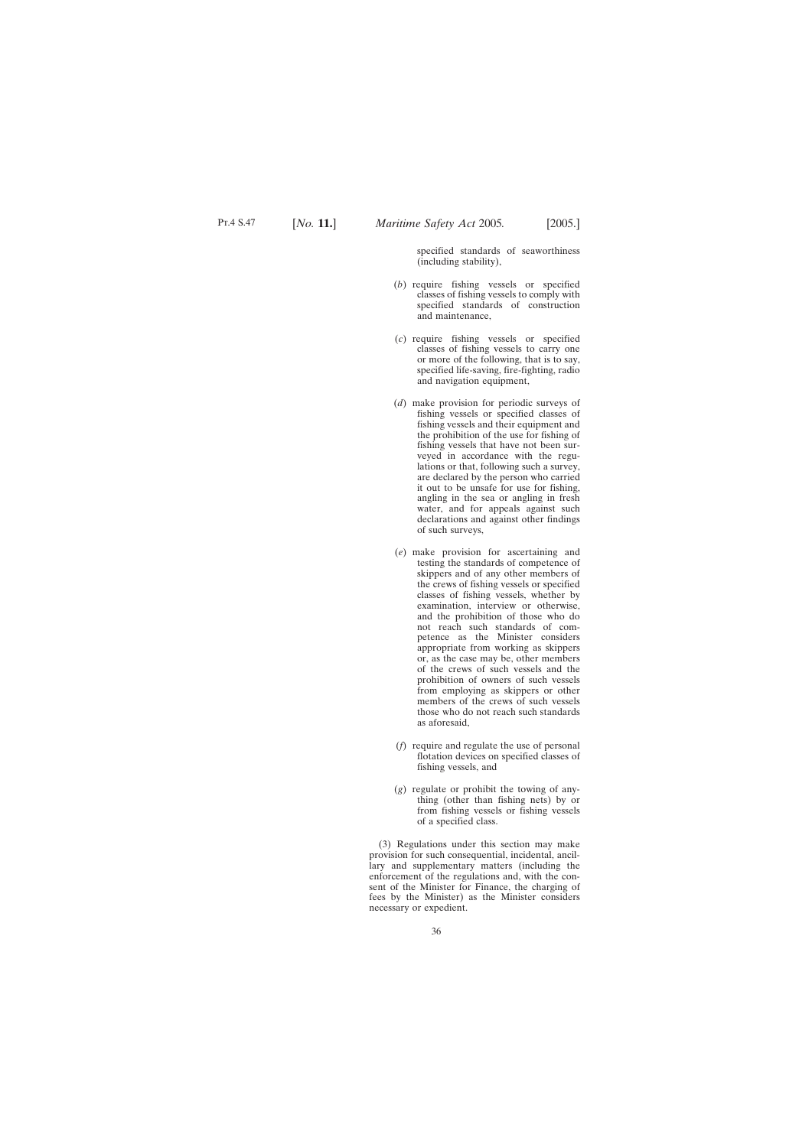specified standards of seaworthiness (including stability),

- (*b*) require fishing vessels or specified classes of fishing vessels to comply with specified standards of construction and maintenance,
- (*c*) require fishing vessels or specified classes of fishing vessels to carry one or more of the following, that is to say, specified life-saving, fire-fighting, radio and navigation equipment,
- (*d*) make provision for periodic surveys of fishing vessels or specified classes of fishing vessels and their equipment and the prohibition of the use for fishing of fishing vessels that have not been surveyed in accordance with the regulations or that, following such a survey, are declared by the person who carried it out to be unsafe for use for fishing, angling in the sea or angling in fresh water, and for appeals against such declarations and against other findings of such surveys,
- (*e*) make provision for ascertaining and testing the standards of competence of skippers and of any other members of the crews of fishing vessels or specified classes of fishing vessels, whether by examination, interview or otherwise, and the prohibition of those who do not reach such standards of competence as the Minister considers appropriate from working as skippers or, as the case may be, other members of the crews of such vessels and the prohibition of owners of such vessels from employing as skippers or other members of the crews of such vessels those who do not reach such standards as aforesaid,
- (*f*) require and regulate the use of personal flotation devices on specified classes of fishing vessels, and
- (*g*) regulate or prohibit the towing of anything (other than fishing nets) by or from fishing vessels or fishing vessels of a specified class.

(3) Regulations under this section may make provision for such consequential, incidental, ancillary and supplementary matters (including the enforcement of the regulations and, with the consent of the Minister for Finance, the charging of fees by the Minister) as the Minister considers necessary or expedient.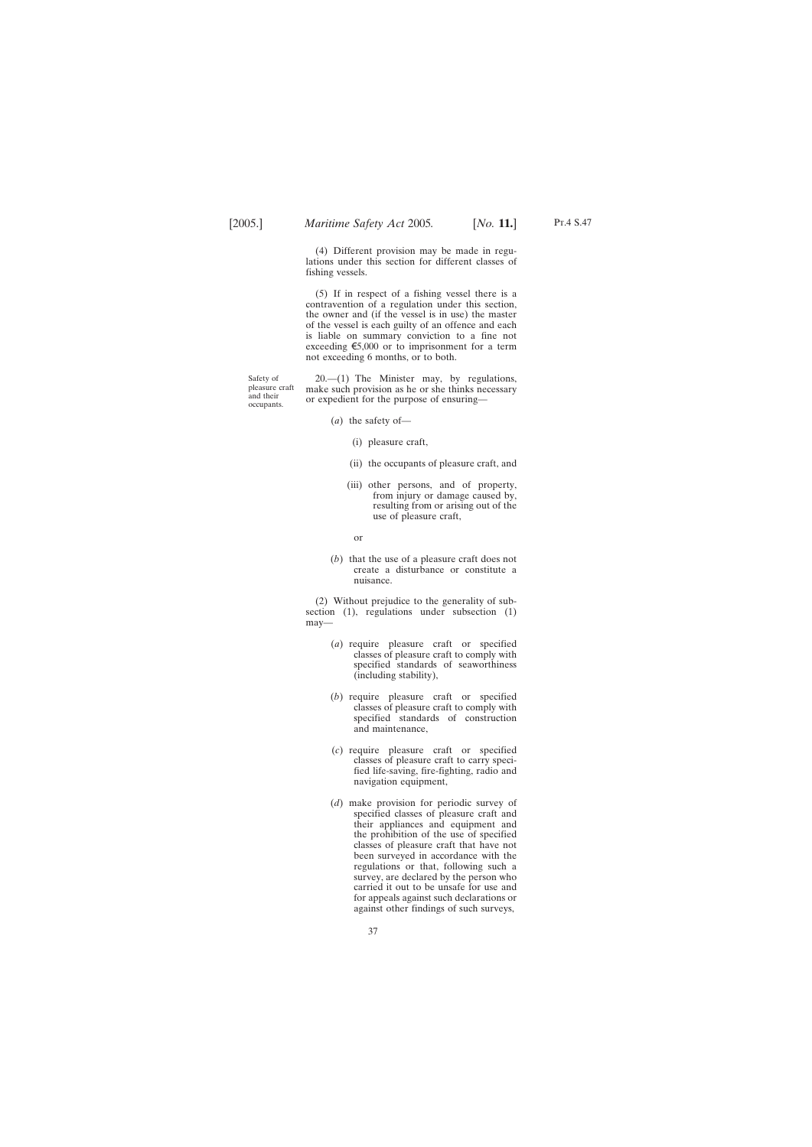(4) Different provision may be made in regulations under this section for different classes of fishing vessels.

(5) If in respect of a fishing vessel there is a contravention of a regulation under this section, the owner and (if the vessel is in use) the master of the vessel is each guilty of an offence and each is liable on summary conviction to a fine not exceeding  $\epsilon$ 5,000 or to imprisonment for a term not exceeding 6 months, or to both.

Safety of pleasure craft and their occupants.

 $20-(1)$  The Minister may, by regulations, make such provision as he or she thinks necessary or expedient for the purpose of ensuring—

- (*a*) the safety of—
	- (i) pleasure craft,
	- (ii) the occupants of pleasure craft, and
	- (iii) other persons, and of property, from injury or damage caused by, resulting from or arising out of the use of pleasure craft,
	- or
- (*b*) that the use of a pleasure craft does not create a disturbance or constitute a nuisance.

(2) Without prejudice to the generality of subsection (1), regulations under subsection (1) may—

- (*a*) require pleasure craft or specified classes of pleasure craft to comply with specified standards of seaworthiness (including stability),
- (*b*) require pleasure craft or specified classes of pleasure craft to comply with specified standards of construction and maintenance,
- (*c*) require pleasure craft or specified classes of pleasure craft to carry specified life-saving, fire-fighting, radio and navigation equipment,
- (*d*) make provision for periodic survey of specified classes of pleasure craft and their appliances and equipment and the prohibition of the use of specified classes of pleasure craft that have not been surveyed in accordance with the regulations or that, following such a survey, are declared by the person who carried it out to be unsafe for use and for appeals against such declarations or against other findings of such surveys,

Pt.4 S.47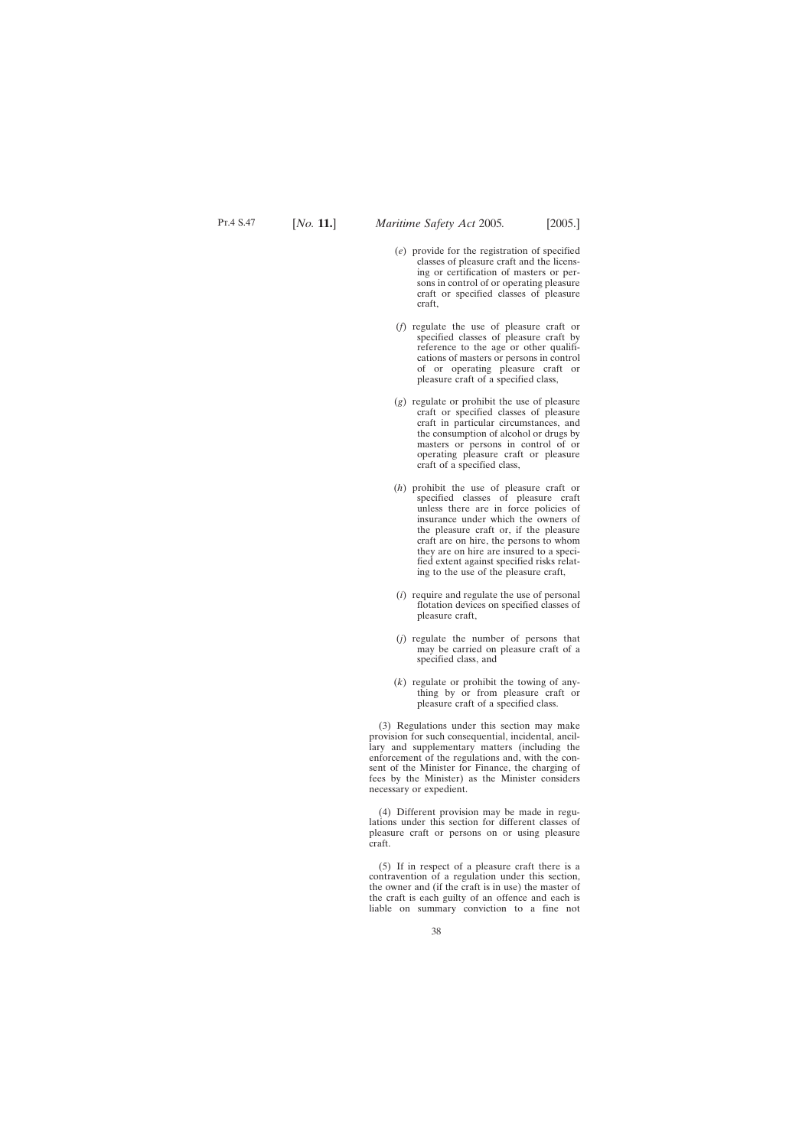- (*e*) provide for the registration of specified classes of pleasure craft and the licensing or certification of masters or persons in control of or operating pleasure craft or specified classes of pleasure craft,
- (*f*) regulate the use of pleasure craft or specified classes of pleasure craft by reference to the age or other qualifications of masters or persons in control of or operating pleasure craft or pleasure craft of a specified class,
- (*g*) regulate or prohibit the use of pleasure craft or specified classes of pleasure craft in particular circumstances, and the consumption of alcohol or drugs by masters or persons in control of or operating pleasure craft or pleasure craft of a specified class,
- (*h*) prohibit the use of pleasure craft or specified classes of pleasure craft unless there are in force policies of insurance under which the owners of the pleasure craft or, if the pleasure craft are on hire, the persons to whom they are on hire are insured to a specified extent against specified risks relating to the use of the pleasure craft,
- (*i*) require and regulate the use of personal flotation devices on specified classes of pleasure craft,
- (*j*) regulate the number of persons that may be carried on pleasure craft of a specified class, and
- (*k*) regulate or prohibit the towing of anything by or from pleasure craft or pleasure craft of a specified class.

(3) Regulations under this section may make provision for such consequential, incidental, ancillary and supplementary matters (including the enforcement of the regulations and, with the consent of the Minister for Finance, the charging of fees by the Minister) as the Minister considers necessary or expedient.

(4) Different provision may be made in regulations under this section for different classes of pleasure craft or persons on or using pleasure craft.

(5) If in respect of a pleasure craft there is a contravention of a regulation under this section, the owner and (if the craft is in use) the master of the craft is each guilty of an offence and each is liable on summary conviction to a fine not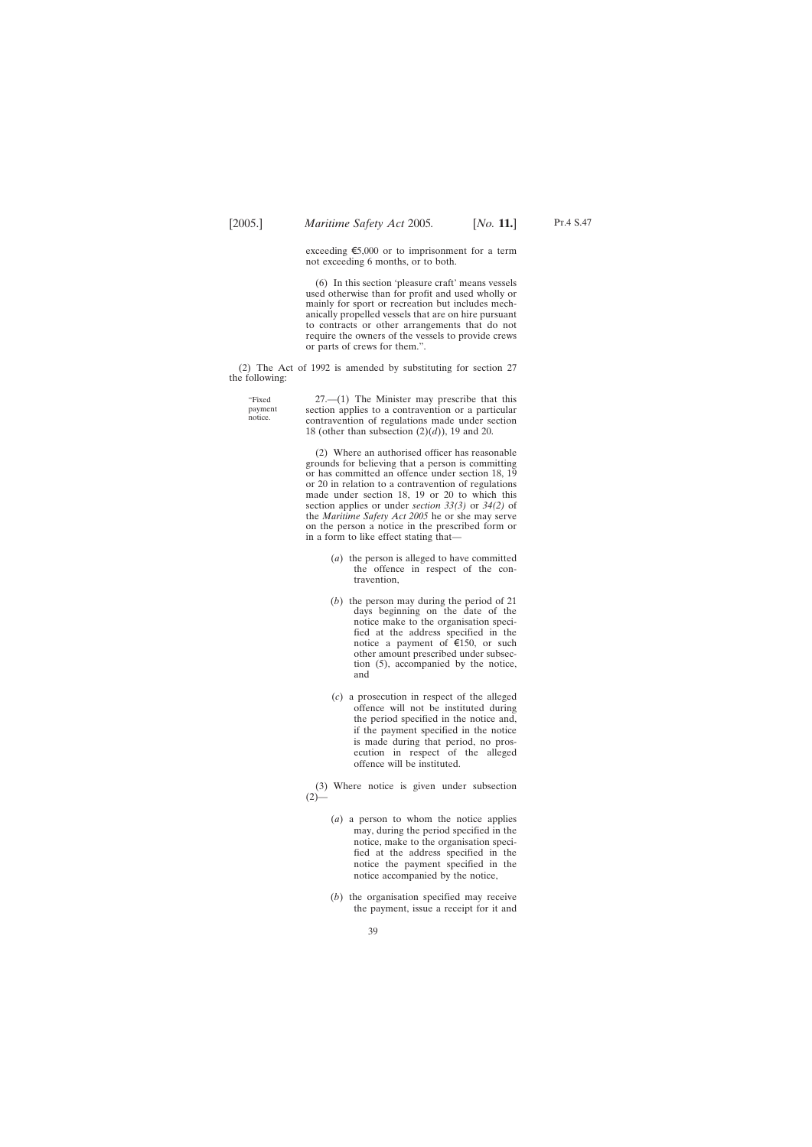exceeding  $\epsilon$ 5,000 or to imprisonment for a term not exceeding 6 months, or to both.

(6) In this section 'pleasure craft' means vessels used otherwise than for profit and used wholly or mainly for sport or recreation but includes mechanically propelled vessels that are on hire pursuant to contracts or other arrangements that do not require the owners of the vessels to provide crews or parts of crews for them.".

(2) The Act of 1992 is amended by substituting for section 27 the following:

"Fixed payment notice.

27.—(1) The Minister may prescribe that this section applies to a contravention or a particular contravention of regulations made under section 18 (other than subsection (2)(*d*)), 19 and 20.

(2) Where an authorised officer has reasonable grounds for believing that a person is committing or has committed an offence under section 18, 19 or 20 in relation to a contravention of regulations made under section 18, 19 or 20 to which this section applies or under *section 33(3)* or *34(2)* of the *Maritime Safety Act 2005* he or she may serve on the person a notice in the prescribed form or in a form to like effect stating that—

- (*a*) the person is alleged to have committed the offence in respect of the contravention,
- (*b*) the person may during the period of 21 days beginning on the date of the notice make to the organisation specified at the address specified in the notice a payment of  $\epsilon$ 150, or such other amount prescribed under subsection (5), accompanied by the notice, and
- (*c*) a prosecution in respect of the alleged offence will not be instituted during the period specified in the notice and, if the payment specified in the notice is made during that period, no prosecution in respect of the alleged offence will be instituted.

(3) Where notice is given under subsection  $(2)$ —

- (*a*) a person to whom the notice applies may, during the period specified in the notice, make to the organisation specified at the address specified in the notice the payment specified in the notice accompanied by the notice,
- (*b*) the organisation specified may receive the payment, issue a receipt for it and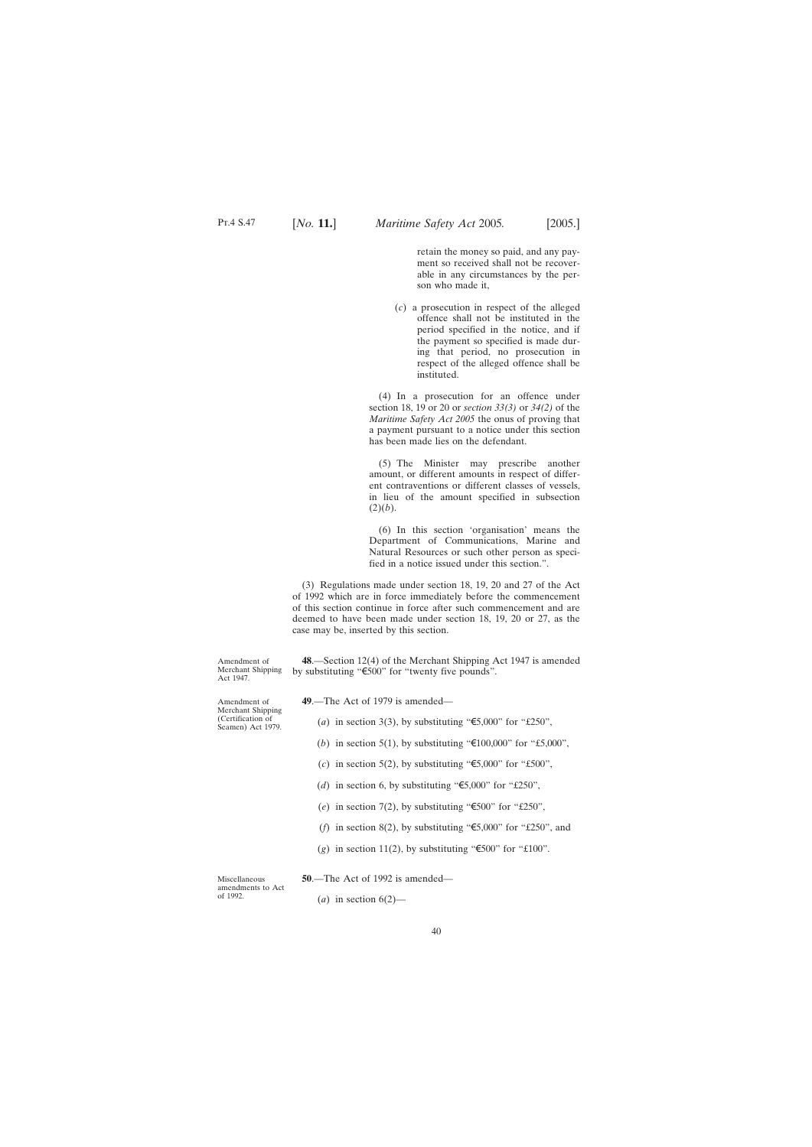retain the money so paid, and any payment so received shall not be recoverable in any circumstances by the person who made it,

<span id="page-39-0"></span>(*c*) a prosecution in respect of the alleged offence shall not be instituted in the period specified in the notice, and if the payment so specified is made during that period, no prosecution in respect of the alleged offence shall be instituted.

(4) In a prosecution for an offence under section 18, 19 or 20 or *section 33(3)* or *34(2)* of the *Maritime Safety Act 2005* the onus of proving that a payment pursuant to a notice under this section has been made lies on the defendant.

(5) The Minister may prescribe another amount, or different amounts in respect of different contraventions or different classes of vessels, in lieu of the amount specified in subsection  $(2)(b)$ .

(6) In this section 'organisation' means the Department of Communications, Marine and Natural Resources or such other person as specified in a notice issued under this section.".

(3) Regulations made under section 18, 19, 20 and 27 of the Act of 1992 which are in force immediately before the commencement of this section continue in force after such commencement and are deemed to have been made under section 18, 19, 20 or 27, as the case may be, inserted by this section.

**48**.—Section 12(4) of the Merchant Shipping Act 1947 is amended by substituting " $\epsilon$ 500" for "twenty five pounds".

**49**.—The Act of 1979 is amended—

(*a*) in section 3(3), by substituting " $\epsilon$ 5,000" for "£250",

- (*b*) in section 5(1), by substituting " $\text{\textsterling}100,000$ " for "£5,000",
- (*c*) in section 5(2), by substituting " $\epsilon$ 5,000" for "£500",
- (*d*) in section 6, by substituting " $\epsilon$ 5,000" for "£250",
- (*e*) in section 7(2), by substituting " $\epsilon$ 500" for "£250",
- (*f*) in section 8(2), by substituting " $\epsilon$ 5,000" for "£250", and
- (*g*) in section 11(2), by substituting " $\epsilon$ 500" for "£100".

**50**.—The Act of 1992 is amended—

Miscellaneous amendments to Act of 1992.

 $(a)$  in section  $6(2)$ —

Amendment of Merchant Shipping (Certification of

Seamen) Act 1979.

Amendment of Merchant Shipping Act 1947.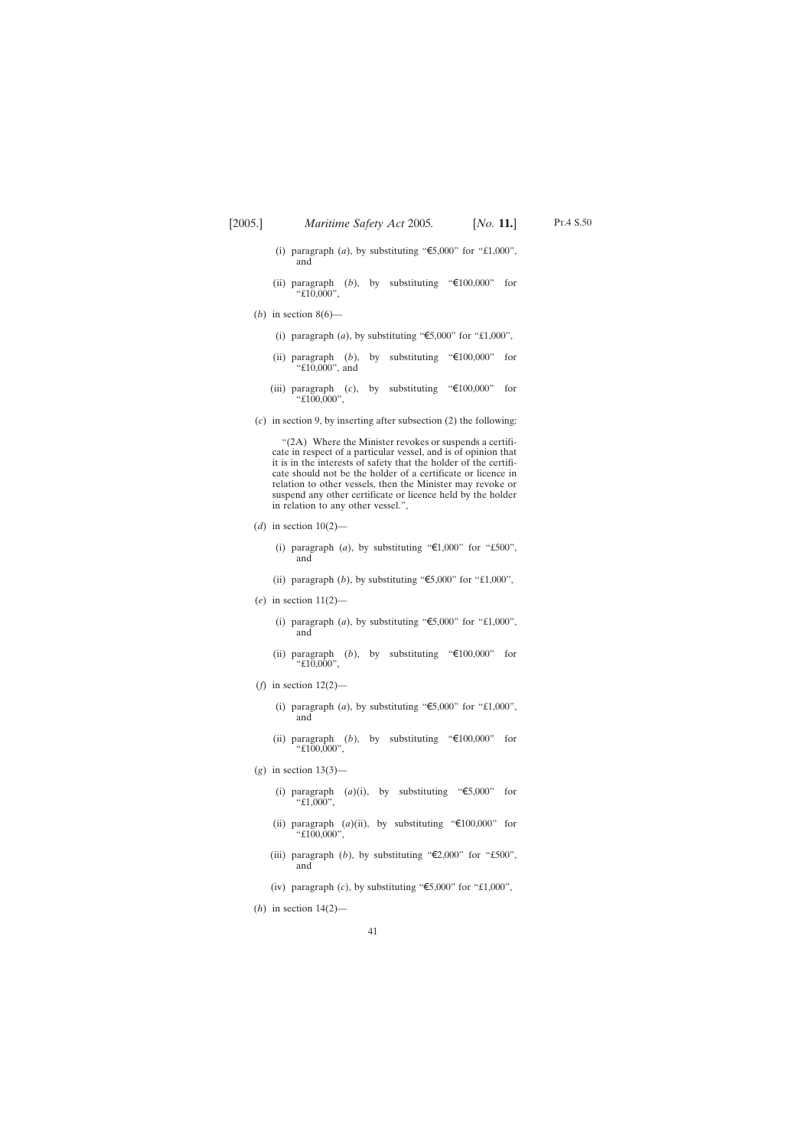- (i) paragraph (*a*), by substituting " $\epsilon$ 5,000" for "£1,000", and
- (ii) paragraph  $(b)$ , by substituting " $\in 100,000$ " for "£10,000",
- (*b*) in section  $8(6)$ 
	- (i) paragraph  $(a)$ , by substituting " $\epsilon$ 5,000" for "£1,000",
	- (ii) paragraph (*b*), by substituting " $\in 100,000$ " for "£10,000", and
	- (iii) paragraph (*c*), by substituting " $\in 100,000$ " for "£100,000",
- (*c*) in section 9, by inserting after subsection (2) the following:

"(2A) Where the Minister revokes or suspends a certificate in respect of a particular vessel, and is of opinion that it is in the interests of safety that the holder of the certificate should not be the holder of a certificate or licence in relation to other vessels, then the Minister may revoke or suspend any other certificate or licence held by the holder in relation to any other vessel.",

- (*d*) in section 10(2)—
	- (i) paragraph (*a*), by substituting " $\epsilon$ 1,000" for "£500", and
	- (ii) paragraph  $(b)$ , by substituting " $\epsilon$ 5,000" for "£1,000",
- (*e*) in section 11(2)—
	- (i) paragraph (*a*), by substituting " $\epsilon$ 5,000" for "£1,000", and
	- (ii) paragraph (*b*), by substituting " $\text{\textsterling}100,000$ " for "£10,000",
- (*f*) in section 12(2)—
	- (i) paragraph  $(a)$ , by substituting " $\epsilon$ 5,000" for "£1,000", and
	- (ii) paragraph (*b*), by substituting " $\in$ 100,000" for "£100,000",
- (*g*) in section 13(3)—
	- (i) paragraph  $(a)(i)$ , by substituting " $\epsilon$ 5,000" for "£1,000",
	- (ii) paragraph  $(a)$ (ii), by substituting " $\text{\textsterling}100,000$ " for "£100,000",
	- (iii) paragraph (*b*), by substituting " $\epsilon$ 2,000" for "£500", and
	- (iv) paragraph (*c*), by substituting " $\epsilon$ 5,000" for "£1,000",
- (*h*) in section 14(2)—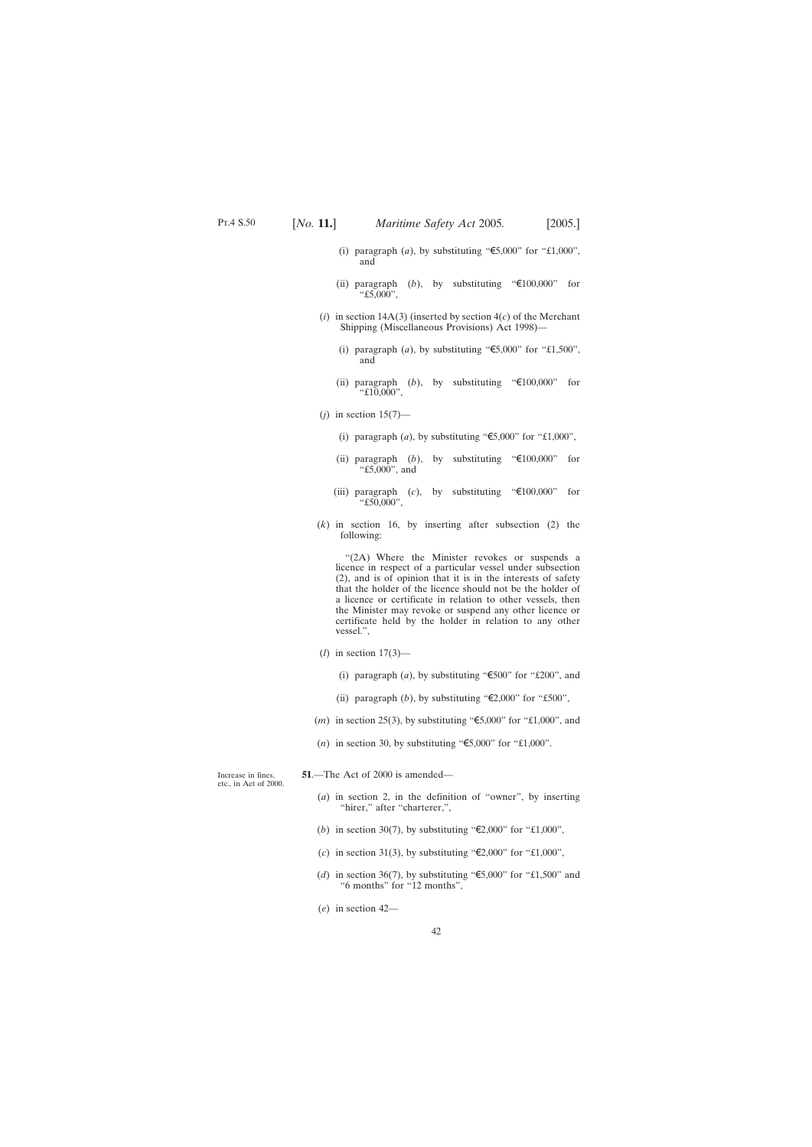- <span id="page-41-0"></span>(i) paragraph (*a*), by substituting " $\epsilon$ 5,000" for "£1,000", and
- (ii) paragraph  $(b)$ , by substituting " $\in 100,000$ " for " $£5,000"$ ,
- $(i)$  in section 14A(3) (inserted by section  $4(c)$  of the Merchant Shipping (Miscellaneous Provisions) Act 1998)—
	- (i) paragraph (*a*), by substituting " $\epsilon$ 5,000" for "£1,500", and
	- (ii) paragraph  $(b)$ , by substituting " $\in 100,000$ " for  $"£10,000"$ ,
- $(j)$  in section 15(7)—
	- (i) paragraph  $(a)$ , by substituting " $\epsilon$ 5,000" for "£1,000",
	- (ii) paragraph (*b*), by substituting " $\text{\textsterling}100,000$ " for "£5,000", and
	- (iii) paragraph (*c*), by substituting " $\epsilon$ 100,000" for "£50,000",
- (*k*) in section 16, by inserting after subsection (2) the following:

"(2A) Where the Minister revokes or suspends a licence in respect of a particular vessel under subsection (2), and is of opinion that it is in the interests of safety that the holder of the licence should not be the holder of a licence or certificate in relation to other vessels, then the Minister may revoke or suspend any other licence or certificate held by the holder in relation to any other vessel.",

- (*l*) in section 17(3)—
	- (i) paragraph (*a*), by substituting " $\epsilon$ 500" for "£200", and
	- (ii) paragraph (*b*), by substituting " $\epsilon$ 2,000" for "£500",
- $(m)$  in section 25(3), by substituting " $\epsilon$ 5,000" for "£1,000", and
- (*n*) in section 30, by substituting " $\epsilon$ 5,000" for "£1,000".

Increase in fines, etc., in Act of 2000.

- **51**.—The Act of 2000 is amended—
	- (*a*) in section 2, in the definition of "owner", by inserting "hirer," after "charterer,",
	- (*b*) in section 30(7), by substituting " $\epsilon$ 2,000" for "£1,000",
	- (*c*) in section 31(3), by substituting " $\epsilon$ 2,000" for "£1,000",
	- (*d*) in section 36(7), by substituting " $\epsilon$ 5,000" for "£1,500" and "6 months" for "12 months",
	- (*e*) in section 42—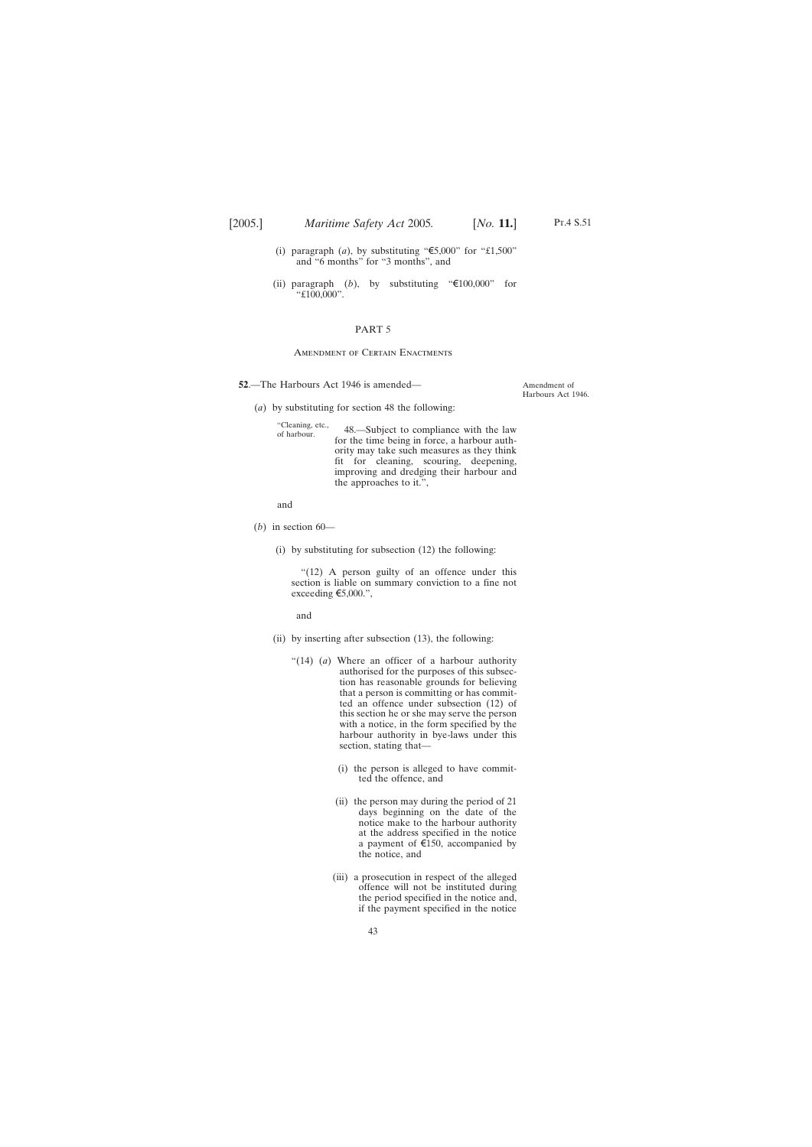- <span id="page-42-0"></span>(i) paragraph (*a*), by substituting " $\text{\textsterling}5,000$ " for "£1,500" and "6 months" for "3 months", and
- (ii) paragraph  $(b)$ , by substituting " $\in 100,000$ " for "£100,000".

#### PART 5

#### Amendment of Certain Enactments

- **52**.—The Harbours Act 1946 is amended—
	- (*a*) by substituting for section 48 the following:

"Cleaning, etc., 48.—Subject to compliance with the law for the time being in force, a harbour authority may take such measures as they think fit for cleaning, scouring, deepening, improving and dredging their harbour and the approaches to it.",

and

- $(b)$  in section  $60-$ 
	- (i) by substituting for subsection (12) the following:

"(12) A person guilty of an offence under this section is liable on summary conviction to a fine not exceeding  $\epsilon$ 5,000.",

and

- (ii) by inserting after subsection (13), the following:
	- "(14) (*a*) Where an officer of a harbour authority authorised for the purposes of this subsection has reasonable grounds for believing that a person is committing or has committed an offence under subsection (12) of this section he or she may serve the person with a notice, in the form specified by the harbour authority in bye-laws under this section, stating that—
		- (i) the person is alleged to have committed the offence, and
		- (ii) the person may during the period of 21 days beginning on the date of the notice make to the harbour authority at the address specified in the notice a payment of  $\epsilon$ 150, accompanied by the notice, and
		- (iii) a prosecution in respect of the alleged offence will not be instituted during the period specified in the notice and, if the payment specified in the notice

Amendment of Harbours Act 1946.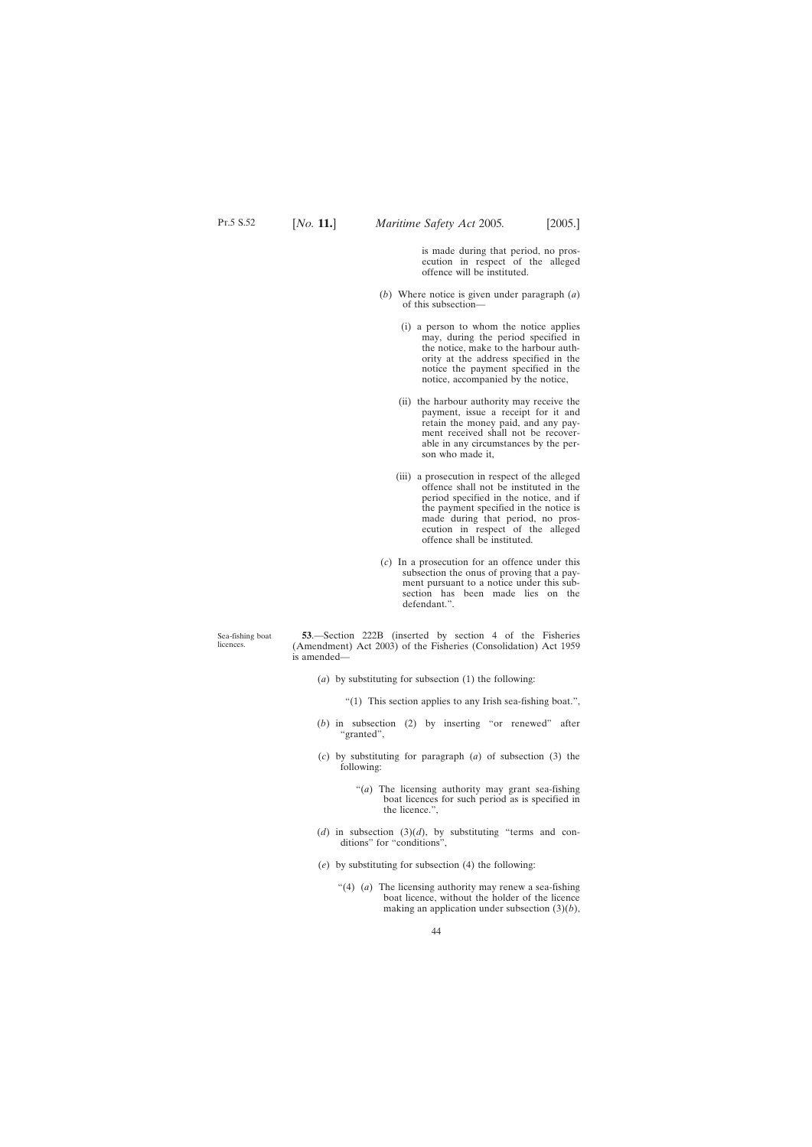is made during that period, no prosecution in respect of the alleged offence will be instituted.

- <span id="page-43-0"></span>(*b*) Where notice is given under paragraph (*a*) of this subsection—
	- (i) a person to whom the notice applies may, during the period specified in the notice, make to the harbour authority at the address specified in the notice the payment specified in the notice, accompanied by the notice,
	- (ii) the harbour authority may receive the payment, issue a receipt for it and retain the money paid, and any payment received shall not be recoverable in any circumstances by the person who made it,
	- (iii) a prosecution in respect of the alleged offence shall not be instituted in the period specified in the notice, and if the payment specified in the notice is made during that period, no prosecution in respect of the alleged offence shall be instituted.
- (*c*) In a prosecution for an offence under this subsection the onus of proving that a payment pursuant to a notice under this subsection has been made lies on the defendant.".

**53**.—Section 222B (inserted by section 4 of the Fisheries (Amendment) Act 2003) of the Fisheries (Consolidation) Act 1959 is amended—

- (*a*) by substituting for subsection (1) the following:
	- "(1) This section applies to any Irish sea-fishing boat.",
- (*b*) in subsection (2) by inserting "or renewed" after "granted",
- (*c*) by substituting for paragraph (*a*) of subsection (3) the following:
	- "(*a*) The licensing authority may grant sea-fishing boat licences for such period as is specified in the licence.",
- (*d*) in subsection (3)(*d*), by substituting "terms and conditions" for "conditions",
- (*e*) by substituting for subsection (4) the following:
	- "(4) (*a*) The licensing authority may renew a sea-fishing boat licence, without the holder of the licence making an application under subsection (3)(*b*),

Sea-fishing boat licences.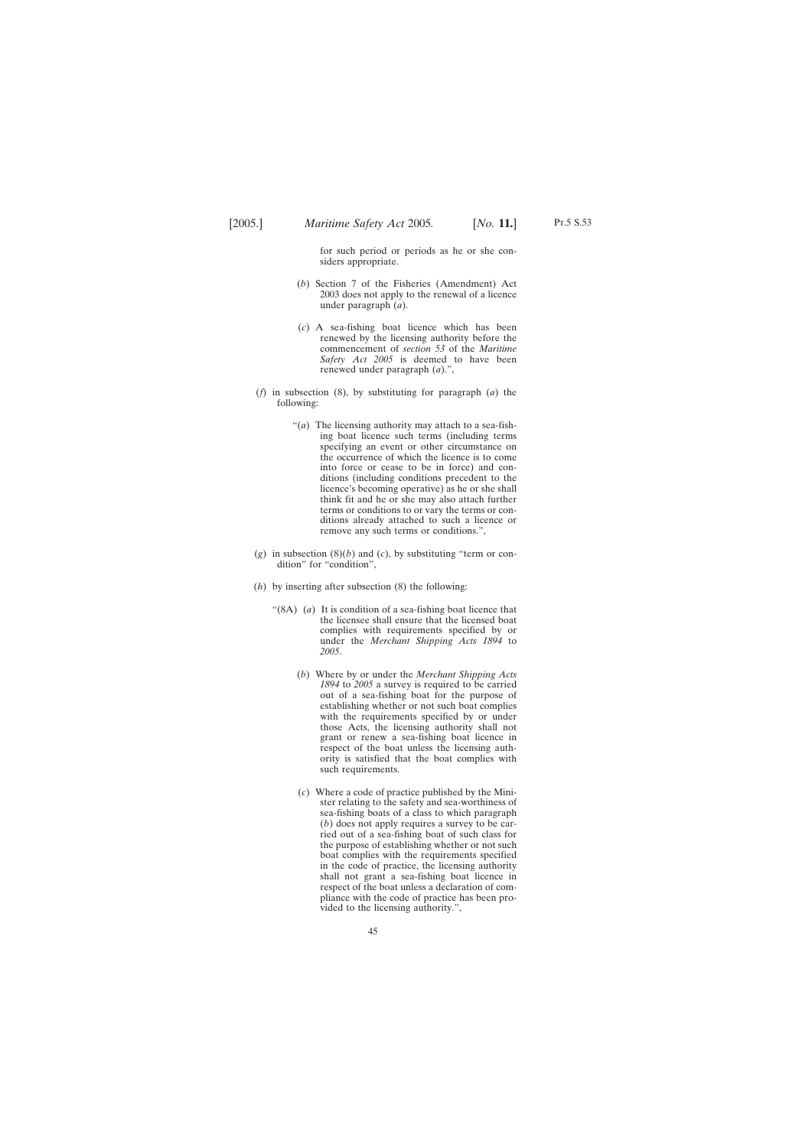for such period or periods as he or she considers appropriate.

- (*b*) Section 7 of the Fisheries (Amendment) Act 2003 does not apply to the renewal of a licence under paragraph (*a*).
- (*c*) A sea-fishing boat licence which has been renewed by the licensing authority before the commencement of *section 53* of the *Maritime Safety Act 2005* is deemed to have been renewed under paragraph (*a*).",
- (*f*) in subsection (8), by substituting for paragraph (*a*) the following:
	- "(*a*) The licensing authority may attach to a sea-fishing boat licence such terms (including terms specifying an event or other circumstance on the occurrence of which the licence is to come into force or cease to be in force) and conditions (including conditions precedent to the licence's becoming operative) as he or she shall think fit and he or she may also attach further terms or conditions to or vary the terms or conditions already attached to such a licence or remove any such terms or conditions.",
- $(g)$  in subsection  $(8)(b)$  and  $(c)$ , by substituting "term or condition" for "condition",
- (*h*) by inserting after subsection (8) the following:
	- "(8A) (*a*) It is condition of a sea-fishing boat licence that the licensee shall ensure that the licensed boat complies with requirements specified by or under the *Merchant Shipping Acts 1894* to *2005*.
		- (*b*) Where by or under the *Merchant Shipping Acts 1894* to *2005* a survey is required to be carried out of a sea-fishing boat for the purpose of establishing whether or not such boat complies with the requirements specified by or under those Acts, the licensing authority shall not grant or renew a sea-fishing boat licence in respect of the boat unless the licensing authority is satisfied that the boat complies with such requirements.
		- (*c*) Where a code of practice published by the Minister relating to the safety and sea-worthiness of sea-fishing boats of a class to which paragraph (*b*) does not apply requires a survey to be carried out of a sea-fishing boat of such class for the purpose of establishing whether or not such boat complies with the requirements specified in the code of practice, the licensing authority shall not grant a sea-fishing boat licence in respect of the boat unless a declaration of compliance with the code of practice has been provided to the licensing authority.",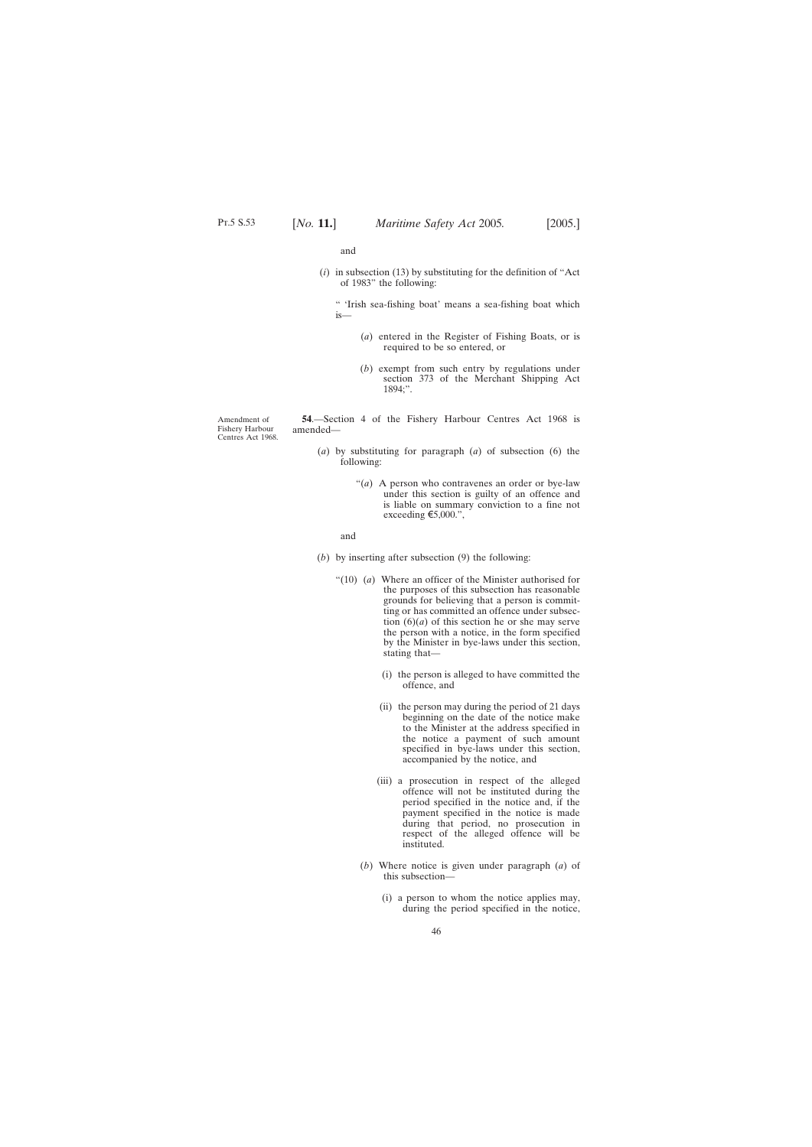and

<span id="page-45-0"></span>(*i*) in subsection (13) by substituting for the definition of "Act of 1983" the following:

" 'Irish sea-fishing boat' means a sea-fishing boat which is—

- (*a*) entered in the Register of Fishing Boats, or is required to be so entered, or
- (*b*) exempt from such entry by regulations under section 373 of the Merchant Shipping Act 1894;".

Amendment of Fishery Harbour Centres Act 1968.

**54**.—Section 4 of the Fishery Harbour Centres Act 1968 is amended—

- (*a*) by substituting for paragraph (*a*) of subsection (6) the following:
	- "(*a*) A person who contravenes an order or bye-law under this section is guilty of an offence and is liable on summary conviction to a fine not exceeding  $\epsilon$ 5,000.",

and

- (*b*) by inserting after subsection (9) the following:
	- "(10) (*a*) Where an officer of the Minister authorised for the purposes of this subsection has reasonable grounds for believing that a person is committing or has committed an offence under subsection  $(6)(a)$  of this section he or she may serve the person with a notice, in the form specified by the Minister in bye-laws under this section, stating that—
		- (i) the person is alleged to have committed the offence, and
		- (ii) the person may during the period of 21 days beginning on the date of the notice make to the Minister at the address specified in the notice a payment of such amount specified in bye-laws under this section, accompanied by the notice, and
		- (iii) a prosecution in respect of the alleged offence will not be instituted during the period specified in the notice and, if the payment specified in the notice is made during that period, no prosecution in respect of the alleged offence will be instituted.
		- (*b*) Where notice is given under paragraph (*a*) of this subsection—
			- (i) a person to whom the notice applies may, during the period specified in the notice,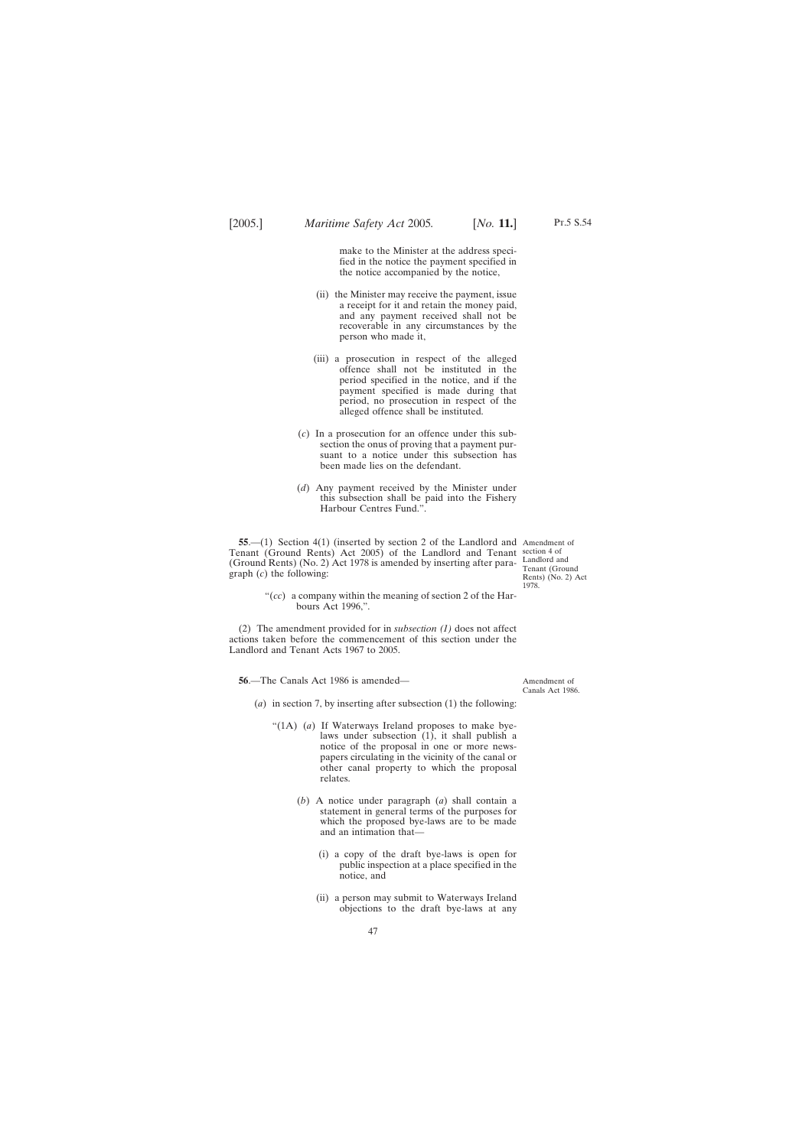make to the Minister at the address specified in the notice the payment specified in the notice accompanied by the notice,

- <span id="page-46-0"></span>(ii) the Minister may receive the payment, issue a receipt for it and retain the money paid, and any payment received shall not be recoverable in any circumstances by the person who made it,
- (iii) a prosecution in respect of the alleged offence shall not be instituted in the period specified in the notice, and if the payment specified is made during that period, no prosecution in respect of the alleged offence shall be instituted.
- (*c*) In a prosecution for an offence under this subsection the onus of proving that a payment pursuant to a notice under this subsection has been made lies on the defendant.
- (*d*) Any payment received by the Minister under this subsection shall be paid into the Fishery Harbour Centres Fund.".

**55**.—(1) Section 4(1) (inserted by section 2 of the Landlord and Amendment of Tenant (Ground Rents) Act 2005) of the Landlord and Tenant section 4 of (Ground Rents) (No. 2) Act 1978 is amended by inserting after paragraph (*c*) the following:

Landlord and Tenant (Ground Rents) (No. 2) Act 1978.

"(*cc*) a company within the meaning of section 2 of the Harbours Act 1996,".

(2) The amendment provided for in *subsection (1)* does not affect actions taken before the commencement of this section under the Landlord and Tenant Acts 1967 to 2005.

**56**.—The Canals Act 1986 is amended—

- (*a*) in section 7, by inserting after subsection (1) the following:
	- "(1A) (*a*) If Waterways Ireland proposes to make byelaws under subsection (1), it shall publish a notice of the proposal in one or more newspapers circulating in the vicinity of the canal or other canal property to which the proposal relates.
		- (*b*) A notice under paragraph (*a*) shall contain a statement in general terms of the purposes for which the proposed bye-laws are to be made and an intimation that—
			- (i) a copy of the draft bye-laws is open for public inspection at a place specified in the notice, and
			- (ii) a person may submit to Waterways Ireland objections to the draft bye-laws at any

Amendment of Canals Act 1986.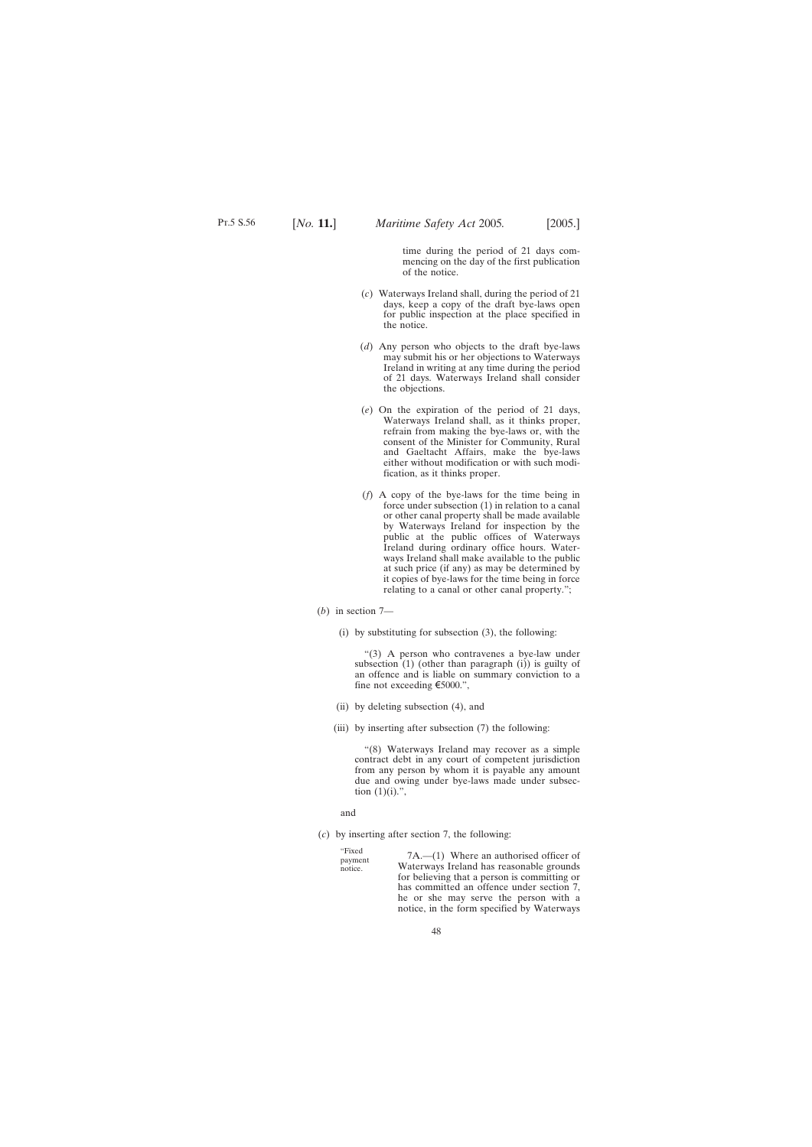time during the period of 21 days commencing on the day of the first publication of the notice.

- (*c*) Waterways Ireland shall, during the period of 21 days, keep a copy of the draft bye-laws open for public inspection at the place specified in the notice.
- (*d*) Any person who objects to the draft bye-laws may submit his or her objections to Waterways Ireland in writing at any time during the period of 21 days. Waterways Ireland shall consider the objections.
- (*e*) On the expiration of the period of 21 days, Waterways Ireland shall, as it thinks proper, refrain from making the bye-laws or, with the consent of the Minister for Community, Rural and Gaeltacht Affairs, make the bye-laws either without modification or with such modification, as it thinks proper.
- (*f*) A copy of the bye-laws for the time being in force under subsection (1) in relation to a canal or other canal property shall be made available by Waterways Ireland for inspection by the public at the public offices of Waterways Ireland during ordinary office hours. Waterways Ireland shall make available to the public at such price (if any) as may be determined by it copies of bye-laws for the time being in force relating to a canal or other canal property.";
- (*b*) in section 7—
	- (i) by substituting for subsection (3), the following:

"(3) A person who contravenes a bye-law under subsection (1) (other than paragraph (i)) is guilty of an offence and is liable on summary conviction to a fine not exceeding  $\epsilon$ 5000.",

- (ii) by deleting subsection (4), and
- (iii) by inserting after subsection (7) the following:

"(8) Waterways Ireland may recover as a simple contract debt in any court of competent jurisdiction from any person by whom it is payable any amount due and owing under bye-laws made under subsection  $(1)(i)$ .",

and

(*c*) by inserting after section 7, the following:

"Fixed payment notice.

7A.—(1) Where an authorised officer of Waterways Ireland has reasonable grounds for believing that a person is committing or has committed an offence under section 7, he or she may serve the person with a notice, in the form specified by Waterways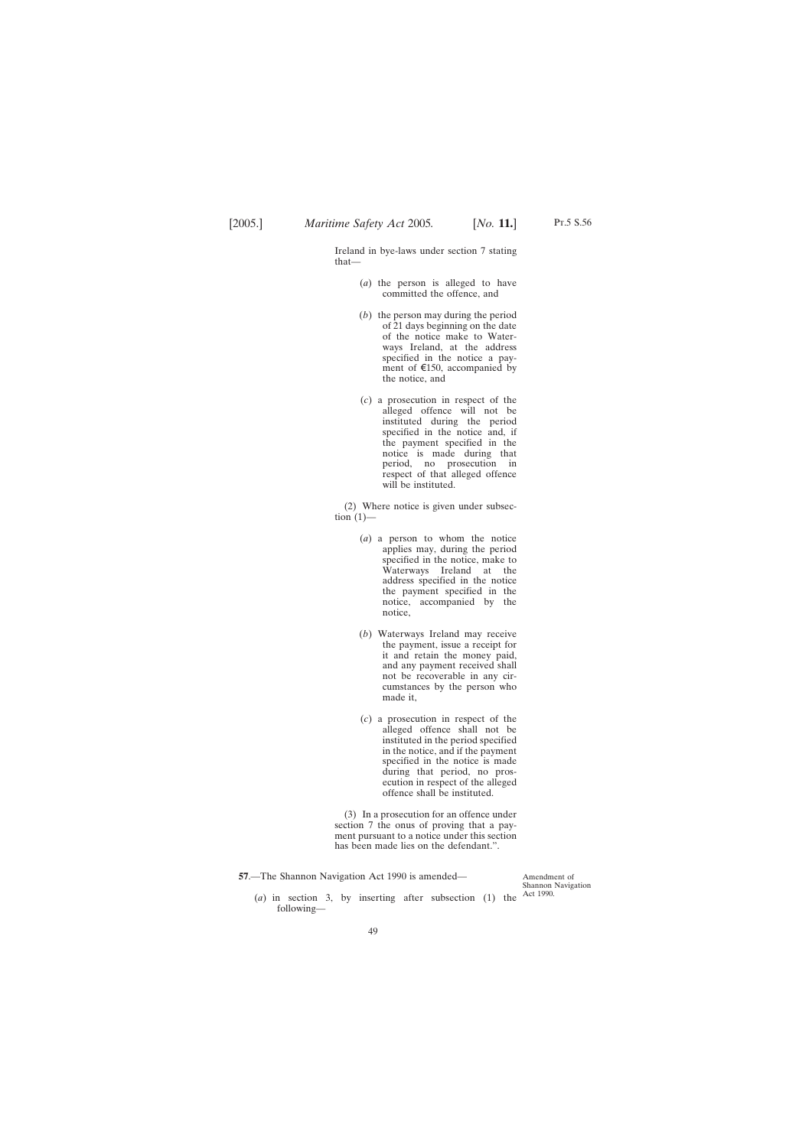<span id="page-48-0"></span>Ireland in bye-laws under section 7 stating that—

- (*a*) the person is alleged to have committed the offence, and
- (*b*) the person may during the period of 21 days beginning on the date of the notice make to Waterways Ireland, at the address specified in the notice a payment of  $\epsilon$ 150, accompanied by the notice, and
- (*c*) a prosecution in respect of the alleged offence will not be instituted during the period specified in the notice and, if the payment specified in the notice is made during that period, no prosecution in respect of that alleged offence will be instituted.

(2) Where notice is given under subsection  $(1)$ —

- (*a*) a person to whom the notice applies may, during the period specified in the notice, make to Waterways Ireland at the address specified in the notice the payment specified in the notice, accompanied by the notice,
- (*b*) Waterways Ireland may receive the payment, issue a receipt for it and retain the money paid, and any payment received shall not be recoverable in any circumstances by the person who made it,
- (*c*) a prosecution in respect of the alleged offence shall not be instituted in the period specified in the notice, and if the payment specified in the notice is made during that period, no prosecution in respect of the alleged offence shall be instituted.

(3) In a prosecution for an offence under section 7 the onus of proving that a payment pursuant to a notice under this section has been made lies on the defendant.".

**57**.—The Shannon Navigation Act 1990 is amended—

Amendment of Shannon Navigation

(*a*) in section 3, by inserting after subsection (1) the  $\frac{\text{Act }1990.}{\text{Act }}$ following—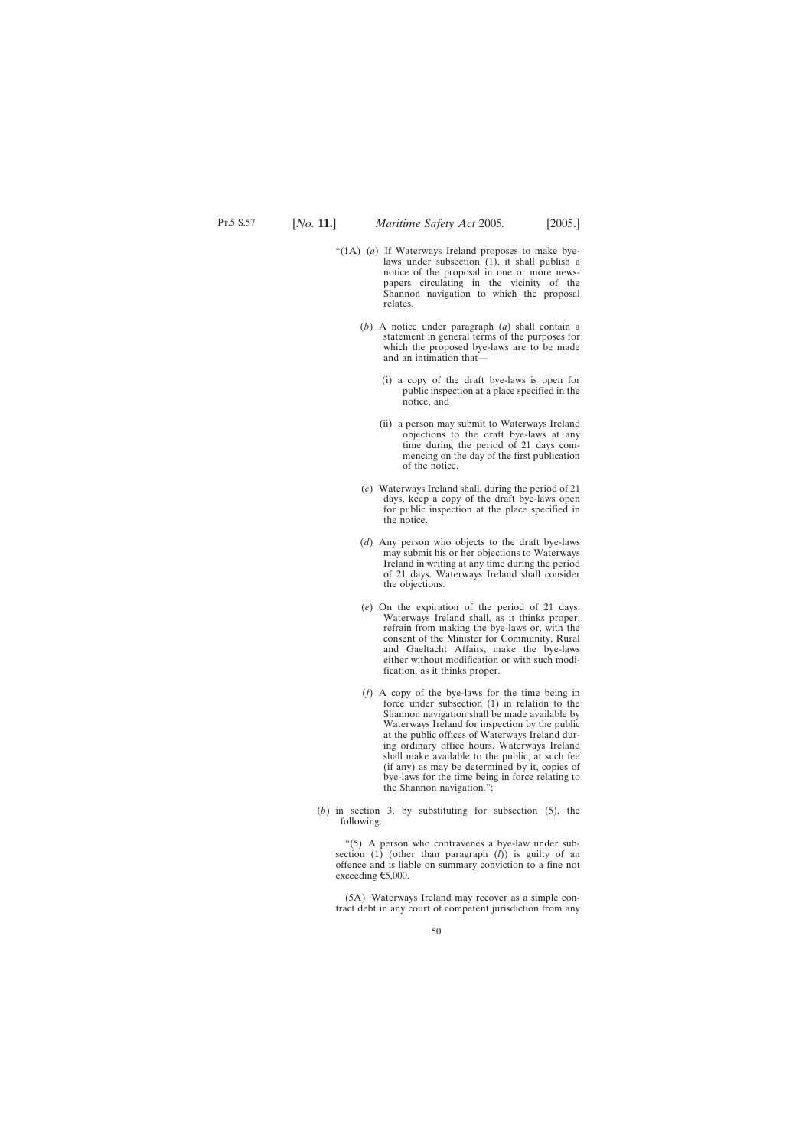- "(1A) (*a*) If Waterways Ireland proposes to make byelaws under subsection (1), it shall publish a notice of the proposal in one or more newspapers circulating in the vicinity of the Shannon navigation to which the proposal relates.
	- (*b*) A notice under paragraph (*a*) shall contain a statement in general terms of the purposes for which the proposed bye-laws are to be made and an intimation that—
		- (i) a copy of the draft bye-laws is open for public inspection at a place specified in the notice, and
		- (ii) a person may submit to Waterways Ireland objections to the draft bye-laws at any time during the period of 21 days commencing on the day of the first publication of the notice.
	- (*c*) Waterways Ireland shall, during the period of 21 days, keep a copy of the draft bye-laws open for public inspection at the place specified in the notice.
	- (*d*) Any person who objects to the draft bye-laws may submit his or her objections to Waterways Ireland in writing at any time during the period of 21 days. Waterways Ireland shall consider the objections.
	- (*e*) On the expiration of the period of 21 days, Waterways Ireland shall, as it thinks proper, refrain from making the bye-laws or, with the consent of the Minister for Community, Rural and Gaeltacht Affairs, make the bye-laws either without modification or with such modification, as it thinks proper.
	- (*f*) A copy of the bye-laws for the time being in force under subsection (1) in relation to the Shannon navigation shall be made available by Waterways Ireland for inspection by the public at the public offices of Waterways Ireland during ordinary office hours. Waterways Ireland shall make available to the public, at such fee (if any) as may be determined by it, copies of bye-laws for the time being in force relating to the Shannon navigation.";
- (*b*) in section 3, by substituting for subsection (5), the following:

"(5) A person who contravenes a bye-law under subsection (1) (other than paragraph (*l*)) is guilty of an offence and is liable on summary conviction to a fine not exceeding  $\epsilon$ 5,000.

(5A) Waterways Ireland may recover as a simple contract debt in any court of competent jurisdiction from any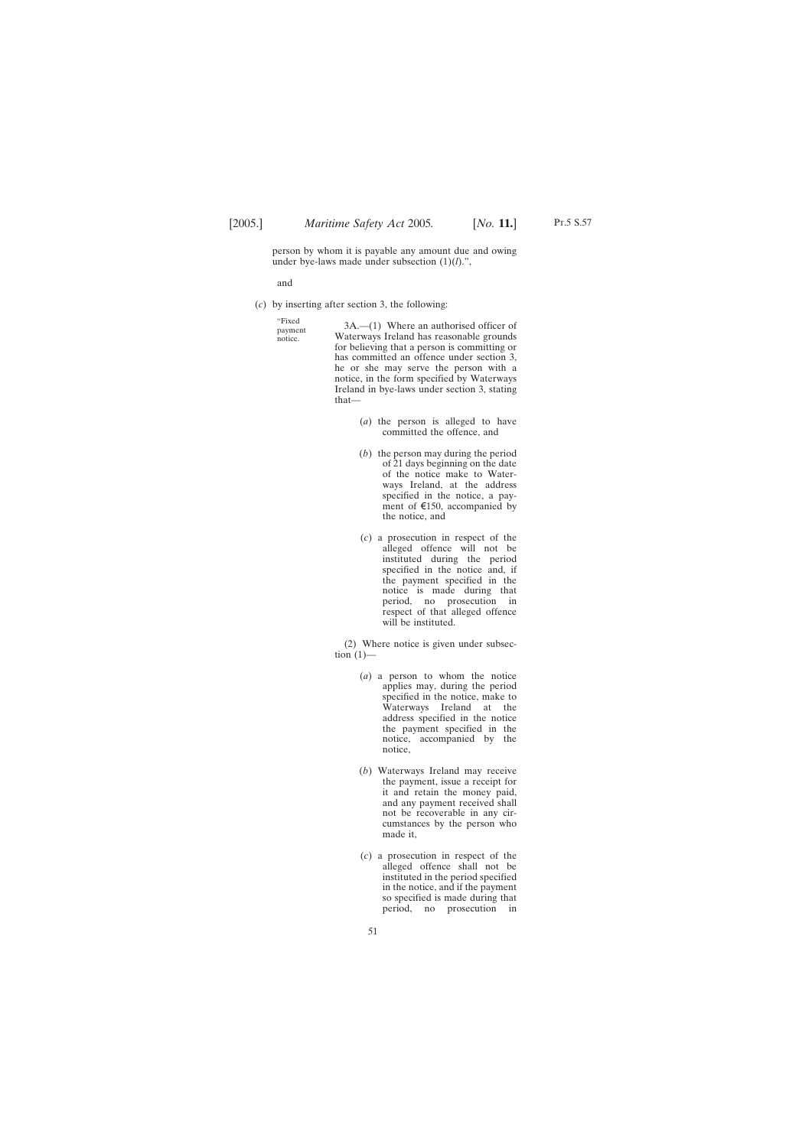Pt.5 S.57

person by whom it is payable any amount due and owing under bye-laws made under subsection (1)(*l*).",

and

"Fixed payment notice.

(*c*) by inserting after section 3, the following:

3A.—(1) Where an authorised officer of Waterways Ireland has reasonable grounds for believing that a person is committing or has committed an offence under section 3, he or she may serve the person with a notice, in the form specified by Waterways Ireland in bye-laws under section 3, stating that—

- (*a*) the person is alleged to have committed the offence, and
- (*b*) the person may during the period of 21 days beginning on the date of the notice make to Waterways Ireland, at the address specified in the notice, a payment of  $\epsilon$ 150, accompanied by the notice, and
- (*c*) a prosecution in respect of the alleged offence will not be instituted during the period specified in the notice and, if the payment specified in the notice is made during that period, no prosecution in respect of that alleged offence will be instituted.

(2) Where notice is given under subsection  $(1)$ —

- (*a*) a person to whom the notice applies may, during the period specified in the notice, make to Waterways Ireland at the address specified in the notice the payment specified in the notice, accompanied by the notice,
- (*b*) Waterways Ireland may receive the payment, issue a receipt for it and retain the money paid, and any payment received shall not be recoverable in any circumstances by the person who made it,
- (*c*) a prosecution in respect of the alleged offence shall not be instituted in the period specified in the notice, and if the payment so specified is made during that period, no prosecution in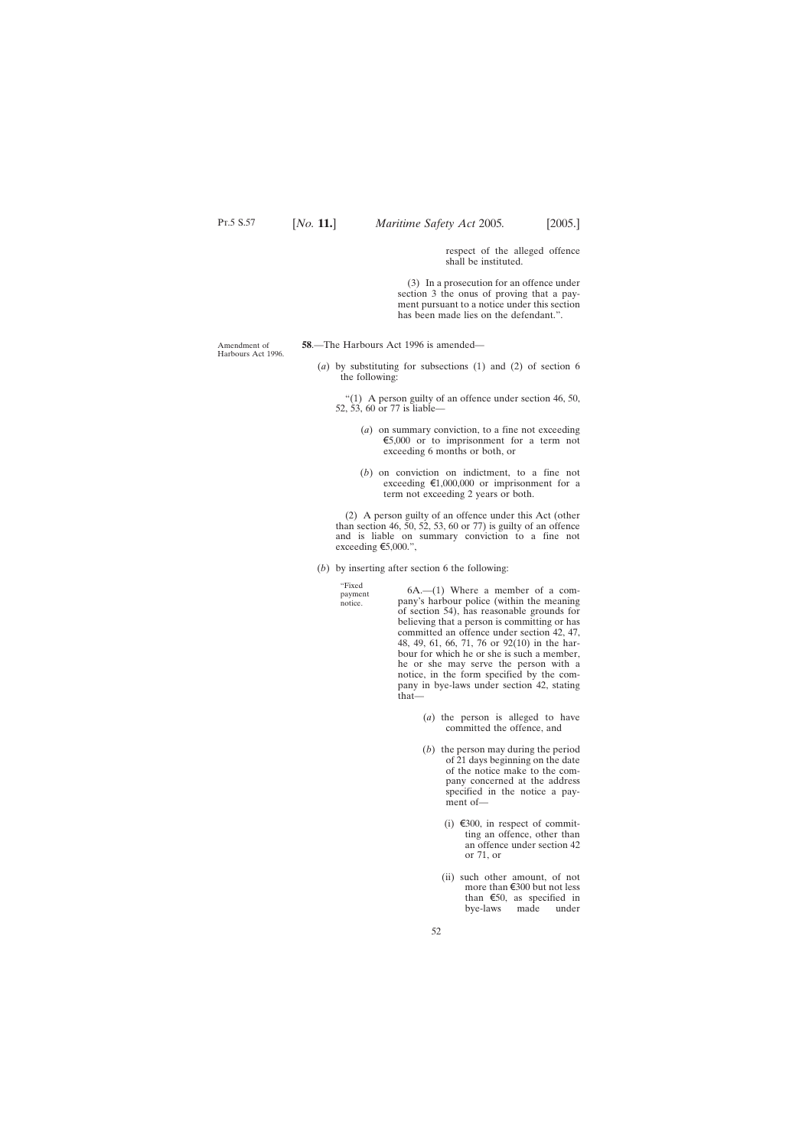respect of the alleged offence shall be instituted.

(3) In a prosecution for an offence under section 3 the onus of proving that a payment pursuant to a notice under this section has been made lies on the defendant.".

<span id="page-51-0"></span>Amendment of Harbours Act 1996. **58**.—The Harbours Act 1996 is amended—

(*a*) by substituting for subsections (1) and (2) of section 6 the following:

"(1) A person guilty of an offence under section 46, 50, 52, 53, 60 or 77 is liable—

- (*a*) on summary conviction, to a fine not exceeding  $\epsilon$ 5,000 or to imprisonment for a term not exceeding 6 months or both, or
- (*b*) on conviction on indictment, to a fine not exceeding  $\epsilon$ 1,000,000 or imprisonment for a term not exceeding 2 years or both.

(2) A person guilty of an offence under this Act (other than section 46, 50, 52, 53, 60 or 77) is guilty of an offence and is liable on summary conviction to a fine not exceeding  $\epsilon$ 5,000.",

(*b*) by inserting after section 6 the following:

"Fixed payment notice.

6A.—(1) Where a member of a company's harbour police (within the meaning of section 54), has reasonable grounds for believing that a person is committing or has committed an offence under section 42, 47, 48, 49, 61, 66, 71, 76 or 92(10) in the harbour for which he or she is such a member, he or she may serve the person with a notice, in the form specified by the company in bye-laws under section 42, stating that—

- (*a*) the person is alleged to have committed the offence, and
- (*b*) the person may during the period of 21 days beginning on the date of the notice make to the company concerned at the address specified in the notice a payment of—
	- (i)  $\epsilon$ 300, in respect of committing an offence, other than an offence under section 42 or 71, or
	- (ii) such other amount, of not more than  $\xi$ 300 but not less than  $\epsilon$ 50, as specified in<br>bye-laws made under bye-laws made under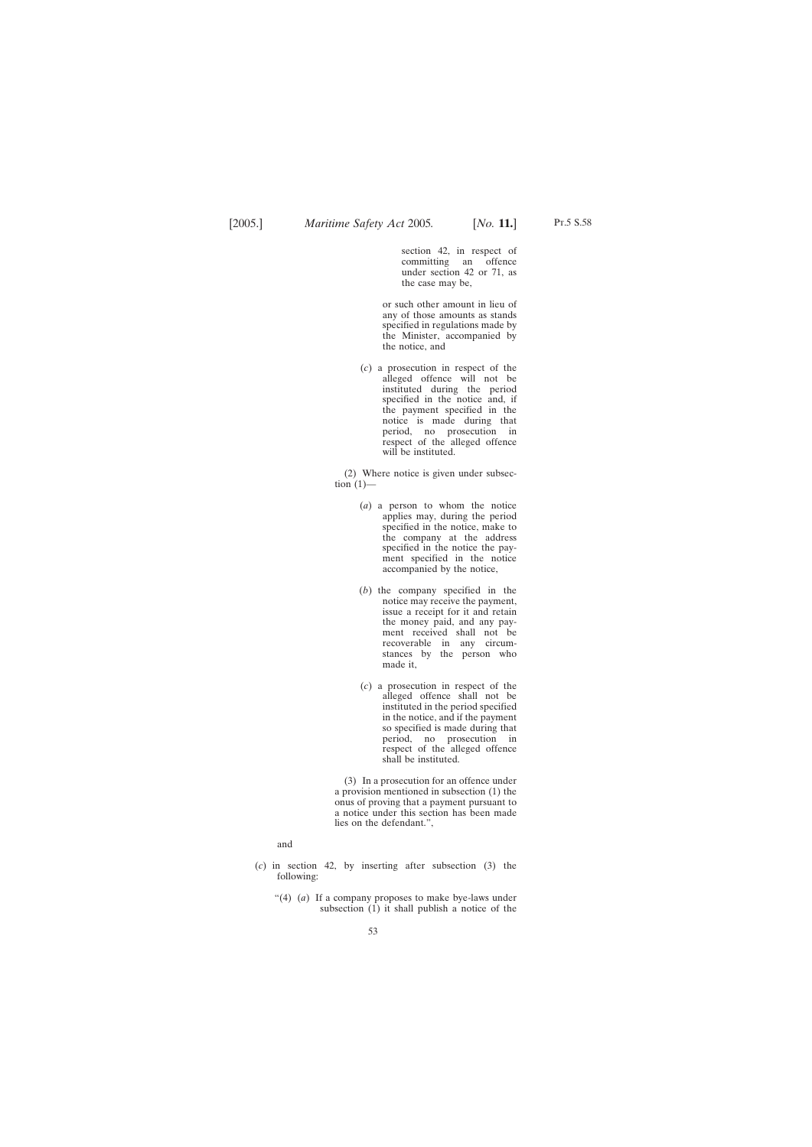section 42, in respect of committing an offence under section 42 or 71, as the case may be,

or such other amount in lieu of any of those amounts as stands specified in regulations made by the Minister, accompanied by the notice, and

(*c*) a prosecution in respect of the alleged offence will not be instituted during the period specified in the notice and, if the payment specified in the notice is made during that period, no prosecution in respect of the alleged offence will be instituted.

(2) Where notice is given under subsection  $(1)$ —

- (*a*) a person to whom the notice applies may, during the period specified in the notice, make to the company at the address specified in the notice the payment specified in the notice accompanied by the notice,
- (*b*) the company specified in the notice may receive the payment, issue a receipt for it and retain the money paid, and any payment received shall not be recoverable in any circumstances by the person who made it,
- (*c*) a prosecution in respect of the alleged offence shall not be instituted in the period specified in the notice, and if the payment so specified is made during that period, no prosecution in respect of the alleged offence shall be instituted.

(3) In a prosecution for an offence under a provision mentioned in subsection (1) the onus of proving that a payment pursuant to a notice under this section has been made lies on the defendant.",

and

- (*c*) in section 42, by inserting after subsection (3) the following:
	- "(4) (*a*) If a company proposes to make bye-laws under subsection  $(1)$  it shall publish a notice of the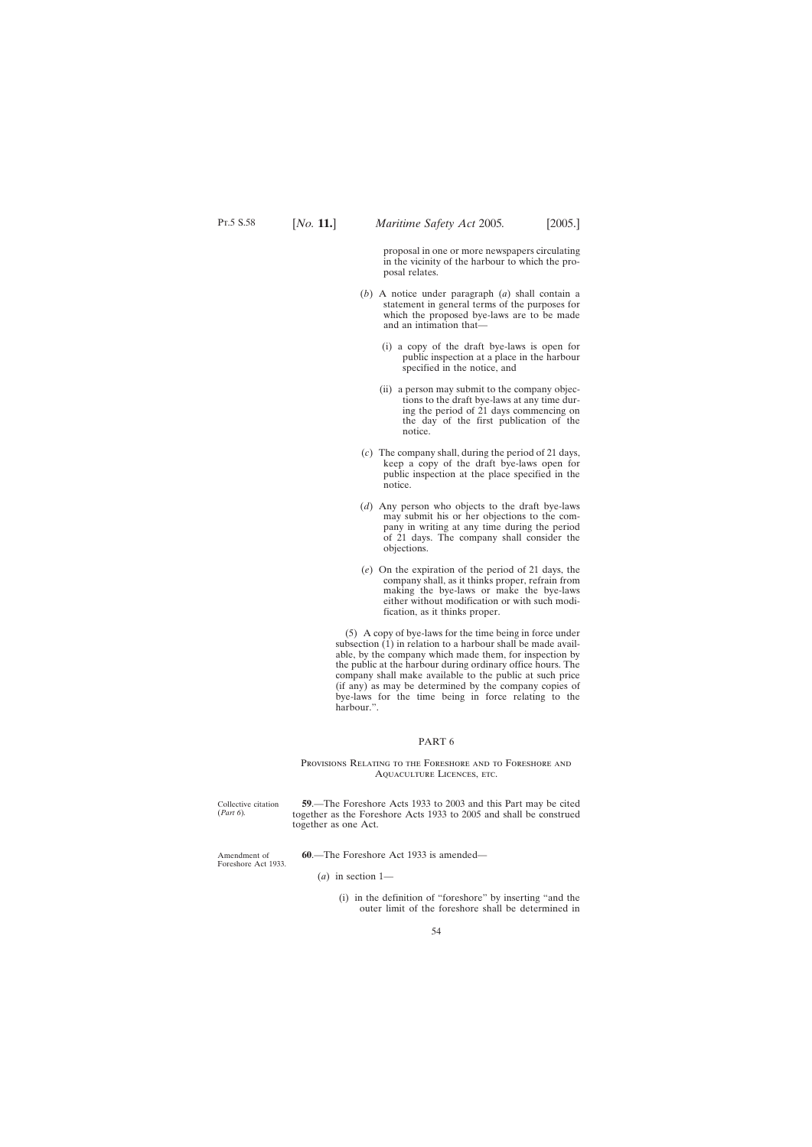proposal in one or more newspapers circulating in the vicinity of the harbour to which the proposal relates.

- <span id="page-53-0"></span>(*b*) A notice under paragraph (*a*) shall contain a statement in general terms of the purposes for which the proposed bye-laws are to be made and an intimation that—
	- (i) a copy of the draft bye-laws is open for public inspection at a place in the harbour specified in the notice, and
	- (ii) a person may submit to the company objections to the draft bye-laws at any time during the period of 21 days commencing on the day of the first publication of the notice.
- (*c*) The company shall, during the period of 21 days, keep a copy of the draft bye-laws open for public inspection at the place specified in the notice.
- (*d*) Any person who objects to the draft bye-laws may submit his or her objections to the company in writing at any time during the period of 21 days. The company shall consider the objections.
- (*e*) On the expiration of the period of 21 days, the company shall, as it thinks proper, refrain from making the bye-laws or make the bye-laws either without modification or with such modification, as it thinks proper.

(5) A copy of bye-laws for the time being in force under subsection  $(1)$  in relation to a harbour shall be made available, by the company which made them, for inspection by the public at the harbour during ordinary office hours. The company shall make available to the public at such price (if any) as may be determined by the company copies of bye-laws for the time being in force relating to the harbour.".

#### PART 6

Provisions Relating to the Foreshore and to Foreshore and Aquaculture Licences, etc.

Collective citation (*Part 6*)*.*

Amendment of Foreshore Act 1933.

**59**.—The Foreshore Acts 1933 to 2003 and this Part may be cited together as the Foreshore Acts 1933 to 2005 and shall be construed together as one Act.

**60**.—The Foreshore Act 1933 is amended—

- (*a*) in section 1—
	- (i) in the definition of "foreshore" by inserting "and the outer limit of the foreshore shall be determined in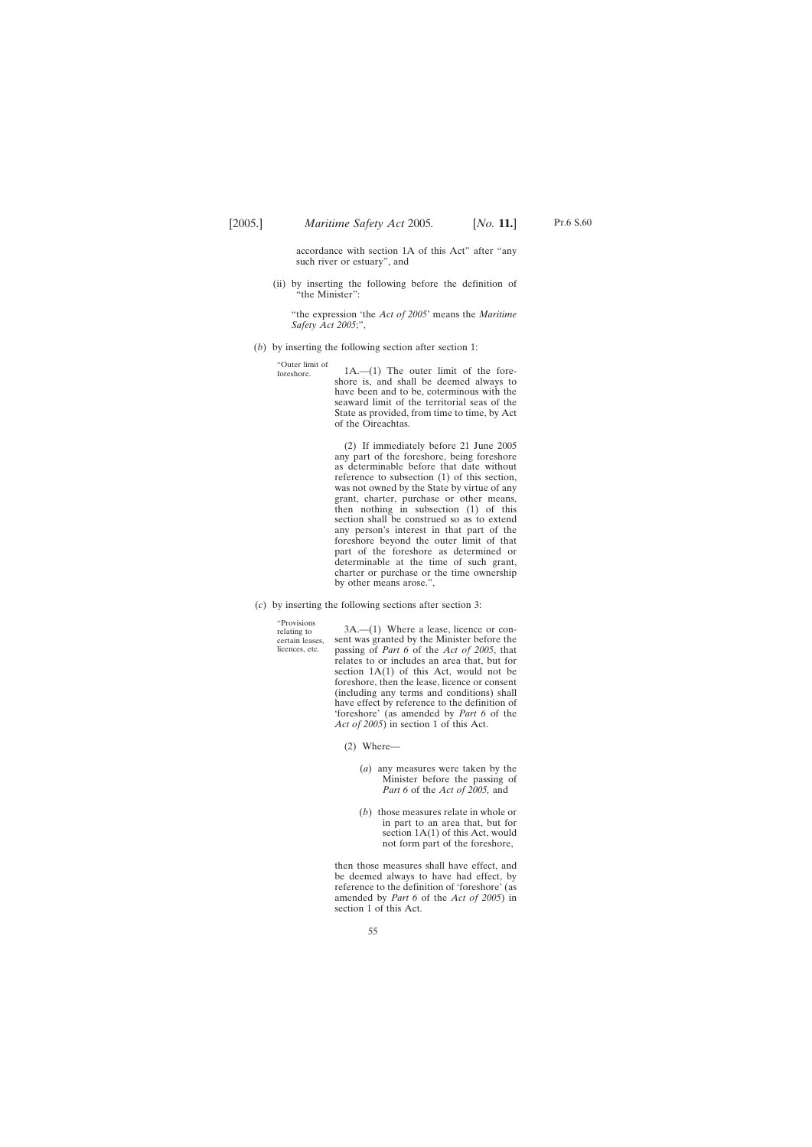accordance with section 1A of this Act" after "any such river or estuary", and

(ii) by inserting the following before the definition of "the Minister":

"the expression 'the *Act of 2005*' means the *Maritime Safety Act 2005*;",

(*b*) by inserting the following section after section 1:

"Outer limit of  $1A.$ — $(1)$  The outer limit of the foreshore is, and shall be deemed always to have been and to be, coterminous with the seaward limit of the territorial seas of the State as provided, from time to time, by Act of the Oireachtas.

> (2) If immediately before 21 June 2005 any part of the foreshore, being foreshore as determinable before that date without reference to subsection (1) of this section, was not owned by the State by virtue of any grant, charter, purchase or other means, then nothing in subsection (1) of this section shall be construed so as to extend any person's interest in that part of the foreshore beyond the outer limit of that part of the foreshore as determined or determinable at the time of such grant, charter or purchase or the time ownership by other means arose.",

(*c*) by inserting the following sections after section 3:

"Provisions relating to certain leases, licences, etc.

3A.—(1) Where a lease, licence or consent was granted by the Minister before the passing of *Part 6* of the *Act of 2005*, that relates to or includes an area that, but for section  $1A(1)$  of this Act, would not be foreshore, then the lease, licence or consent (including any terms and conditions) shall have effect by reference to the definition of 'foreshore' (as amended by *Part 6* of the *Act of 2005*) in section 1 of this Act.

(2) Where—

- (*a*) any measures were taken by the Minister before the passing of *Part 6* of the *Act of 2005,* and
- (*b*) those measures relate in whole or in part to an area that, but for section 1A(1) of this Act, would not form part of the foreshore,

then those measures shall have effect, and be deemed always to have had effect, by reference to the definition of 'foreshore' (as amended by *Part 6* of the *Act of 2005*) in section 1 of this Act.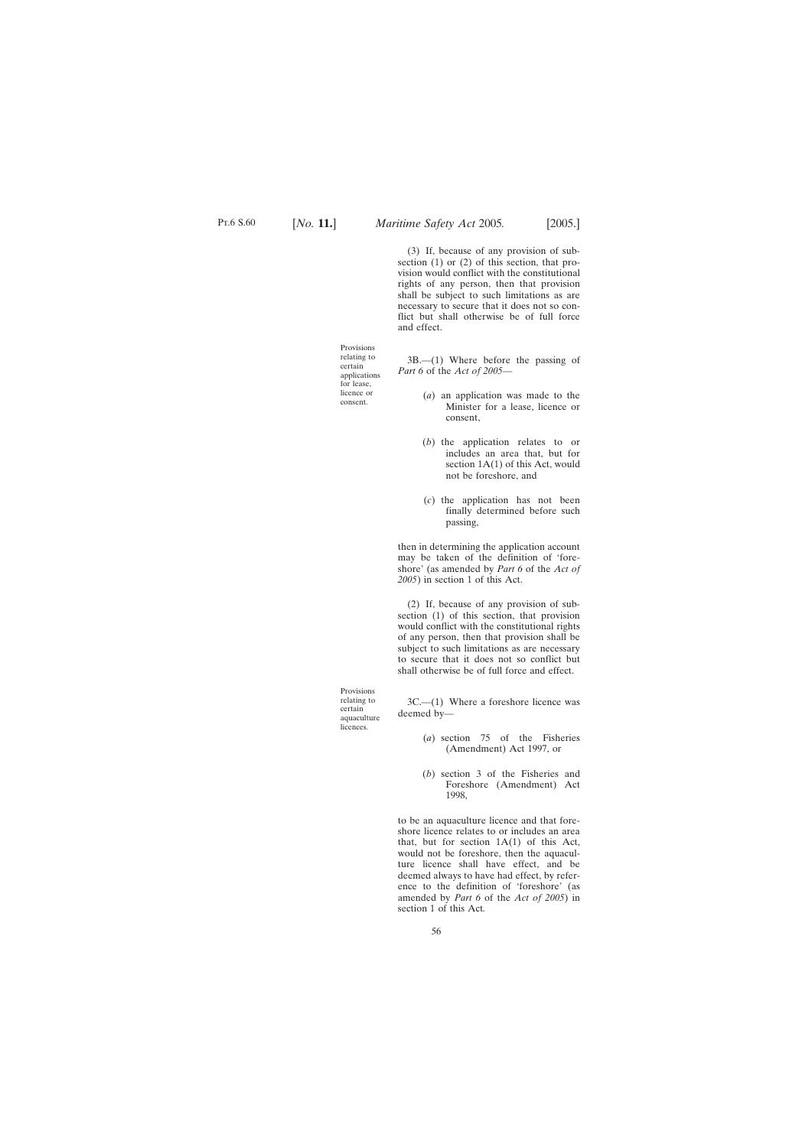Provisions relating to certain applications for lease, licence or consent.

(3) If, because of any provision of subsection (1) or (2) of this section, that provision would conflict with the constitutional rights of any person, then that provision shall be subject to such limitations as are necessary to secure that it does not so conflict but shall otherwise be of full force and effect.

3B.—(1) Where before the passing of *Part 6* of the *Act of 2005*—

- (*a*) an application was made to the Minister for a lease, licence or consent,
- (*b*) the application relates to or includes an area that, but for section  $1A(1)$  of this Act, would not be foreshore, and
- (*c*) the application has not been finally determined before such passing,

then in determining the application account may be taken of the definition of 'foreshore' (as amended by *Part 6* of the *Act of 2005*) in section 1 of this Act.

(2) If, because of any provision of subsection (1) of this section, that provision would conflict with the constitutional rights of any person, then that provision shall be subject to such limitations as are necessary to secure that it does not so conflict but shall otherwise be of full force and effect.

Provisions relating to certain aquaculture licences.

3C.—(1) Where a foreshore licence was deemed by—

- (*a*) section 75 of the Fisheries (Amendment) Act 1997, or
- (*b*) section 3 of the Fisheries and Foreshore (Amendment) Act 1998,

to be an aquaculture licence and that foreshore licence relates to or includes an area that, but for section  $1A(1)$  of this Act, would not be foreshore, then the aquaculture licence shall have effect, and be deemed always to have had effect, by reference to the definition of 'foreshore' (as amended by *Part 6* of the *Act of 2005*) in section 1 of this Act*.*

56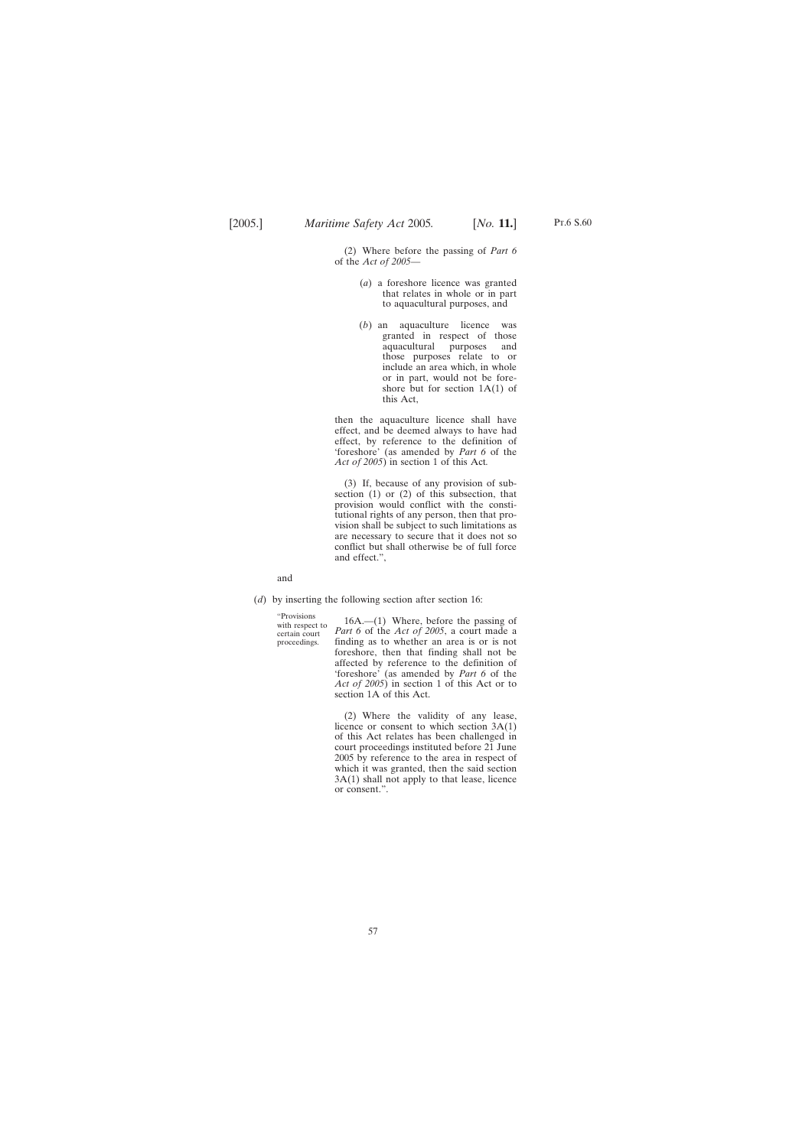(2) Where before the passing of *Part 6* of the *Act of 2005*—

- (*a*) a foreshore licence was granted that relates in whole or in part to aquacultural purposes, and
- (*b*) an aquaculture licence was granted in respect of those<br>aquacultural purposes and aquacultural purposes and those purposes relate to or include an area which, in whole or in part, would not be foreshore but for section 1A(1) of this Act,

then the aquaculture licence shall have effect, and be deemed always to have had effect, by reference to the definition of 'foreshore' (as amended by *Part 6* of the *Act of 2005*) in section 1 of this Act*.*

(3) If, because of any provision of subsection (1) or (2) of this subsection, that provision would conflict with the constitutional rights of any person, then that provision shall be subject to such limitations as are necessary to secure that it does not so conflict but shall otherwise be of full force and effect.",

and

(*d*) by inserting the following section after section 16:

"Provisions with respect to certain court proceedings.

16A.—(1) Where, before the passing of *Part 6* of the *Act of 2005*, a court made a finding as to whether an area is or is not foreshore, then that finding shall not be affected by reference to the definition of 'foreshore' (as amended by *Part 6* of the *Act of 2005*) in section 1 of this Act or to section 1A of this Act.

(2) Where the validity of any lease, licence or consent to which section 3A(1) of this Act relates has been challenged in court proceedings instituted before 21 June 2005 by reference to the area in respect of which it was granted, then the said section 3A(1) shall not apply to that lease, licence or consent.".